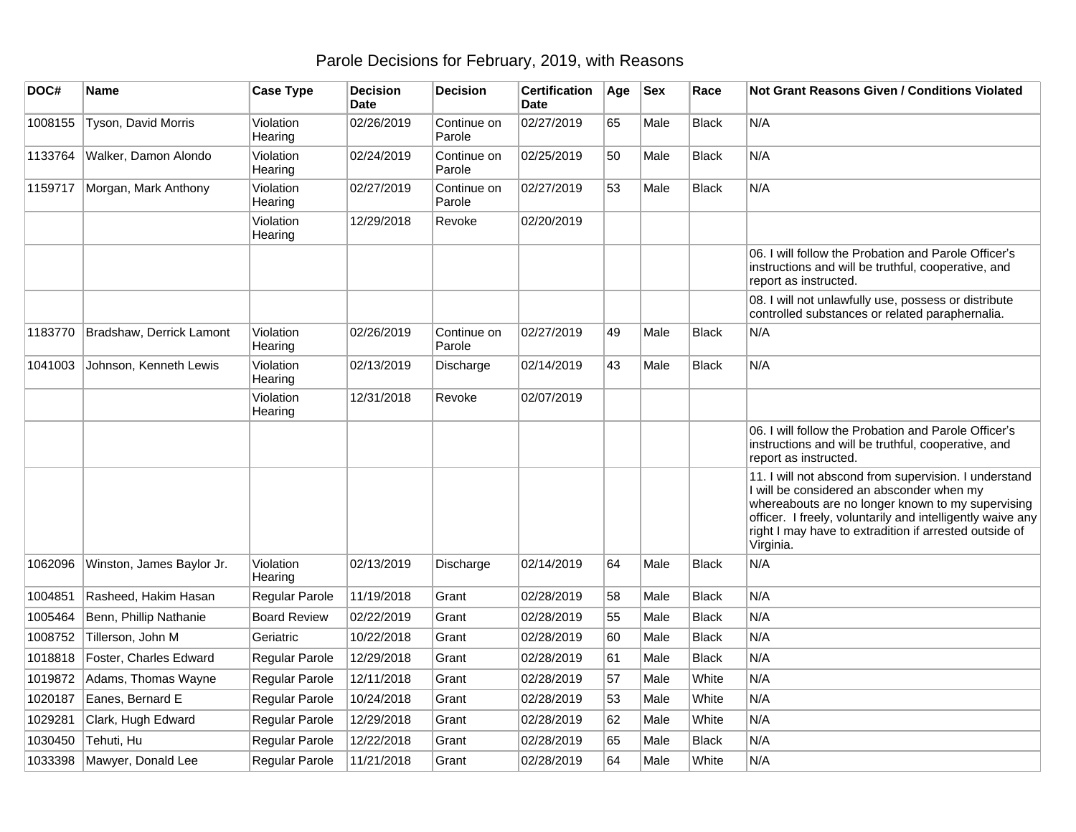## Parole Decisions for February, 2019, with Reasons

| DOC#    | Name                      | <b>Case Type</b>     | <b>Decision</b><br><b>Date</b> | <b>Decision</b>       | Certification<br>Date | Age | <b>Sex</b> | Race         | <b>Not Grant Reasons Given / Conditions Violated</b>                                                                                                                                                                                                                                         |
|---------|---------------------------|----------------------|--------------------------------|-----------------------|-----------------------|-----|------------|--------------|----------------------------------------------------------------------------------------------------------------------------------------------------------------------------------------------------------------------------------------------------------------------------------------------|
| 1008155 | Tyson, David Morris       | Violation<br>Hearing | 02/26/2019                     | Continue on<br>Parole | 02/27/2019            | 65  | Male       | <b>Black</b> | N/A                                                                                                                                                                                                                                                                                          |
| 1133764 | Walker, Damon Alondo      | Violation<br>Hearing | 02/24/2019                     | Continue on<br>Parole | 02/25/2019            | 50  | Male       | <b>Black</b> | N/A                                                                                                                                                                                                                                                                                          |
| 1159717 | Morgan, Mark Anthony      | Violation<br>Hearing | 02/27/2019                     | Continue on<br>Parole | 02/27/2019            | 53  | Male       | <b>Black</b> | N/A                                                                                                                                                                                                                                                                                          |
|         |                           | Violation<br>Hearing | 12/29/2018                     | Revoke                | 02/20/2019            |     |            |              |                                                                                                                                                                                                                                                                                              |
|         |                           |                      |                                |                       |                       |     |            |              | 06. I will follow the Probation and Parole Officer's<br>instructions and will be truthful, cooperative, and<br>report as instructed.                                                                                                                                                         |
|         |                           |                      |                                |                       |                       |     |            |              | 08. I will not unlawfully use, possess or distribute<br>controlled substances or related paraphernalia.                                                                                                                                                                                      |
| 1183770 | Bradshaw, Derrick Lamont  | Violation<br>Hearing | 02/26/2019                     | Continue on<br>Parole | 02/27/2019            | 49  | Male       | <b>Black</b> | N/A                                                                                                                                                                                                                                                                                          |
| 1041003 | Johnson, Kenneth Lewis    | Violation<br>Hearing | 02/13/2019                     | Discharge             | 02/14/2019            | 43  | Male       | <b>Black</b> | N/A                                                                                                                                                                                                                                                                                          |
|         |                           | Violation<br>Hearing | 12/31/2018                     | Revoke                | 02/07/2019            |     |            |              |                                                                                                                                                                                                                                                                                              |
|         |                           |                      |                                |                       |                       |     |            |              | 06. I will follow the Probation and Parole Officer's<br>instructions and will be truthful, cooperative, and<br>report as instructed.                                                                                                                                                         |
|         |                           |                      |                                |                       |                       |     |            |              | 11. I will not abscond from supervision. I understand<br>I will be considered an absconder when my<br>whereabouts are no longer known to my supervising<br>officer. I freely, voluntarily and intelligently waive any<br>right I may have to extradition if arrested outside of<br>Virginia. |
| 1062096 | Winston, James Baylor Jr. | Violation<br>Hearing | 02/13/2019                     | Discharge             | 02/14/2019            | 64  | Male       | <b>Black</b> | N/A                                                                                                                                                                                                                                                                                          |
| 1004851 | Rasheed, Hakim Hasan      | Regular Parole       | 11/19/2018                     | Grant                 | 02/28/2019            | 58  | Male       | <b>Black</b> | N/A                                                                                                                                                                                                                                                                                          |
| 1005464 | Benn, Phillip Nathanie    | <b>Board Review</b>  | 02/22/2019                     | Grant                 | 02/28/2019            | 55  | Male       | <b>Black</b> | N/A                                                                                                                                                                                                                                                                                          |
| 1008752 | Tillerson, John M         | Geriatric            | 10/22/2018                     | Grant                 | 02/28/2019            | 60  | Male       | <b>Black</b> | N/A                                                                                                                                                                                                                                                                                          |
| 1018818 | Foster, Charles Edward    | Regular Parole       | 12/29/2018                     | Grant                 | 02/28/2019            | 61  | Male       | <b>Black</b> | N/A                                                                                                                                                                                                                                                                                          |
| 1019872 | Adams, Thomas Wayne       | Regular Parole       | 12/11/2018                     | Grant                 | 02/28/2019            | 57  | Male       | White        | N/A                                                                                                                                                                                                                                                                                          |
| 1020187 | Eanes, Bernard E          | Regular Parole       | 10/24/2018                     | Grant                 | 02/28/2019            | 53  | Male       | White        | N/A                                                                                                                                                                                                                                                                                          |
| 1029281 | Clark, Hugh Edward        | Regular Parole       | 12/29/2018                     | Grant                 | 02/28/2019            | 62  | Male       | White        | N/A                                                                                                                                                                                                                                                                                          |
| 1030450 | Tehuti, Hu                | Regular Parole       | 12/22/2018                     | Grant                 | 02/28/2019            | 65  | Male       | <b>Black</b> | N/A                                                                                                                                                                                                                                                                                          |
| 1033398 | Mawyer, Donald Lee        | Regular Parole       | 11/21/2018                     | Grant                 | 02/28/2019            | 64  | Male       | White        | N/A                                                                                                                                                                                                                                                                                          |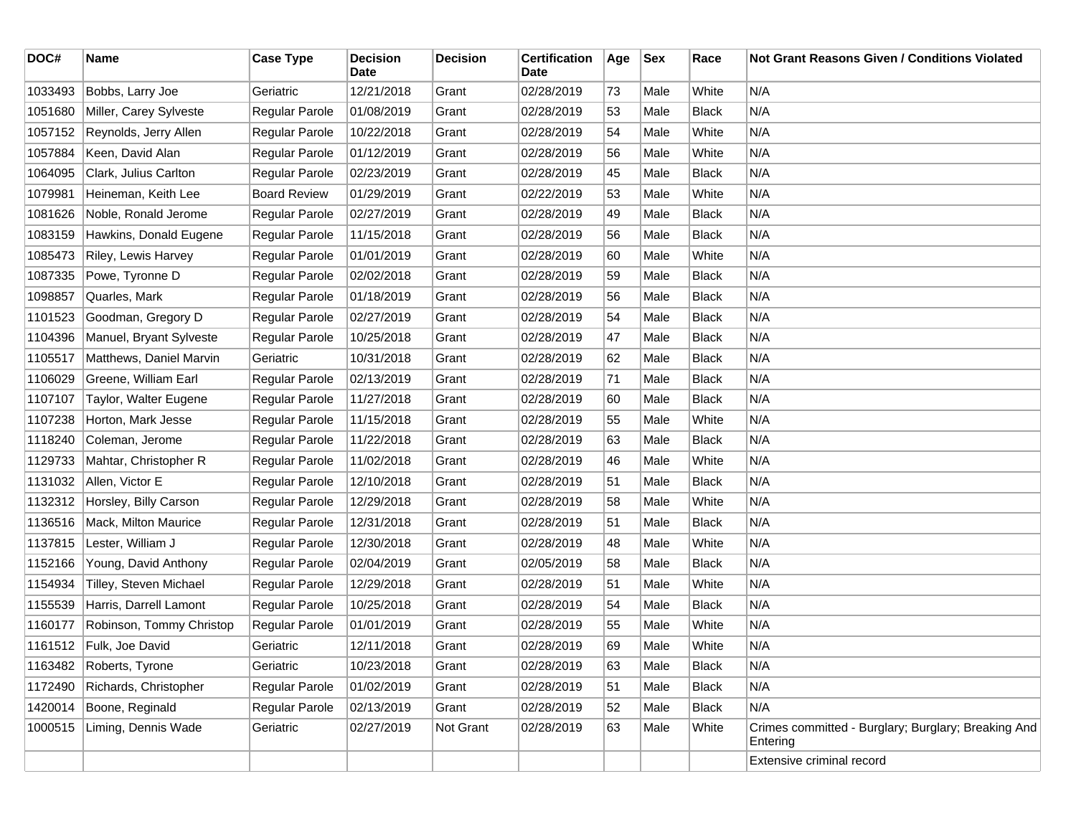| DOC#    | Name                     | <b>Case Type</b>    | <b>Decision</b><br>Date | <b>Decision</b> | <b>Certification</b><br>Date | Age | <b>Sex</b> | Race         | <b>Not Grant Reasons Given / Conditions Violated</b>            |
|---------|--------------------------|---------------------|-------------------------|-----------------|------------------------------|-----|------------|--------------|-----------------------------------------------------------------|
| 1033493 | Bobbs, Larry Joe         | Geriatric           | 12/21/2018              | Grant           | 02/28/2019                   | 73  | Male       | White        | N/A                                                             |
| 1051680 | Miller, Carey Sylveste   | Regular Parole      | 01/08/2019              | Grant           | 02/28/2019                   | 53  | Male       | <b>Black</b> | N/A                                                             |
| 1057152 | Reynolds, Jerry Allen    | Regular Parole      | 10/22/2018              | Grant           | 02/28/2019                   | 54  | Male       | White        | N/A                                                             |
| 1057884 | Keen, David Alan         | Regular Parole      | 01/12/2019              | Grant           | 02/28/2019                   | 56  | Male       | White        | N/A                                                             |
| 1064095 | Clark, Julius Carlton    | Regular Parole      | 02/23/2019              | Grant           | 02/28/2019                   | 45  | Male       | <b>Black</b> | N/A                                                             |
| 1079981 | Heineman, Keith Lee      | <b>Board Review</b> | 01/29/2019              | Grant           | 02/22/2019                   | 53  | Male       | White        | N/A                                                             |
| 1081626 | Noble, Ronald Jerome     | Regular Parole      | 02/27/2019              | Grant           | 02/28/2019                   | 49  | Male       | <b>Black</b> | N/A                                                             |
| 1083159 | Hawkins, Donald Eugene   | Regular Parole      | 11/15/2018              | Grant           | 02/28/2019                   | 56  | Male       | <b>Black</b> | N/A                                                             |
| 1085473 | Riley, Lewis Harvey      | Regular Parole      | 01/01/2019              | Grant           | 02/28/2019                   | 60  | Male       | White        | N/A                                                             |
| 1087335 | Powe, Tyronne D          | Regular Parole      | 02/02/2018              | Grant           | 02/28/2019                   | 59  | Male       | <b>Black</b> | N/A                                                             |
| 1098857 | Quarles, Mark            | Regular Parole      | 01/18/2019              | Grant           | 02/28/2019                   | 56  | Male       | <b>Black</b> | N/A                                                             |
| 1101523 | Goodman, Gregory D       | Regular Parole      | 02/27/2019              | Grant           | 02/28/2019                   | 54  | Male       | <b>Black</b> | N/A                                                             |
| 1104396 | Manuel, Bryant Sylveste  | Regular Parole      | 10/25/2018              | Grant           | 02/28/2019                   | 47  | Male       | <b>Black</b> | N/A                                                             |
| 1105517 | Matthews, Daniel Marvin  | Geriatric           | 10/31/2018              | Grant           | 02/28/2019                   | 62  | Male       | <b>Black</b> | N/A                                                             |
| 1106029 | Greene, William Earl     | Regular Parole      | 02/13/2019              | Grant           | 02/28/2019                   | 71  | Male       | <b>Black</b> | N/A                                                             |
| 1107107 | Taylor, Walter Eugene    | Regular Parole      | 11/27/2018              | Grant           | 02/28/2019                   | 60  | Male       | <b>Black</b> | N/A                                                             |
| 1107238 | Horton, Mark Jesse       | Regular Parole      | 11/15/2018              | Grant           | 02/28/2019                   | 55  | Male       | White        | N/A                                                             |
| 1118240 | Coleman, Jerome          | Regular Parole      | 11/22/2018              | Grant           | 02/28/2019                   | 63  | Male       | <b>Black</b> | N/A                                                             |
| 1129733 | Mahtar, Christopher R    | Regular Parole      | 11/02/2018              | Grant           | 02/28/2019                   | 46  | Male       | White        | N/A                                                             |
| 1131032 | Allen, Victor E          | Regular Parole      | 12/10/2018              | Grant           | 02/28/2019                   | 51  | Male       | <b>Black</b> | N/A                                                             |
| 1132312 | Horsley, Billy Carson    | Regular Parole      | 12/29/2018              | Grant           | 02/28/2019                   | 58  | Male       | White        | N/A                                                             |
| 1136516 | Mack, Milton Maurice     | Regular Parole      | 12/31/2018              | Grant           | 02/28/2019                   | 51  | Male       | <b>Black</b> | N/A                                                             |
| 1137815 | Lester, William J        | Regular Parole      | 12/30/2018              | Grant           | 02/28/2019                   | 48  | Male       | White        | N/A                                                             |
| 1152166 | Young, David Anthony     | Regular Parole      | 02/04/2019              | Grant           | 02/05/2019                   | 58  | Male       | <b>Black</b> | N/A                                                             |
| 1154934 | Tilley, Steven Michael   | Regular Parole      | 12/29/2018              | Grant           | 02/28/2019                   | 51  | Male       | White        | N/A                                                             |
| 1155539 | Harris, Darrell Lamont   | Regular Parole      | 10/25/2018              | Grant           | 02/28/2019                   | 54  | Male       | <b>Black</b> | N/A                                                             |
| 1160177 | Robinson, Tommy Christop | Regular Parole      | 01/01/2019              | Grant           | 02/28/2019                   | 55  | Male       | White        | N/A                                                             |
|         | 1161512 Fulk, Joe David  | Geriatric           | 12/11/2018              | Grant           | 02/28/2019                   | 69  | Male       | White        | N/A                                                             |
|         | 1163482 Roberts, Tyrone  | Geriatric           | 10/23/2018              | Grant           | 02/28/2019                   | 63  | Male       | <b>Black</b> | N/A                                                             |
| 1172490 | Richards, Christopher    | Regular Parole      | 01/02/2019              | Grant           | 02/28/2019                   | 51  | Male       | <b>Black</b> | N/A                                                             |
| 1420014 | Boone, Reginald          | Regular Parole      | 02/13/2019              | Grant           | 02/28/2019                   | 52  | Male       | <b>Black</b> | N/A                                                             |
| 1000515 | Liming, Dennis Wade      | Geriatric           | 02/27/2019              | Not Grant       | 02/28/2019                   | 63  | Male       | White        | Crimes committed - Burglary; Burglary; Breaking And<br>Entering |
|         |                          |                     |                         |                 |                              |     |            |              | Extensive criminal record                                       |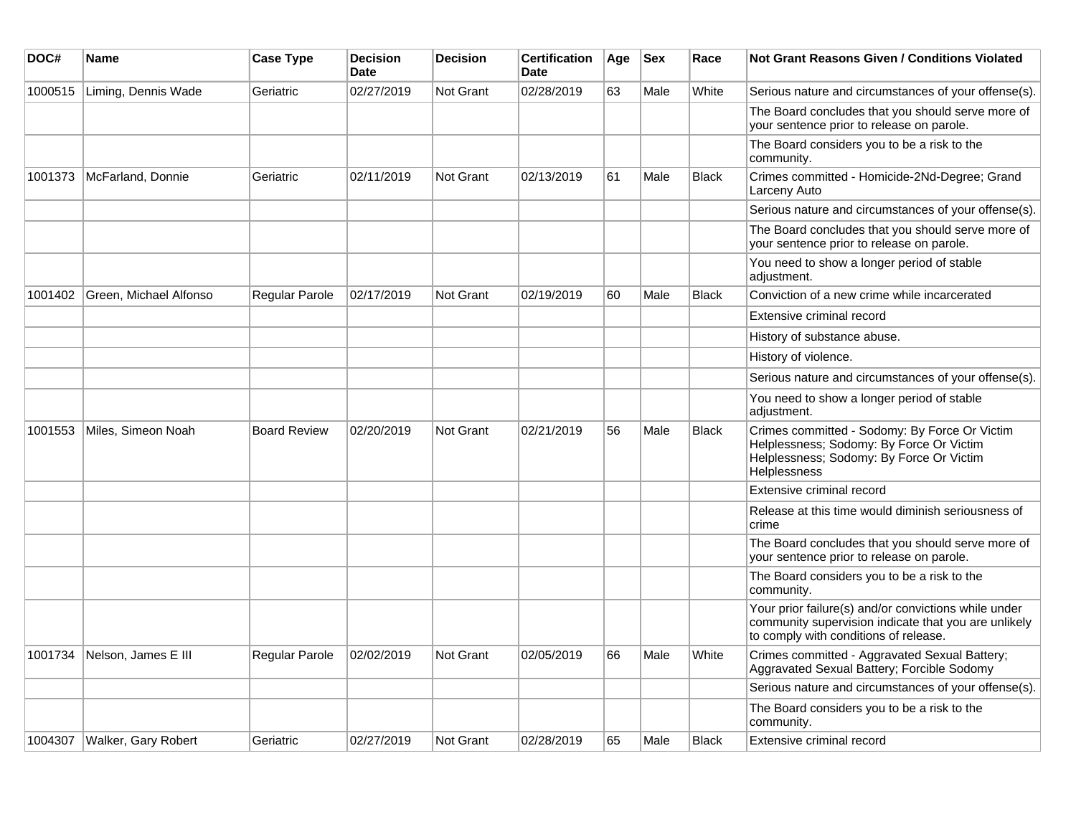| DOC#    | Name                          | <b>Case Type</b>      | <b>Decision</b><br><b>Date</b> | <b>Decision</b>  | <b>Certification</b><br><b>Date</b> | Age | <b>Sex</b> | Race         | Not Grant Reasons Given / Conditions Violated                                                                                                         |
|---------|-------------------------------|-----------------------|--------------------------------|------------------|-------------------------------------|-----|------------|--------------|-------------------------------------------------------------------------------------------------------------------------------------------------------|
| 1000515 | Liming, Dennis Wade           | Geriatric             | 02/27/2019                     | Not Grant        | 02/28/2019                          | 63  | Male       | White        | Serious nature and circumstances of your offense(s).                                                                                                  |
|         |                               |                       |                                |                  |                                     |     |            |              | The Board concludes that you should serve more of<br>your sentence prior to release on parole.                                                        |
|         |                               |                       |                                |                  |                                     |     |            |              | The Board considers you to be a risk to the<br>community.                                                                                             |
| 1001373 | McFarland, Donnie             | Geriatric             | 02/11/2019                     | Not Grant        | 02/13/2019                          | 61  | Male       | <b>Black</b> | Crimes committed - Homicide-2Nd-Degree; Grand<br>Larceny Auto                                                                                         |
|         |                               |                       |                                |                  |                                     |     |            |              | Serious nature and circumstances of your offense(s).                                                                                                  |
|         |                               |                       |                                |                  |                                     |     |            |              | The Board concludes that you should serve more of<br>your sentence prior to release on parole.                                                        |
|         |                               |                       |                                |                  |                                     |     |            |              | You need to show a longer period of stable<br>adjustment.                                                                                             |
| 1001402 | Green, Michael Alfonso        | <b>Regular Parole</b> | 02/17/2019                     | <b>Not Grant</b> | 02/19/2019                          | 60  | Male       | <b>Black</b> | Conviction of a new crime while incarcerated                                                                                                          |
|         |                               |                       |                                |                  |                                     |     |            |              | Extensive criminal record                                                                                                                             |
|         |                               |                       |                                |                  |                                     |     |            |              | History of substance abuse.                                                                                                                           |
|         |                               |                       |                                |                  |                                     |     |            |              | History of violence.                                                                                                                                  |
|         |                               |                       |                                |                  |                                     |     |            |              | Serious nature and circumstances of your offense(s).                                                                                                  |
|         |                               |                       |                                |                  |                                     |     |            |              | You need to show a longer period of stable<br>adjustment.                                                                                             |
| 1001553 | Miles, Simeon Noah            | <b>Board Review</b>   | 02/20/2019                     | Not Grant        | 02/21/2019                          | 56  | Male       | <b>Black</b> | Crimes committed - Sodomy: By Force Or Victim<br>Helplessness; Sodomy: By Force Or Victim<br>Helplessness; Sodomy: By Force Or Victim<br>Helplessness |
|         |                               |                       |                                |                  |                                     |     |            |              | Extensive criminal record                                                                                                                             |
|         |                               |                       |                                |                  |                                     |     |            |              | Release at this time would diminish seriousness of<br>crime                                                                                           |
|         |                               |                       |                                |                  |                                     |     |            |              | The Board concludes that you should serve more of<br>your sentence prior to release on parole.                                                        |
|         |                               |                       |                                |                  |                                     |     |            |              | The Board considers you to be a risk to the<br>community.                                                                                             |
|         |                               |                       |                                |                  |                                     |     |            |              | Your prior failure(s) and/or convictions while under<br>community supervision indicate that you are unlikely<br>to comply with conditions of release. |
| 1001734 | Nelson, James E III           | <b>Regular Parole</b> | 02/02/2019                     | <b>Not Grant</b> | 02/05/2019                          | 66  | Male       | White        | Crimes committed - Aggravated Sexual Battery;<br>Aggravated Sexual Battery; Forcible Sodomy                                                           |
|         |                               |                       |                                |                  |                                     |     |            |              | Serious nature and circumstances of your offense(s).                                                                                                  |
|         |                               |                       |                                |                  |                                     |     |            |              | The Board considers you to be a risk to the<br>community.                                                                                             |
|         | 1004307   Walker, Gary Robert | Geriatric             | 02/27/2019                     | Not Grant        | 02/28/2019                          | 65  | Male       | <b>Black</b> | Extensive criminal record                                                                                                                             |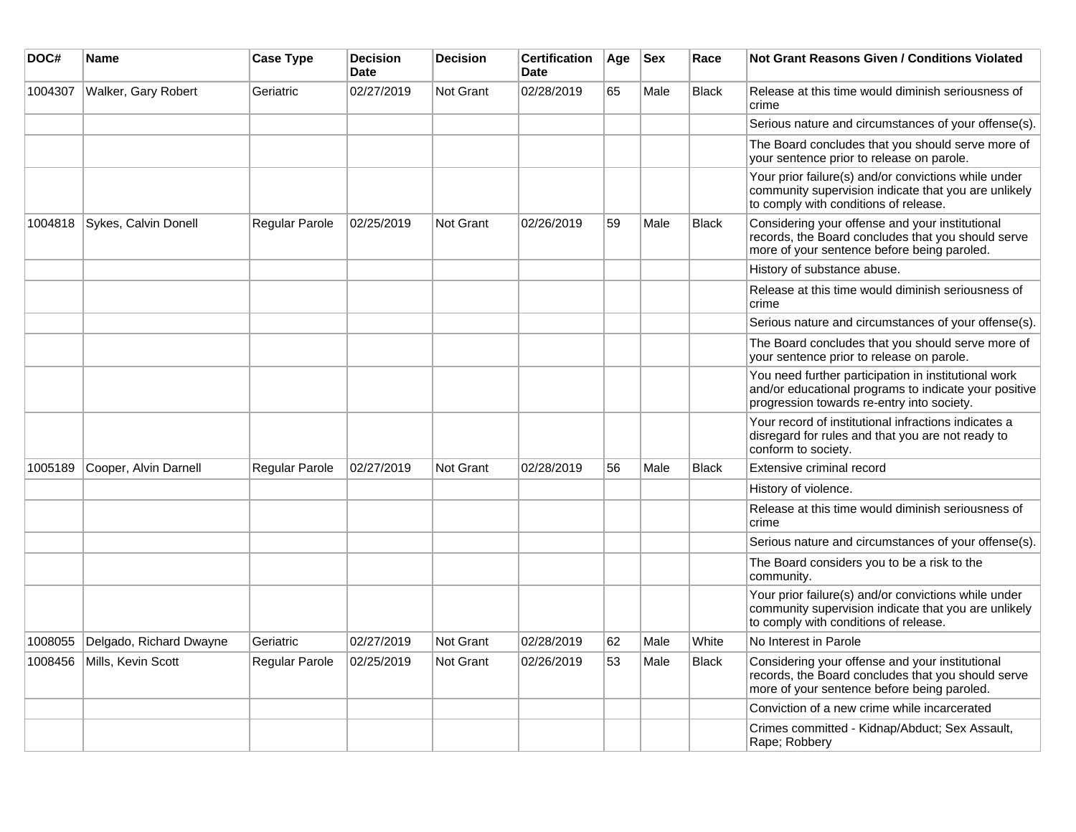| DOC#    | <b>Name</b>             | <b>Case Type</b>      | <b>Decision</b><br><b>Date</b> | <b>Decision</b>  | <b>Certification</b><br><b>Date</b> | Age | <b>Sex</b> | Race         | <b>Not Grant Reasons Given / Conditions Violated</b>                                                                                                        |
|---------|-------------------------|-----------------------|--------------------------------|------------------|-------------------------------------|-----|------------|--------------|-------------------------------------------------------------------------------------------------------------------------------------------------------------|
| 1004307 | Walker, Gary Robert     | Geriatric             | 02/27/2019                     | Not Grant        | 02/28/2019                          | 65  | Male       | Black        | Release at this time would diminish seriousness of<br>crime                                                                                                 |
|         |                         |                       |                                |                  |                                     |     |            |              | Serious nature and circumstances of your offense(s).                                                                                                        |
|         |                         |                       |                                |                  |                                     |     |            |              | The Board concludes that you should serve more of<br>your sentence prior to release on parole.                                                              |
|         |                         |                       |                                |                  |                                     |     |            |              | Your prior failure(s) and/or convictions while under<br>community supervision indicate that you are unlikely<br>to comply with conditions of release.       |
| 1004818 | Sykes, Calvin Donell    | <b>Regular Parole</b> | 02/25/2019                     | Not Grant        | 02/26/2019                          | 59  | Male       | <b>Black</b> | Considering your offense and your institutional<br>records, the Board concludes that you should serve<br>more of your sentence before being paroled.        |
|         |                         |                       |                                |                  |                                     |     |            |              | History of substance abuse.                                                                                                                                 |
|         |                         |                       |                                |                  |                                     |     |            |              | Release at this time would diminish seriousness of<br>crime                                                                                                 |
|         |                         |                       |                                |                  |                                     |     |            |              | Serious nature and circumstances of your offense(s).                                                                                                        |
|         |                         |                       |                                |                  |                                     |     |            |              | The Board concludes that you should serve more of<br>your sentence prior to release on parole.                                                              |
|         |                         |                       |                                |                  |                                     |     |            |              | You need further participation in institutional work<br>and/or educational programs to indicate your positive<br>progression towards re-entry into society. |
|         |                         |                       |                                |                  |                                     |     |            |              | Your record of institutional infractions indicates a<br>disregard for rules and that you are not ready to<br>conform to society.                            |
| 1005189 | Cooper, Alvin Darnell   | <b>Regular Parole</b> | 02/27/2019                     | <b>Not Grant</b> | 02/28/2019                          | 56  | Male       | <b>Black</b> | Extensive criminal record                                                                                                                                   |
|         |                         |                       |                                |                  |                                     |     |            |              | History of violence.                                                                                                                                        |
|         |                         |                       |                                |                  |                                     |     |            |              | Release at this time would diminish seriousness of<br>crime                                                                                                 |
|         |                         |                       |                                |                  |                                     |     |            |              | Serious nature and circumstances of your offense(s).                                                                                                        |
|         |                         |                       |                                |                  |                                     |     |            |              | The Board considers you to be a risk to the<br>community.                                                                                                   |
|         |                         |                       |                                |                  |                                     |     |            |              | Your prior failure(s) and/or convictions while under<br>community supervision indicate that you are unlikely<br>to comply with conditions of release.       |
| 1008055 | Delgado, Richard Dwayne | Geriatric             | 02/27/2019                     | Not Grant        | 02/28/2019                          | 62  | Male       | White        | No Interest in Parole                                                                                                                                       |
| 1008456 | Mills, Kevin Scott      | Regular Parole        | 02/25/2019                     | Not Grant        | 02/26/2019                          | 53  | Male       | <b>Black</b> | Considering your offense and your institutional<br>records, the Board concludes that you should serve<br>more of your sentence before being paroled.        |
|         |                         |                       |                                |                  |                                     |     |            |              | Conviction of a new crime while incarcerated                                                                                                                |
|         |                         |                       |                                |                  |                                     |     |            |              | Crimes committed - Kidnap/Abduct; Sex Assault,<br>Rape; Robbery                                                                                             |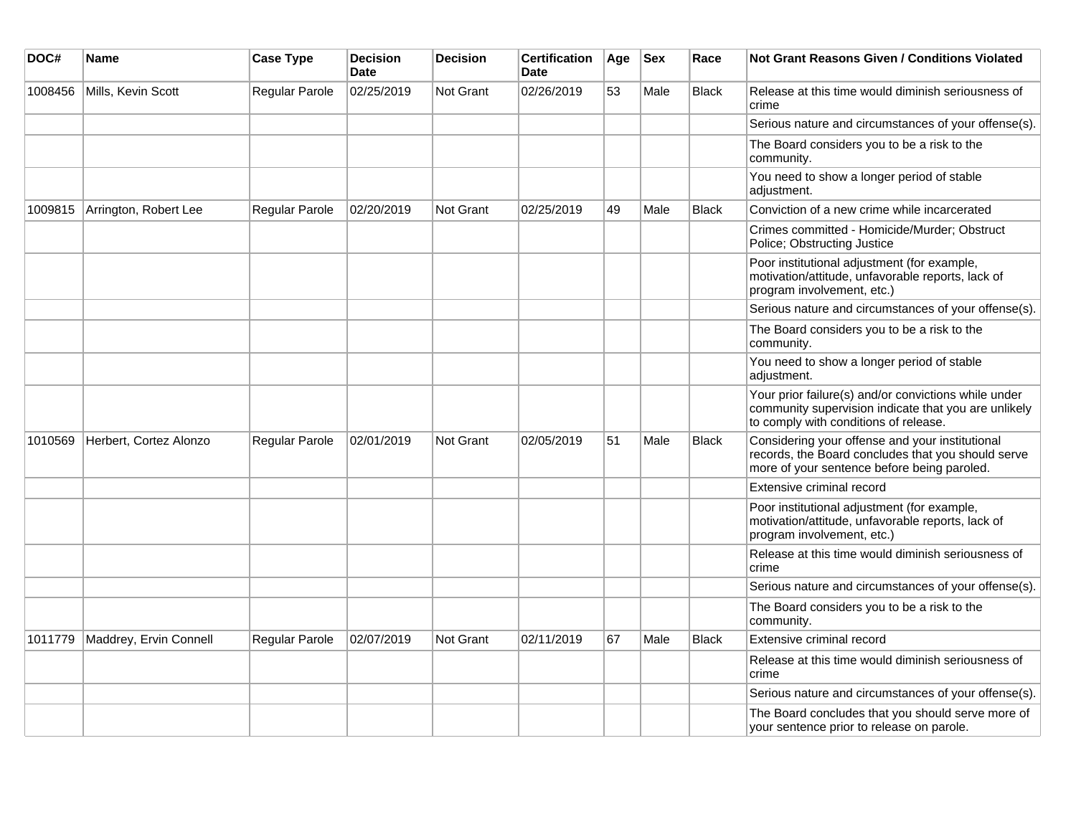| DOC#    | Name                   | <b>Case Type</b> | <b>Decision</b><br><b>Date</b> | <b>Decision</b>  | <b>Certification</b><br><b>Date</b> | Age | <b>Sex</b> | Race         | <b>Not Grant Reasons Given / Conditions Violated</b>                                                                                                  |
|---------|------------------------|------------------|--------------------------------|------------------|-------------------------------------|-----|------------|--------------|-------------------------------------------------------------------------------------------------------------------------------------------------------|
| 1008456 | Mills, Kevin Scott     | Regular Parole   | 02/25/2019                     | Not Grant        | 02/26/2019                          | 53  | Male       | <b>Black</b> | Release at this time would diminish seriousness of<br>crime                                                                                           |
|         |                        |                  |                                |                  |                                     |     |            |              | Serious nature and circumstances of your offense(s).                                                                                                  |
|         |                        |                  |                                |                  |                                     |     |            |              | The Board considers you to be a risk to the<br>community.                                                                                             |
|         |                        |                  |                                |                  |                                     |     |            |              | You need to show a longer period of stable<br>adjustment.                                                                                             |
| 1009815 | Arrington, Robert Lee  | Regular Parole   | 02/20/2019                     | <b>Not Grant</b> | 02/25/2019                          | 49  | Male       | <b>Black</b> | Conviction of a new crime while incarcerated                                                                                                          |
|         |                        |                  |                                |                  |                                     |     |            |              | Crimes committed - Homicide/Murder; Obstruct<br>Police; Obstructing Justice                                                                           |
|         |                        |                  |                                |                  |                                     |     |            |              | Poor institutional adjustment (for example,<br>motivation/attitude, unfavorable reports, lack of<br>program involvement, etc.)                        |
|         |                        |                  |                                |                  |                                     |     |            |              | Serious nature and circumstances of your offense(s).                                                                                                  |
|         |                        |                  |                                |                  |                                     |     |            |              | The Board considers you to be a risk to the<br>community.                                                                                             |
|         |                        |                  |                                |                  |                                     |     |            |              | You need to show a longer period of stable<br>adjustment.                                                                                             |
|         |                        |                  |                                |                  |                                     |     |            |              | Your prior failure(s) and/or convictions while under<br>community supervision indicate that you are unlikely<br>to comply with conditions of release. |
| 1010569 | Herbert, Cortez Alonzo | Regular Parole   | 02/01/2019                     | Not Grant        | 02/05/2019                          | 51  | Male       | <b>Black</b> | Considering your offense and your institutional<br>records, the Board concludes that you should serve<br>more of your sentence before being paroled.  |
|         |                        |                  |                                |                  |                                     |     |            |              | Extensive criminal record                                                                                                                             |
|         |                        |                  |                                |                  |                                     |     |            |              | Poor institutional adjustment (for example,<br>motivation/attitude, unfavorable reports, lack of<br>program involvement, etc.)                        |
|         |                        |                  |                                |                  |                                     |     |            |              | Release at this time would diminish seriousness of<br>crime                                                                                           |
|         |                        |                  |                                |                  |                                     |     |            |              | Serious nature and circumstances of your offense(s).                                                                                                  |
|         |                        |                  |                                |                  |                                     |     |            |              | The Board considers you to be a risk to the<br>community.                                                                                             |
| 1011779 | Maddrey, Ervin Connell | Regular Parole   | 02/07/2019                     | <b>Not Grant</b> | 02/11/2019                          | 67  | Male       | Black        | Extensive criminal record                                                                                                                             |
|         |                        |                  |                                |                  |                                     |     |            |              | Release at this time would diminish seriousness of<br>crime                                                                                           |
|         |                        |                  |                                |                  |                                     |     |            |              | Serious nature and circumstances of your offense(s).                                                                                                  |
|         |                        |                  |                                |                  |                                     |     |            |              | The Board concludes that you should serve more of<br>your sentence prior to release on parole.                                                        |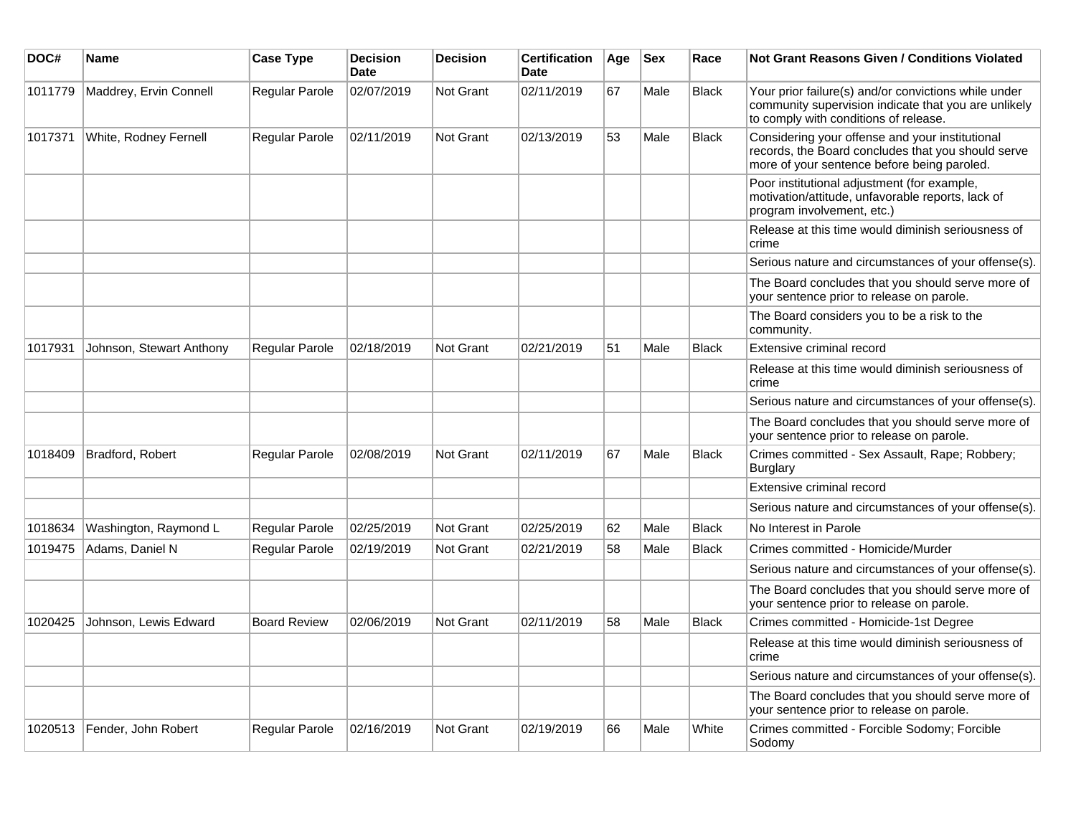| DOC#    | Name                     | <b>Case Type</b>      | <b>Decision</b><br><b>Date</b> | <b>Decision</b>  | <b>Certification</b><br><b>Date</b> | Age | <b>Sex</b> | Race         | Not Grant Reasons Given / Conditions Violated                                                                                                         |
|---------|--------------------------|-----------------------|--------------------------------|------------------|-------------------------------------|-----|------------|--------------|-------------------------------------------------------------------------------------------------------------------------------------------------------|
| 1011779 | Maddrey, Ervin Connell   | Regular Parole        | 02/07/2019                     | Not Grant        | 02/11/2019                          | 67  | Male       | <b>Black</b> | Your prior failure(s) and/or convictions while under<br>community supervision indicate that you are unlikely<br>to comply with conditions of release. |
| 1017371 | White, Rodney Fernell    | Regular Parole        | 02/11/2019                     | Not Grant        | 02/13/2019                          | 53  | Male       | <b>Black</b> | Considering your offense and your institutional<br>records, the Board concludes that you should serve<br>more of your sentence before being paroled.  |
|         |                          |                       |                                |                  |                                     |     |            |              | Poor institutional adjustment (for example,<br>motivation/attitude, unfavorable reports, lack of<br>program involvement, etc.)                        |
|         |                          |                       |                                |                  |                                     |     |            |              | Release at this time would diminish seriousness of<br>crime                                                                                           |
|         |                          |                       |                                |                  |                                     |     |            |              | Serious nature and circumstances of your offense(s).                                                                                                  |
|         |                          |                       |                                |                  |                                     |     |            |              | The Board concludes that you should serve more of<br>your sentence prior to release on parole.                                                        |
|         |                          |                       |                                |                  |                                     |     |            |              | The Board considers you to be a risk to the<br>community.                                                                                             |
| 1017931 | Johnson, Stewart Anthony | <b>Regular Parole</b> | 02/18/2019                     | Not Grant        | 02/21/2019                          | 51  | Male       | <b>Black</b> | Extensive criminal record                                                                                                                             |
|         |                          |                       |                                |                  |                                     |     |            |              | Release at this time would diminish seriousness of<br>crime                                                                                           |
|         |                          |                       |                                |                  |                                     |     |            |              | Serious nature and circumstances of your offense(s).                                                                                                  |
|         |                          |                       |                                |                  |                                     |     |            |              | The Board concludes that you should serve more of<br>your sentence prior to release on parole.                                                        |
| 1018409 | <b>Bradford, Robert</b>  | <b>Regular Parole</b> | 02/08/2019                     | Not Grant        | 02/11/2019                          | 67  | Male       | <b>Black</b> | Crimes committed - Sex Assault, Rape; Robbery;<br>Burglary                                                                                            |
|         |                          |                       |                                |                  |                                     |     |            |              | Extensive criminal record                                                                                                                             |
|         |                          |                       |                                |                  |                                     |     |            |              | Serious nature and circumstances of your offense(s).                                                                                                  |
| 1018634 | Washington, Raymond L    | Regular Parole        | 02/25/2019                     | Not Grant        | 02/25/2019                          | 62  | Male       | <b>Black</b> | No Interest in Parole                                                                                                                                 |
| 1019475 | Adams, Daniel N          | Regular Parole        | 02/19/2019                     | <b>Not Grant</b> | 02/21/2019                          | 58  | Male       | <b>Black</b> | Crimes committed - Homicide/Murder                                                                                                                    |
|         |                          |                       |                                |                  |                                     |     |            |              | Serious nature and circumstances of your offense(s).                                                                                                  |
|         |                          |                       |                                |                  |                                     |     |            |              | The Board concludes that you should serve more of<br>your sentence prior to release on parole.                                                        |
| 1020425 | Johnson, Lewis Edward    | <b>Board Review</b>   | 02/06/2019                     | Not Grant        | 02/11/2019                          | 58  | Male       | <b>Black</b> | Crimes committed - Homicide-1st Degree                                                                                                                |
|         |                          |                       |                                |                  |                                     |     |            |              | Release at this time would diminish seriousness of<br>crime                                                                                           |
|         |                          |                       |                                |                  |                                     |     |            |              | Serious nature and circumstances of your offense(s).                                                                                                  |
|         |                          |                       |                                |                  |                                     |     |            |              | The Board concludes that you should serve more of<br>your sentence prior to release on parole.                                                        |
| 1020513 | Fender, John Robert      | <b>Regular Parole</b> | 02/16/2019                     | Not Grant        | 02/19/2019                          | 66  | Male       | White        | Crimes committed - Forcible Sodomy; Forcible<br>Sodomy                                                                                                |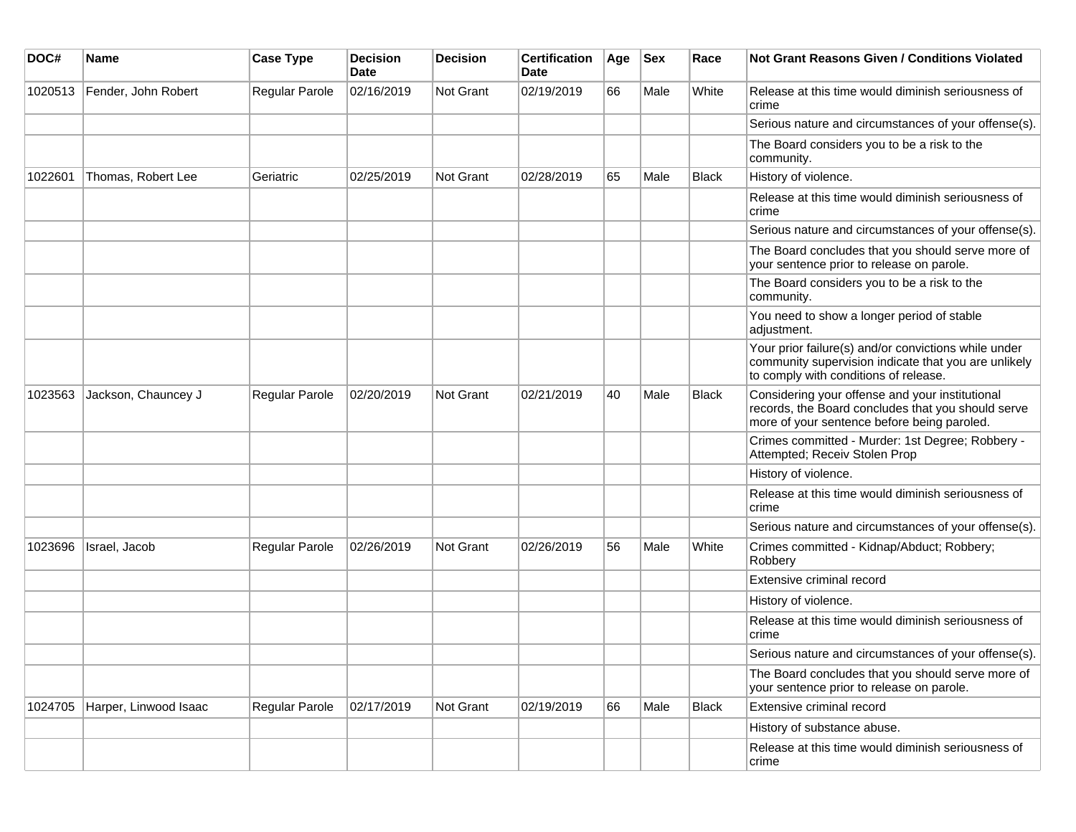| DOC#    | <b>Name</b>           | <b>Case Type</b> | <b>Decision</b><br><b>Date</b> | <b>Decision</b> | <b>Certification</b><br>Date | Age | <b>Sex</b> | Race         | <b>Not Grant Reasons Given / Conditions Violated</b>                                                                                                  |
|---------|-----------------------|------------------|--------------------------------|-----------------|------------------------------|-----|------------|--------------|-------------------------------------------------------------------------------------------------------------------------------------------------------|
| 1020513 | Fender, John Robert   | Regular Parole   | 02/16/2019                     | Not Grant       | 02/19/2019                   | 66  | Male       | White        | Release at this time would diminish seriousness of<br>crime                                                                                           |
|         |                       |                  |                                |                 |                              |     |            |              | Serious nature and circumstances of your offense(s).                                                                                                  |
|         |                       |                  |                                |                 |                              |     |            |              | The Board considers you to be a risk to the<br>community.                                                                                             |
| 1022601 | Thomas, Robert Lee    | Geriatric        | 02/25/2019                     | Not Grant       | 02/28/2019                   | 65  | Male       | <b>Black</b> | History of violence.                                                                                                                                  |
|         |                       |                  |                                |                 |                              |     |            |              | Release at this time would diminish seriousness of<br>crime                                                                                           |
|         |                       |                  |                                |                 |                              |     |            |              | Serious nature and circumstances of your offense(s).                                                                                                  |
|         |                       |                  |                                |                 |                              |     |            |              | The Board concludes that you should serve more of<br>your sentence prior to release on parole.                                                        |
|         |                       |                  |                                |                 |                              |     |            |              | The Board considers you to be a risk to the<br>community.                                                                                             |
|         |                       |                  |                                |                 |                              |     |            |              | You need to show a longer period of stable<br>adjustment.                                                                                             |
|         |                       |                  |                                |                 |                              |     |            |              | Your prior failure(s) and/or convictions while under<br>community supervision indicate that you are unlikely<br>to comply with conditions of release. |
| 1023563 | Jackson, Chauncey J   | Regular Parole   | 02/20/2019                     | Not Grant       | 02/21/2019                   | 40  | Male       | <b>Black</b> | Considering your offense and your institutional<br>records, the Board concludes that you should serve<br>more of your sentence before being paroled.  |
|         |                       |                  |                                |                 |                              |     |            |              | Crimes committed - Murder: 1st Degree; Robbery -<br>Attempted; Receiv Stolen Prop                                                                     |
|         |                       |                  |                                |                 |                              |     |            |              | History of violence.                                                                                                                                  |
|         |                       |                  |                                |                 |                              |     |            |              | Release at this time would diminish seriousness of<br>crime                                                                                           |
|         |                       |                  |                                |                 |                              |     |            |              | Serious nature and circumstances of your offense(s).                                                                                                  |
| 1023696 | Israel, Jacob         | Regular Parole   | 02/26/2019                     | Not Grant       | 02/26/2019                   | 56  | Male       | White        | Crimes committed - Kidnap/Abduct; Robbery;<br>Robbery                                                                                                 |
|         |                       |                  |                                |                 |                              |     |            |              | Extensive criminal record                                                                                                                             |
|         |                       |                  |                                |                 |                              |     |            |              | History of violence.                                                                                                                                  |
|         |                       |                  |                                |                 |                              |     |            |              | Release at this time would diminish seriousness of<br>crime                                                                                           |
|         |                       |                  |                                |                 |                              |     |            |              | Serious nature and circumstances of your offense(s).                                                                                                  |
|         |                       |                  |                                |                 |                              |     |            |              | The Board concludes that you should serve more of<br>your sentence prior to release on parole.                                                        |
| 1024705 | Harper, Linwood Isaac | Regular Parole   | 02/17/2019                     | Not Grant       | 02/19/2019                   | 66  | Male       | Black        | Extensive criminal record                                                                                                                             |
|         |                       |                  |                                |                 |                              |     |            |              | History of substance abuse.                                                                                                                           |
|         |                       |                  |                                |                 |                              |     |            |              | Release at this time would diminish seriousness of<br>crime                                                                                           |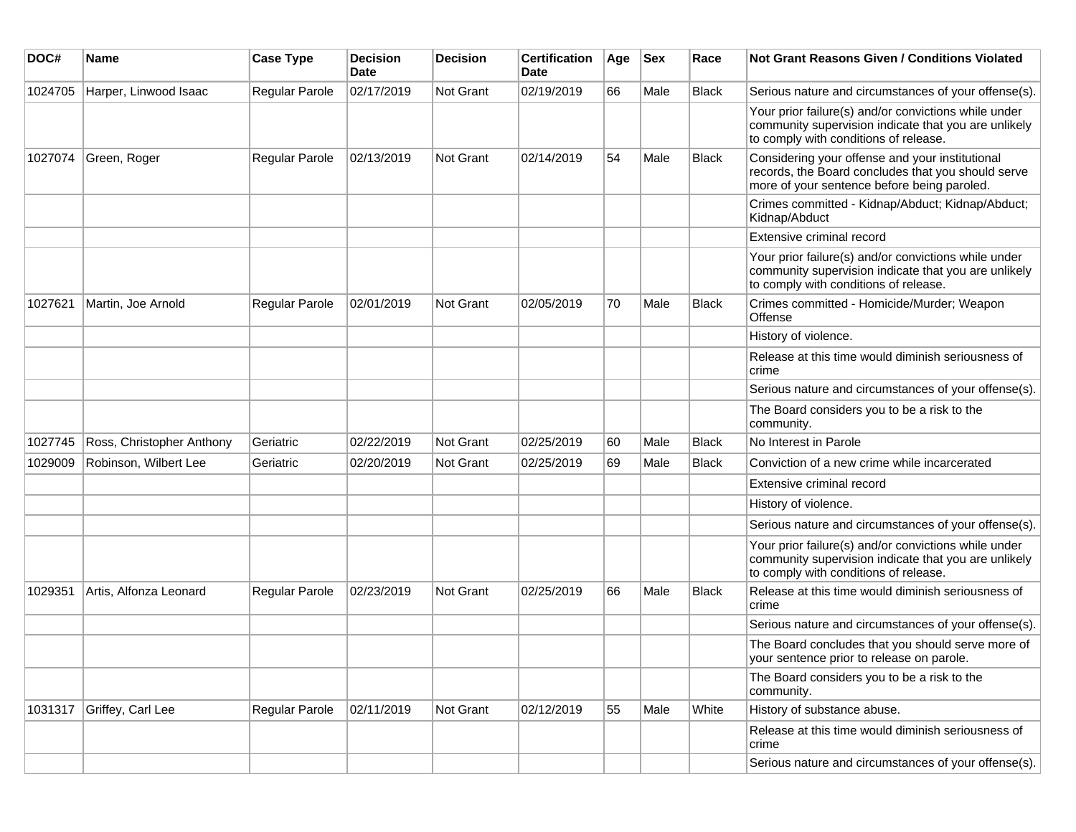| DOC#    | Name                      | <b>Case Type</b>      | <b>Decision</b><br>Date | <b>Decision</b> | <b>Certification</b><br>Date | Age | <b>Sex</b> | Race         | Not Grant Reasons Given / Conditions Violated                                                                                                         |
|---------|---------------------------|-----------------------|-------------------------|-----------------|------------------------------|-----|------------|--------------|-------------------------------------------------------------------------------------------------------------------------------------------------------|
| 1024705 | Harper, Linwood Isaac     | Regular Parole        | 02/17/2019              | Not Grant       | 02/19/2019                   | 66  | Male       | <b>Black</b> | Serious nature and circumstances of your offense(s).                                                                                                  |
|         |                           |                       |                         |                 |                              |     |            |              | Your prior failure(s) and/or convictions while under<br>community supervision indicate that you are unlikely<br>to comply with conditions of release. |
| 1027074 | Green, Roger              | Regular Parole        | 02/13/2019              | Not Grant       | 02/14/2019                   | 54  | Male       | <b>Black</b> | Considering your offense and your institutional<br>records, the Board concludes that you should serve<br>more of your sentence before being paroled.  |
|         |                           |                       |                         |                 |                              |     |            |              | Crimes committed - Kidnap/Abduct; Kidnap/Abduct;<br>Kidnap/Abduct                                                                                     |
|         |                           |                       |                         |                 |                              |     |            |              | Extensive criminal record                                                                                                                             |
|         |                           |                       |                         |                 |                              |     |            |              | Your prior failure(s) and/or convictions while under<br>community supervision indicate that you are unlikely<br>to comply with conditions of release. |
| 1027621 | Martin, Joe Arnold        | Regular Parole        | 02/01/2019              | Not Grant       | 02/05/2019                   | 70  | Male       | <b>Black</b> | Crimes committed - Homicide/Murder; Weapon<br>Offense                                                                                                 |
|         |                           |                       |                         |                 |                              |     |            |              | History of violence.                                                                                                                                  |
|         |                           |                       |                         |                 |                              |     |            |              | Release at this time would diminish seriousness of<br>crime                                                                                           |
|         |                           |                       |                         |                 |                              |     |            |              | Serious nature and circumstances of your offense(s).                                                                                                  |
|         |                           |                       |                         |                 |                              |     |            |              | The Board considers you to be a risk to the<br>community.                                                                                             |
| 1027745 | Ross, Christopher Anthony | Geriatric             | 02/22/2019              | Not Grant       | 02/25/2019                   | 60  | Male       | <b>Black</b> | No Interest in Parole                                                                                                                                 |
| 1029009 | Robinson, Wilbert Lee     | Geriatric             | 02/20/2019              | Not Grant       | 02/25/2019                   | 69  | Male       | <b>Black</b> | Conviction of a new crime while incarcerated                                                                                                          |
|         |                           |                       |                         |                 |                              |     |            |              | Extensive criminal record                                                                                                                             |
|         |                           |                       |                         |                 |                              |     |            |              | History of violence.                                                                                                                                  |
|         |                           |                       |                         |                 |                              |     |            |              | Serious nature and circumstances of your offense(s).                                                                                                  |
|         |                           |                       |                         |                 |                              |     |            |              | Your prior failure(s) and/or convictions while under<br>community supervision indicate that you are unlikely<br>to comply with conditions of release. |
| 1029351 | Artis, Alfonza Leonard    | <b>Regular Parole</b> | 02/23/2019              | Not Grant       | 02/25/2019                   | 66  | Male       | <b>Black</b> | Release at this time would diminish seriousness of<br>crime                                                                                           |
|         |                           |                       |                         |                 |                              |     |            |              | Serious nature and circumstances of your offense(s).                                                                                                  |
|         |                           |                       |                         |                 |                              |     |            |              | The Board concludes that you should serve more of<br>your sentence prior to release on parole.                                                        |
|         |                           |                       |                         |                 |                              |     |            |              | The Board considers you to be a risk to the<br>community.                                                                                             |
| 1031317 | Griffey, Carl Lee         | Regular Parole        | 02/11/2019              | Not Grant       | 02/12/2019                   | 55  | Male       | White        | History of substance abuse.                                                                                                                           |
|         |                           |                       |                         |                 |                              |     |            |              | Release at this time would diminish seriousness of<br>crime                                                                                           |
|         |                           |                       |                         |                 |                              |     |            |              | Serious nature and circumstances of your offense(s).                                                                                                  |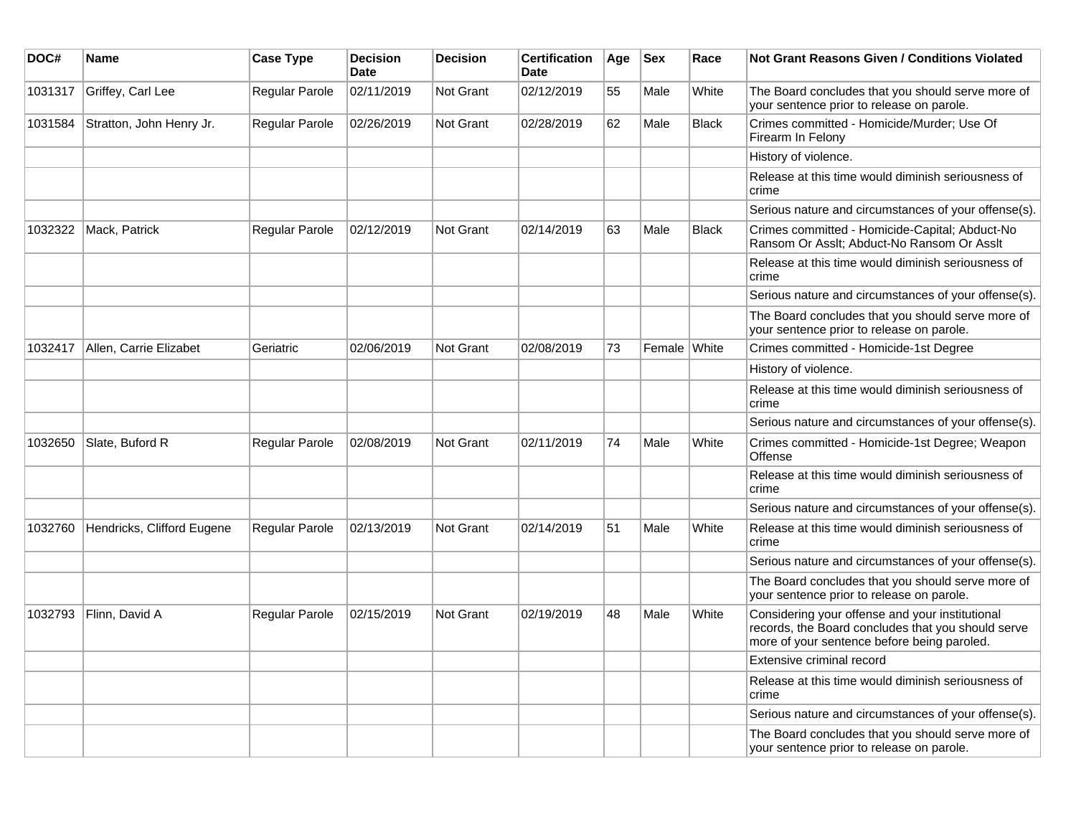| DOC#    | <b>Name</b>                | <b>Case Type</b>      | <b>Decision</b><br><b>Date</b> | <b>Decision</b>  | <b>Certification</b><br><b>Date</b> | Age | <b>Sex</b>   | Race         | <b>Not Grant Reasons Given / Conditions Violated</b>                                                                                                 |
|---------|----------------------------|-----------------------|--------------------------------|------------------|-------------------------------------|-----|--------------|--------------|------------------------------------------------------------------------------------------------------------------------------------------------------|
| 1031317 | Griffey, Carl Lee          | Regular Parole        | 02/11/2019                     | <b>Not Grant</b> | 02/12/2019                          | 55  | Male         | White        | The Board concludes that you should serve more of<br>your sentence prior to release on parole.                                                       |
| 1031584 | Stratton, John Henry Jr.   | Regular Parole        | 02/26/2019                     | <b>Not Grant</b> | 02/28/2019                          | 62  | Male         | <b>Black</b> | Crimes committed - Homicide/Murder; Use Of<br>Firearm In Felony                                                                                      |
|         |                            |                       |                                |                  |                                     |     |              |              | History of violence.                                                                                                                                 |
|         |                            |                       |                                |                  |                                     |     |              |              | Release at this time would diminish seriousness of<br>crime                                                                                          |
|         |                            |                       |                                |                  |                                     |     |              |              | Serious nature and circumstances of your offense(s).                                                                                                 |
| 1032322 | Mack, Patrick              | <b>Regular Parole</b> | 02/12/2019                     | <b>Not Grant</b> | 02/14/2019                          | 63  | Male         | <b>Black</b> | Crimes committed - Homicide-Capital; Abduct-No<br>Ransom Or Asslt: Abduct-No Ransom Or Asslt                                                         |
|         |                            |                       |                                |                  |                                     |     |              |              | Release at this time would diminish seriousness of<br>crime                                                                                          |
|         |                            |                       |                                |                  |                                     |     |              |              | Serious nature and circumstances of your offense(s).                                                                                                 |
|         |                            |                       |                                |                  |                                     |     |              |              | The Board concludes that you should serve more of<br>your sentence prior to release on parole.                                                       |
| 1032417 | Allen, Carrie Elizabet     | Geriatric             | 02/06/2019                     | <b>Not Grant</b> | 02/08/2019                          | 73  | Female White |              | Crimes committed - Homicide-1st Degree                                                                                                               |
|         |                            |                       |                                |                  |                                     |     |              |              | History of violence.                                                                                                                                 |
|         |                            |                       |                                |                  |                                     |     |              |              | Release at this time would diminish seriousness of<br>crime                                                                                          |
|         |                            |                       |                                |                  |                                     |     |              |              | Serious nature and circumstances of your offense(s).                                                                                                 |
| 1032650 | Slate, Buford R            | <b>Regular Parole</b> | 02/08/2019                     | <b>Not Grant</b> | 02/11/2019                          | 74  | Male         | White        | Crimes committed - Homicide-1st Degree; Weapon<br>Offense                                                                                            |
|         |                            |                       |                                |                  |                                     |     |              |              | Release at this time would diminish seriousness of<br>crime                                                                                          |
|         |                            |                       |                                |                  |                                     |     |              |              | Serious nature and circumstances of your offense(s).                                                                                                 |
| 1032760 | Hendricks, Clifford Eugene | <b>Regular Parole</b> | 02/13/2019                     | <b>Not Grant</b> | 02/14/2019                          | 51  | Male         | White        | Release at this time would diminish seriousness of<br>crime                                                                                          |
|         |                            |                       |                                |                  |                                     |     |              |              | Serious nature and circumstances of your offense(s).                                                                                                 |
|         |                            |                       |                                |                  |                                     |     |              |              | The Board concludes that you should serve more of<br>your sentence prior to release on parole.                                                       |
| 1032793 | Flinn, David A             | <b>Regular Parole</b> | 02/15/2019                     | <b>Not Grant</b> | 02/19/2019                          | 48  | Male         | White        | Considering your offense and your institutional<br>records, the Board concludes that you should serve<br>more of your sentence before being paroled. |
|         |                            |                       |                                |                  |                                     |     |              |              | Extensive criminal record                                                                                                                            |
|         |                            |                       |                                |                  |                                     |     |              |              | Release at this time would diminish seriousness of<br>crime                                                                                          |
|         |                            |                       |                                |                  |                                     |     |              |              | Serious nature and circumstances of your offense(s).                                                                                                 |
|         |                            |                       |                                |                  |                                     |     |              |              | The Board concludes that you should serve more of<br>your sentence prior to release on parole.                                                       |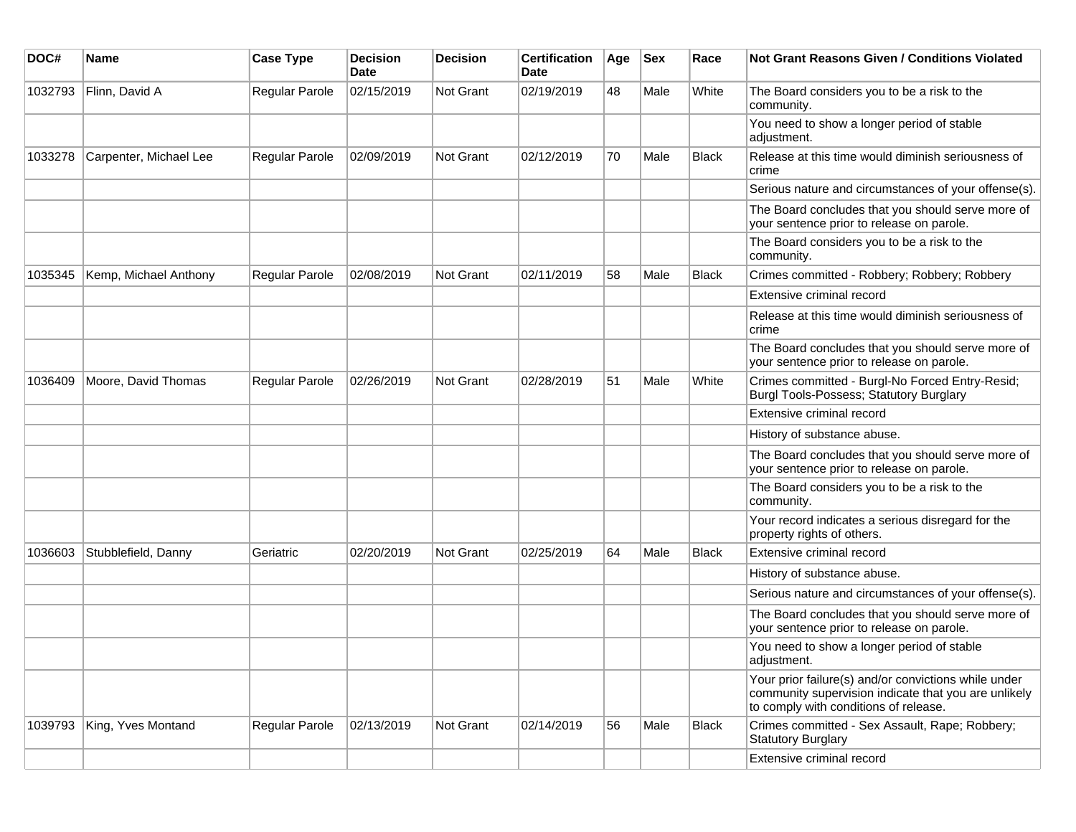| DOC#    | <b>Name</b>            | <b>Case Type</b> | <b>Decision</b><br><b>Date</b> | <b>Decision</b>  | <b>Certification</b><br>Date | Age | <b>Sex</b> | Race         | <b>Not Grant Reasons Given / Conditions Violated</b>                                                                                                  |
|---------|------------------------|------------------|--------------------------------|------------------|------------------------------|-----|------------|--------------|-------------------------------------------------------------------------------------------------------------------------------------------------------|
| 1032793 | Flinn, David A         | Regular Parole   | 02/15/2019                     | <b>Not Grant</b> | 02/19/2019                   | 48  | Male       | White        | The Board considers you to be a risk to the<br>community.                                                                                             |
|         |                        |                  |                                |                  |                              |     |            |              | You need to show a longer period of stable<br>adjustment.                                                                                             |
| 1033278 | Carpenter, Michael Lee | Regular Parole   | 02/09/2019                     | Not Grant        | 02/12/2019                   | 70  | Male       | <b>Black</b> | Release at this time would diminish seriousness of<br>crime                                                                                           |
|         |                        |                  |                                |                  |                              |     |            |              | Serious nature and circumstances of your offense(s).                                                                                                  |
|         |                        |                  |                                |                  |                              |     |            |              | The Board concludes that you should serve more of<br>your sentence prior to release on parole.                                                        |
|         |                        |                  |                                |                  |                              |     |            |              | The Board considers you to be a risk to the<br>community.                                                                                             |
| 1035345 | Kemp, Michael Anthony  | Regular Parole   | 02/08/2019                     | <b>Not Grant</b> | 02/11/2019                   | 58  | Male       | <b>Black</b> | Crimes committed - Robbery; Robbery; Robbery                                                                                                          |
|         |                        |                  |                                |                  |                              |     |            |              | Extensive criminal record                                                                                                                             |
|         |                        |                  |                                |                  |                              |     |            |              | Release at this time would diminish seriousness of<br>crime                                                                                           |
|         |                        |                  |                                |                  |                              |     |            |              | The Board concludes that you should serve more of<br>your sentence prior to release on parole.                                                        |
| 1036409 | Moore, David Thomas    | Regular Parole   | 02/26/2019                     | Not Grant        | 02/28/2019                   | 51  | Male       | White        | Crimes committed - Burgl-No Forced Entry-Resid;<br>Burgl Tools-Possess; Statutory Burglary                                                            |
|         |                        |                  |                                |                  |                              |     |            |              | Extensive criminal record                                                                                                                             |
|         |                        |                  |                                |                  |                              |     |            |              | History of substance abuse.                                                                                                                           |
|         |                        |                  |                                |                  |                              |     |            |              | The Board concludes that you should serve more of<br>your sentence prior to release on parole.                                                        |
|         |                        |                  |                                |                  |                              |     |            |              | The Board considers you to be a risk to the<br>community.                                                                                             |
|         |                        |                  |                                |                  |                              |     |            |              | Your record indicates a serious disregard for the<br>property rights of others.                                                                       |
| 1036603 | Stubblefield, Danny    | Geriatric        | 02/20/2019                     | <b>Not Grant</b> | 02/25/2019                   | 64  | Male       | <b>Black</b> | Extensive criminal record                                                                                                                             |
|         |                        |                  |                                |                  |                              |     |            |              | History of substance abuse.                                                                                                                           |
|         |                        |                  |                                |                  |                              |     |            |              | Serious nature and circumstances of your offense(s).                                                                                                  |
|         |                        |                  |                                |                  |                              |     |            |              | The Board concludes that you should serve more of<br>your sentence prior to release on parole.                                                        |
|         |                        |                  |                                |                  |                              |     |            |              | You need to show a longer period of stable<br>adjustment.                                                                                             |
|         |                        |                  |                                |                  |                              |     |            |              | Your prior failure(s) and/or convictions while under<br>community supervision indicate that you are unlikely<br>to comply with conditions of release. |
| 1039793 | King, Yves Montand     | Regular Parole   | 02/13/2019                     | Not Grant        | 02/14/2019                   | 56  | Male       | <b>Black</b> | Crimes committed - Sex Assault, Rape; Robbery;<br>Statutory Burglary                                                                                  |
|         |                        |                  |                                |                  |                              |     |            |              | Extensive criminal record                                                                                                                             |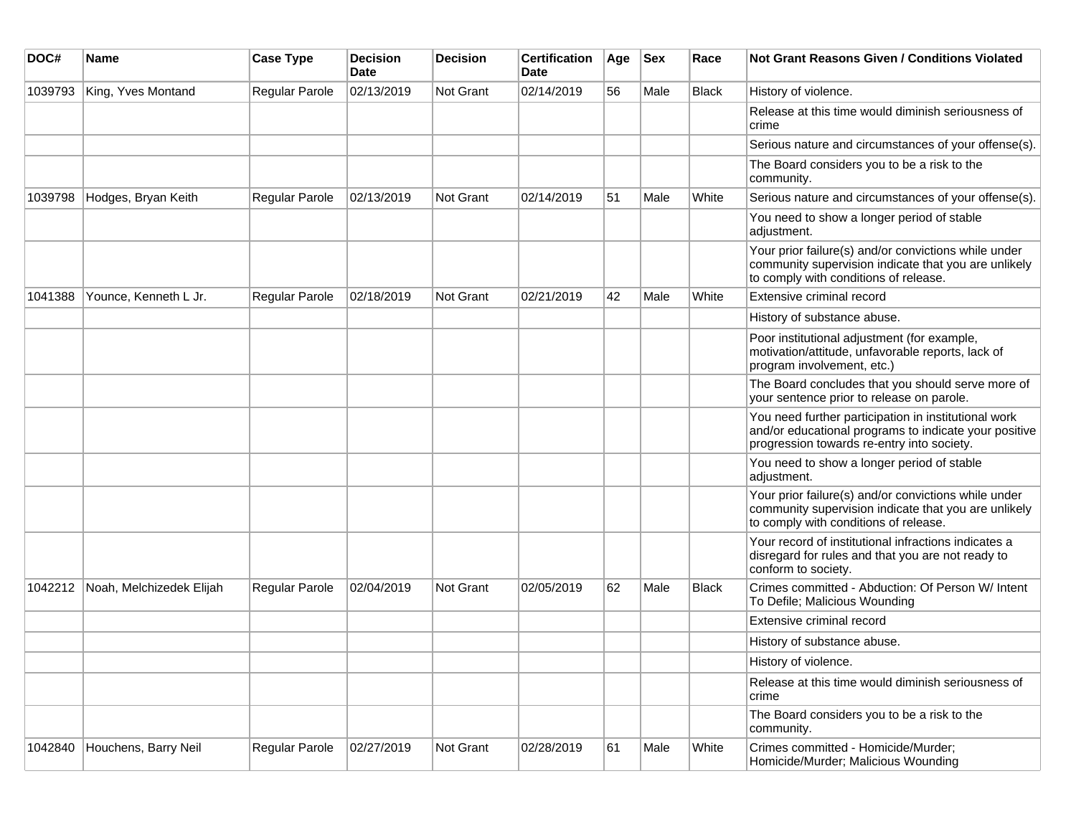| DOC#    | <b>Name</b>              | <b>Case Type</b> | <b>Decision</b><br><b>Date</b> | <b>Decision</b>  | <b>Certification</b><br>Date | Age | <b>Sex</b> | Race         | <b>Not Grant Reasons Given / Conditions Violated</b>                                                                                                        |
|---------|--------------------------|------------------|--------------------------------|------------------|------------------------------|-----|------------|--------------|-------------------------------------------------------------------------------------------------------------------------------------------------------------|
| 1039793 | King, Yves Montand       | Regular Parole   | 02/13/2019                     | Not Grant        | 02/14/2019                   | 56  | Male       | <b>Black</b> | History of violence.                                                                                                                                        |
|         |                          |                  |                                |                  |                              |     |            |              | Release at this time would diminish seriousness of<br>crime                                                                                                 |
|         |                          |                  |                                |                  |                              |     |            |              | Serious nature and circumstances of your offense(s).                                                                                                        |
|         |                          |                  |                                |                  |                              |     |            |              | The Board considers you to be a risk to the<br>community.                                                                                                   |
| 1039798 | Hodges, Bryan Keith      | Regular Parole   | 02/13/2019                     | <b>Not Grant</b> | 02/14/2019                   | 51  | Male       | White        | Serious nature and circumstances of your offense(s).                                                                                                        |
|         |                          |                  |                                |                  |                              |     |            |              | You need to show a longer period of stable<br>adjustment.                                                                                                   |
|         |                          |                  |                                |                  |                              |     |            |              | Your prior failure(s) and/or convictions while under<br>community supervision indicate that you are unlikely<br>to comply with conditions of release.       |
| 1041388 | Younce, Kenneth L Jr.    | Regular Parole   | 02/18/2019                     | Not Grant        | 02/21/2019                   | 42  | Male       | White        | Extensive criminal record                                                                                                                                   |
|         |                          |                  |                                |                  |                              |     |            |              | History of substance abuse.                                                                                                                                 |
|         |                          |                  |                                |                  |                              |     |            |              | Poor institutional adjustment (for example,<br>motivation/attitude, unfavorable reports, lack of<br>program involvement, etc.)                              |
|         |                          |                  |                                |                  |                              |     |            |              | The Board concludes that you should serve more of<br>your sentence prior to release on parole.                                                              |
|         |                          |                  |                                |                  |                              |     |            |              | You need further participation in institutional work<br>and/or educational programs to indicate your positive<br>progression towards re-entry into society. |
|         |                          |                  |                                |                  |                              |     |            |              | You need to show a longer period of stable<br>adjustment.                                                                                                   |
|         |                          |                  |                                |                  |                              |     |            |              | Your prior failure(s) and/or convictions while under<br>community supervision indicate that you are unlikely<br>to comply with conditions of release.       |
|         |                          |                  |                                |                  |                              |     |            |              | Your record of institutional infractions indicates a<br>disregard for rules and that you are not ready to<br>conform to society.                            |
| 1042212 | Noah, Melchizedek Elijah | Regular Parole   | 02/04/2019                     | Not Grant        | 02/05/2019                   | 62  | Male       | <b>Black</b> | Crimes committed - Abduction: Of Person W/ Intent<br>To Defile; Malicious Wounding                                                                          |
|         |                          |                  |                                |                  |                              |     |            |              | Extensive criminal record                                                                                                                                   |
|         |                          |                  |                                |                  |                              |     |            |              | History of substance abuse.                                                                                                                                 |
|         |                          |                  |                                |                  |                              |     |            |              | History of violence.                                                                                                                                        |
|         |                          |                  |                                |                  |                              |     |            |              | Release at this time would diminish seriousness of<br>crime                                                                                                 |
|         |                          |                  |                                |                  |                              |     |            |              | The Board considers you to be a risk to the<br>community.                                                                                                   |
| 1042840 | Houchens, Barry Neil     | Regular Parole   | 02/27/2019                     | Not Grant        | 02/28/2019                   | 61  | Male       | White        | Crimes committed - Homicide/Murder;<br>Homicide/Murder; Malicious Wounding                                                                                  |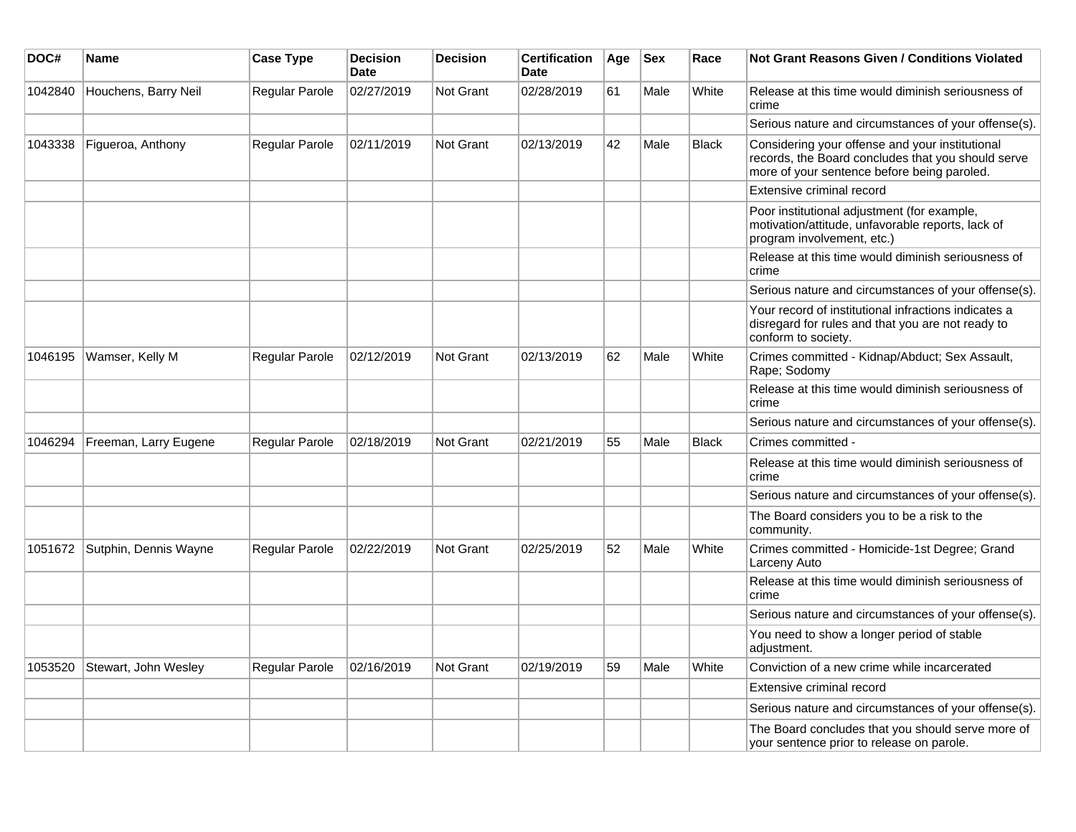| DOC#    | Name                  | <b>Case Type</b> | <b>Decision</b><br><b>Date</b> | <b>Decision</b>  | <b>Certification</b><br><b>Date</b> | Age | <b>Sex</b> | Race         | Not Grant Reasons Given / Conditions Violated                                                                                                        |
|---------|-----------------------|------------------|--------------------------------|------------------|-------------------------------------|-----|------------|--------------|------------------------------------------------------------------------------------------------------------------------------------------------------|
| 1042840 | Houchens, Barry Neil  | Regular Parole   | 02/27/2019                     | Not Grant        | 02/28/2019                          | 61  | Male       | White        | Release at this time would diminish seriousness of<br>crime                                                                                          |
|         |                       |                  |                                |                  |                                     |     |            |              | Serious nature and circumstances of your offense(s).                                                                                                 |
| 1043338 | Figueroa, Anthony     | Regular Parole   | 02/11/2019                     | <b>Not Grant</b> | 02/13/2019                          | 42  | Male       | <b>Black</b> | Considering your offense and your institutional<br>records, the Board concludes that you should serve<br>more of your sentence before being paroled. |
|         |                       |                  |                                |                  |                                     |     |            |              | Extensive criminal record                                                                                                                            |
|         |                       |                  |                                |                  |                                     |     |            |              | Poor institutional adjustment (for example,<br>motivation/attitude, unfavorable reports, lack of<br>program involvement, etc.)                       |
|         |                       |                  |                                |                  |                                     |     |            |              | Release at this time would diminish seriousness of<br>crime                                                                                          |
|         |                       |                  |                                |                  |                                     |     |            |              | Serious nature and circumstances of your offense(s).                                                                                                 |
|         |                       |                  |                                |                  |                                     |     |            |              | Your record of institutional infractions indicates a<br>disregard for rules and that you are not ready to<br>conform to society.                     |
| 1046195 | Wamser, Kelly M       | Regular Parole   | 02/12/2019                     | Not Grant        | 02/13/2019                          | 62  | Male       | White        | Crimes committed - Kidnap/Abduct; Sex Assault,<br>Rape; Sodomy                                                                                       |
|         |                       |                  |                                |                  |                                     |     |            |              | Release at this time would diminish seriousness of<br>crime                                                                                          |
|         |                       |                  |                                |                  |                                     |     |            |              | Serious nature and circumstances of your offense(s).                                                                                                 |
| 1046294 | Freeman, Larry Eugene | Regular Parole   | 02/18/2019                     | Not Grant        | 02/21/2019                          | 55  | Male       | <b>Black</b> | Crimes committed -                                                                                                                                   |
|         |                       |                  |                                |                  |                                     |     |            |              | Release at this time would diminish seriousness of<br>crime                                                                                          |
|         |                       |                  |                                |                  |                                     |     |            |              | Serious nature and circumstances of your offense(s).                                                                                                 |
|         |                       |                  |                                |                  |                                     |     |            |              | The Board considers you to be a risk to the<br>community.                                                                                            |
| 1051672 | Sutphin, Dennis Wayne | Regular Parole   | 02/22/2019                     | Not Grant        | 02/25/2019                          | 52  | Male       | White        | Crimes committed - Homicide-1st Degree; Grand<br>Larceny Auto                                                                                        |
|         |                       |                  |                                |                  |                                     |     |            |              | Release at this time would diminish seriousness of<br>crime                                                                                          |
|         |                       |                  |                                |                  |                                     |     |            |              | Serious nature and circumstances of your offense(s).                                                                                                 |
|         |                       |                  |                                |                  |                                     |     |            |              | You need to show a longer period of stable<br>adjustment.                                                                                            |
| 1053520 | Stewart, John Wesley  | Regular Parole   | 02/16/2019                     | <b>Not Grant</b> | 02/19/2019                          | 59  | Male       | White        | Conviction of a new crime while incarcerated                                                                                                         |
|         |                       |                  |                                |                  |                                     |     |            |              | Extensive criminal record                                                                                                                            |
|         |                       |                  |                                |                  |                                     |     |            |              | Serious nature and circumstances of your offense(s).                                                                                                 |
|         |                       |                  |                                |                  |                                     |     |            |              | The Board concludes that you should serve more of<br>your sentence prior to release on parole.                                                       |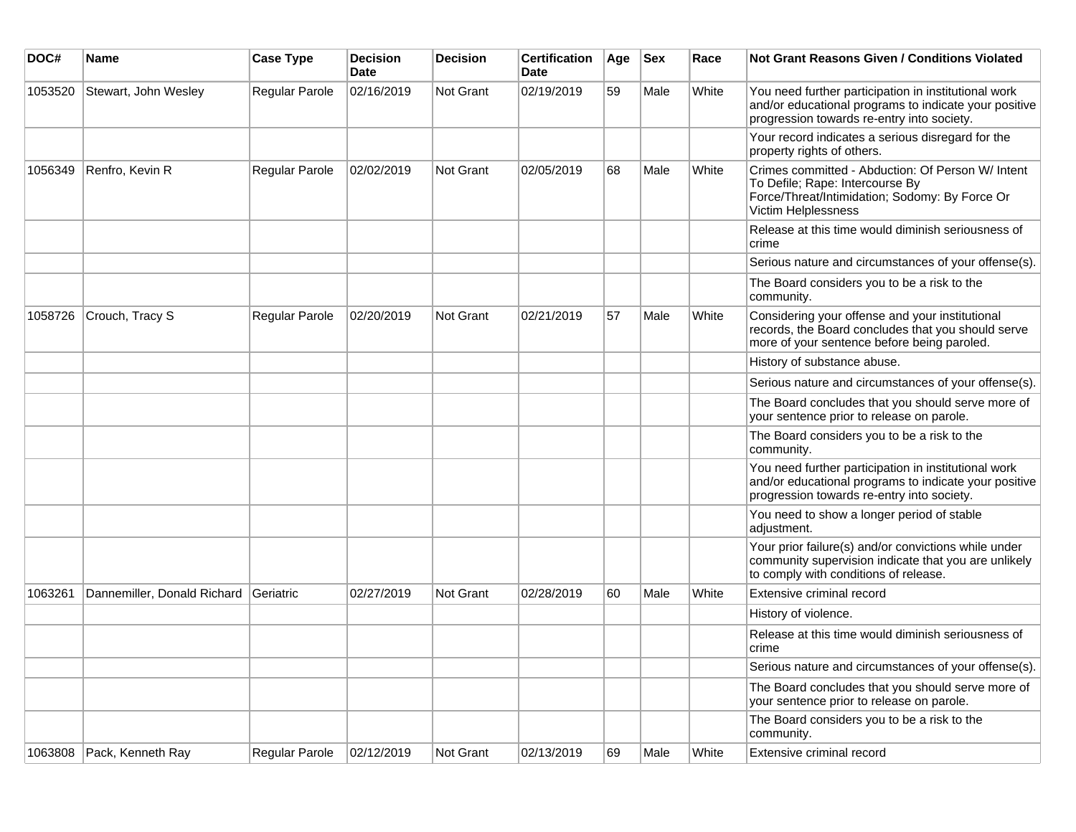| DOC#    | Name                                  | <b>Case Type</b> | <b>Decision</b><br><b>Date</b> | <b>Decision</b> | <b>Certification</b><br>Date | Age | <b>Sex</b> | Race  | <b>Not Grant Reasons Given / Conditions Violated</b>                                                                                                          |
|---------|---------------------------------------|------------------|--------------------------------|-----------------|------------------------------|-----|------------|-------|---------------------------------------------------------------------------------------------------------------------------------------------------------------|
| 1053520 | Stewart, John Wesley                  | Regular Parole   | 02/16/2019                     | Not Grant       | 02/19/2019                   | 59  | Male       | White | You need further participation in institutional work<br>and/or educational programs to indicate your positive<br>progression towards re-entry into society.   |
|         |                                       |                  |                                |                 |                              |     |            |       | Your record indicates a serious disregard for the<br>property rights of others.                                                                               |
| 1056349 | Renfro, Kevin R                       | Regular Parole   | 02/02/2019                     | Not Grant       | 02/05/2019                   | 68  | Male       | White | Crimes committed - Abduction: Of Person W/ Intent<br>To Defile; Rape: Intercourse By<br>Force/Threat/Intimidation; Sodomy: By Force Or<br>Victim Helplessness |
|         |                                       |                  |                                |                 |                              |     |            |       | Release at this time would diminish seriousness of<br>crime                                                                                                   |
|         |                                       |                  |                                |                 |                              |     |            |       | Serious nature and circumstances of your offense(s).                                                                                                          |
|         |                                       |                  |                                |                 |                              |     |            |       | The Board considers you to be a risk to the<br>community.                                                                                                     |
| 1058726 | Crouch, Tracy S                       | Regular Parole   | 02/20/2019                     | Not Grant       | 02/21/2019                   | 57  | Male       | White | Considering your offense and your institutional<br>records, the Board concludes that you should serve<br>more of your sentence before being paroled.          |
|         |                                       |                  |                                |                 |                              |     |            |       | History of substance abuse.                                                                                                                                   |
|         |                                       |                  |                                |                 |                              |     |            |       | Serious nature and circumstances of your offense(s).                                                                                                          |
|         |                                       |                  |                                |                 |                              |     |            |       | The Board concludes that you should serve more of<br>your sentence prior to release on parole.                                                                |
|         |                                       |                  |                                |                 |                              |     |            |       | The Board considers you to be a risk to the<br>community.                                                                                                     |
|         |                                       |                  |                                |                 |                              |     |            |       | You need further participation in institutional work<br>and/or educational programs to indicate your positive<br>progression towards re-entry into society.   |
|         |                                       |                  |                                |                 |                              |     |            |       | You need to show a longer period of stable<br>adjustment.                                                                                                     |
|         |                                       |                  |                                |                 |                              |     |            |       | Your prior failure(s) and/or convictions while under<br>community supervision indicate that you are unlikely<br>to comply with conditions of release.         |
| 1063261 | Dannemiller, Donald Richard Geriatric |                  | 02/27/2019                     | Not Grant       | 02/28/2019                   | 60  | Male       | White | Extensive criminal record                                                                                                                                     |
|         |                                       |                  |                                |                 |                              |     |            |       | History of violence.                                                                                                                                          |
|         |                                       |                  |                                |                 |                              |     |            |       | Release at this time would diminish seriousness of<br>crime                                                                                                   |
|         |                                       |                  |                                |                 |                              |     |            |       | Serious nature and circumstances of your offense(s).                                                                                                          |
|         |                                       |                  |                                |                 |                              |     |            |       | The Board concludes that you should serve more of<br>your sentence prior to release on parole.                                                                |
|         |                                       |                  |                                |                 |                              |     |            |       | The Board considers you to be a risk to the<br>community.                                                                                                     |
| 1063808 | Pack, Kenneth Ray                     | Regular Parole   | 02/12/2019                     | Not Grant       | 02/13/2019                   | 69  | Male       | White | Extensive criminal record                                                                                                                                     |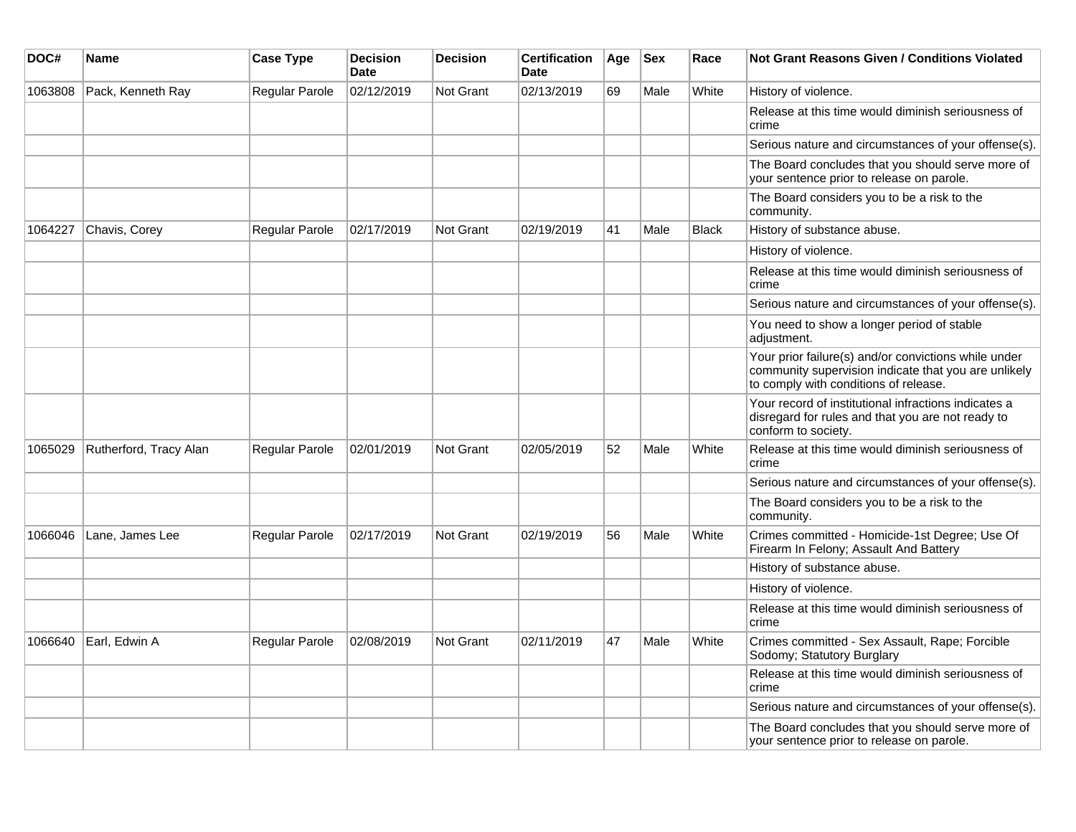| DOC#    | <b>Name</b>            | <b>Case Type</b> | <b>Decision</b><br><b>Date</b> | <b>Decision</b>  | <b>Certification</b><br>Date | Age | <b>Sex</b> | Race         | Not Grant Reasons Given / Conditions Violated                                                                                                         |
|---------|------------------------|------------------|--------------------------------|------------------|------------------------------|-----|------------|--------------|-------------------------------------------------------------------------------------------------------------------------------------------------------|
| 1063808 | Pack, Kenneth Ray      | Regular Parole   | 02/12/2019                     | Not Grant        | 02/13/2019                   | 69  | Male       | White        | History of violence.                                                                                                                                  |
|         |                        |                  |                                |                  |                              |     |            |              | Release at this time would diminish seriousness of<br>crime                                                                                           |
|         |                        |                  |                                |                  |                              |     |            |              | Serious nature and circumstances of your offense(s).                                                                                                  |
|         |                        |                  |                                |                  |                              |     |            |              | The Board concludes that you should serve more of<br>your sentence prior to release on parole.                                                        |
|         |                        |                  |                                |                  |                              |     |            |              | The Board considers you to be a risk to the<br>community.                                                                                             |
| 1064227 | Chavis, Corey          | Regular Parole   | 02/17/2019                     | Not Grant        | 02/19/2019                   | 41  | Male       | <b>Black</b> | History of substance abuse.                                                                                                                           |
|         |                        |                  |                                |                  |                              |     |            |              | History of violence.                                                                                                                                  |
|         |                        |                  |                                |                  |                              |     |            |              | Release at this time would diminish seriousness of<br>crime                                                                                           |
|         |                        |                  |                                |                  |                              |     |            |              | Serious nature and circumstances of your offense(s).                                                                                                  |
|         |                        |                  |                                |                  |                              |     |            |              | You need to show a longer period of stable<br>adjustment.                                                                                             |
|         |                        |                  |                                |                  |                              |     |            |              | Your prior failure(s) and/or convictions while under<br>community supervision indicate that you are unlikely<br>to comply with conditions of release. |
|         |                        |                  |                                |                  |                              |     |            |              | Your record of institutional infractions indicates a<br>disregard for rules and that you are not ready to<br>conform to society.                      |
| 1065029 | Rutherford, Tracy Alan | Regular Parole   | 02/01/2019                     | <b>Not Grant</b> | 02/05/2019                   | 52  | Male       | White        | Release at this time would diminish seriousness of<br>crime                                                                                           |
|         |                        |                  |                                |                  |                              |     |            |              | Serious nature and circumstances of your offense(s).                                                                                                  |
|         |                        |                  |                                |                  |                              |     |            |              | The Board considers you to be a risk to the<br>community.                                                                                             |
| 1066046 | Lane, James Lee        | Regular Parole   | 02/17/2019                     | Not Grant        | 02/19/2019                   | 56  | Male       | White        | Crimes committed - Homicide-1st Degree; Use Of<br>Firearm In Felony; Assault And Battery                                                              |
|         |                        |                  |                                |                  |                              |     |            |              | History of substance abuse.                                                                                                                           |
|         |                        |                  |                                |                  |                              |     |            |              | History of violence.                                                                                                                                  |
|         |                        |                  |                                |                  |                              |     |            |              | Release at this time would diminish seriousness of<br>crime                                                                                           |
| 1066640 | Earl, Edwin A          | Regular Parole   | 02/08/2019                     | Not Grant        | 02/11/2019                   | 47  | Male       | White        | Crimes committed - Sex Assault, Rape; Forcible<br>Sodomy; Statutory Burglary                                                                          |
|         |                        |                  |                                |                  |                              |     |            |              | Release at this time would diminish seriousness of<br>crime                                                                                           |
|         |                        |                  |                                |                  |                              |     |            |              | Serious nature and circumstances of your offense(s).                                                                                                  |
|         |                        |                  |                                |                  |                              |     |            |              | The Board concludes that you should serve more of<br>your sentence prior to release on parole.                                                        |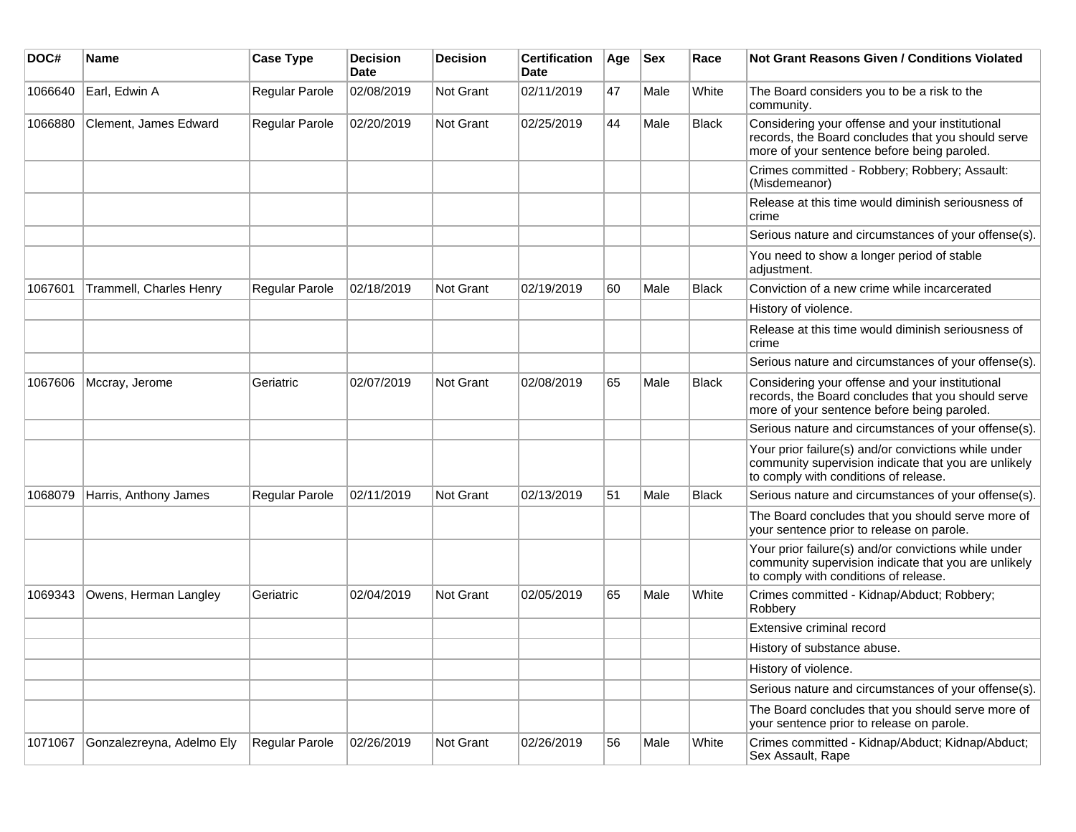| DOC#    | <b>Name</b>               | <b>Case Type</b> | <b>Decision</b><br><b>Date</b> | <b>Decision</b> | <b>Certification</b><br>Date | Age | <b>Sex</b> | Race         | <b>Not Grant Reasons Given / Conditions Violated</b>                                                                                                  |
|---------|---------------------------|------------------|--------------------------------|-----------------|------------------------------|-----|------------|--------------|-------------------------------------------------------------------------------------------------------------------------------------------------------|
| 1066640 | Earl, Edwin A             | Regular Parole   | 02/08/2019                     | Not Grant       | 02/11/2019                   | 47  | Male       | White        | The Board considers you to be a risk to the<br>community.                                                                                             |
| 1066880 | Clement, James Edward     | Regular Parole   | 02/20/2019                     | Not Grant       | 02/25/2019                   | 44  | Male       | <b>Black</b> | Considering your offense and your institutional<br>records, the Board concludes that you should serve<br>more of your sentence before being paroled.  |
|         |                           |                  |                                |                 |                              |     |            |              | Crimes committed - Robbery; Robbery; Assault:<br>(Misdemeanor)                                                                                        |
|         |                           |                  |                                |                 |                              |     |            |              | Release at this time would diminish seriousness of<br>crime                                                                                           |
|         |                           |                  |                                |                 |                              |     |            |              | Serious nature and circumstances of your offense(s).                                                                                                  |
|         |                           |                  |                                |                 |                              |     |            |              | You need to show a longer period of stable<br>adjustment.                                                                                             |
| 1067601 | Trammell, Charles Henry   | Regular Parole   | 02/18/2019                     | Not Grant       | 02/19/2019                   | 60  | Male       | <b>Black</b> | Conviction of a new crime while incarcerated                                                                                                          |
|         |                           |                  |                                |                 |                              |     |            |              | History of violence.                                                                                                                                  |
|         |                           |                  |                                |                 |                              |     |            |              | Release at this time would diminish seriousness of<br>crime                                                                                           |
|         |                           |                  |                                |                 |                              |     |            |              | Serious nature and circumstances of your offense(s).                                                                                                  |
| 1067606 | Mccray, Jerome            | Geriatric        | 02/07/2019                     | Not Grant       | 02/08/2019                   | 65  | Male       | Black        | Considering your offense and your institutional<br>records, the Board concludes that you should serve<br>more of your sentence before being paroled.  |
|         |                           |                  |                                |                 |                              |     |            |              | Serious nature and circumstances of your offense(s).                                                                                                  |
|         |                           |                  |                                |                 |                              |     |            |              | Your prior failure(s) and/or convictions while under<br>community supervision indicate that you are unlikely<br>to comply with conditions of release. |
| 1068079 | Harris, Anthony James     | Regular Parole   | 02/11/2019                     | Not Grant       | 02/13/2019                   | 51  | Male       | <b>Black</b> | Serious nature and circumstances of your offense(s).                                                                                                  |
|         |                           |                  |                                |                 |                              |     |            |              | The Board concludes that you should serve more of<br>your sentence prior to release on parole.                                                        |
|         |                           |                  |                                |                 |                              |     |            |              | Your prior failure(s) and/or convictions while under<br>community supervision indicate that you are unlikely<br>to comply with conditions of release. |
| 1069343 | Owens, Herman Langley     | Geriatric        | 02/04/2019                     | Not Grant       | 02/05/2019                   | 65  | Male       | White        | Crimes committed - Kidnap/Abduct; Robbery;<br>Robbery                                                                                                 |
|         |                           |                  |                                |                 |                              |     |            |              | Extensive criminal record                                                                                                                             |
|         |                           |                  |                                |                 |                              |     |            |              | History of substance abuse.                                                                                                                           |
|         |                           |                  |                                |                 |                              |     |            |              | History of violence.                                                                                                                                  |
|         |                           |                  |                                |                 |                              |     |            |              | Serious nature and circumstances of your offense(s).                                                                                                  |
|         |                           |                  |                                |                 |                              |     |            |              | The Board concludes that you should serve more of<br>your sentence prior to release on parole.                                                        |
| 1071067 | Gonzalezreyna, Adelmo Ely | Regular Parole   | 02/26/2019                     | Not Grant       | 02/26/2019                   | 56  | Male       | White        | Crimes committed - Kidnap/Abduct; Kidnap/Abduct;<br>Sex Assault, Rape                                                                                 |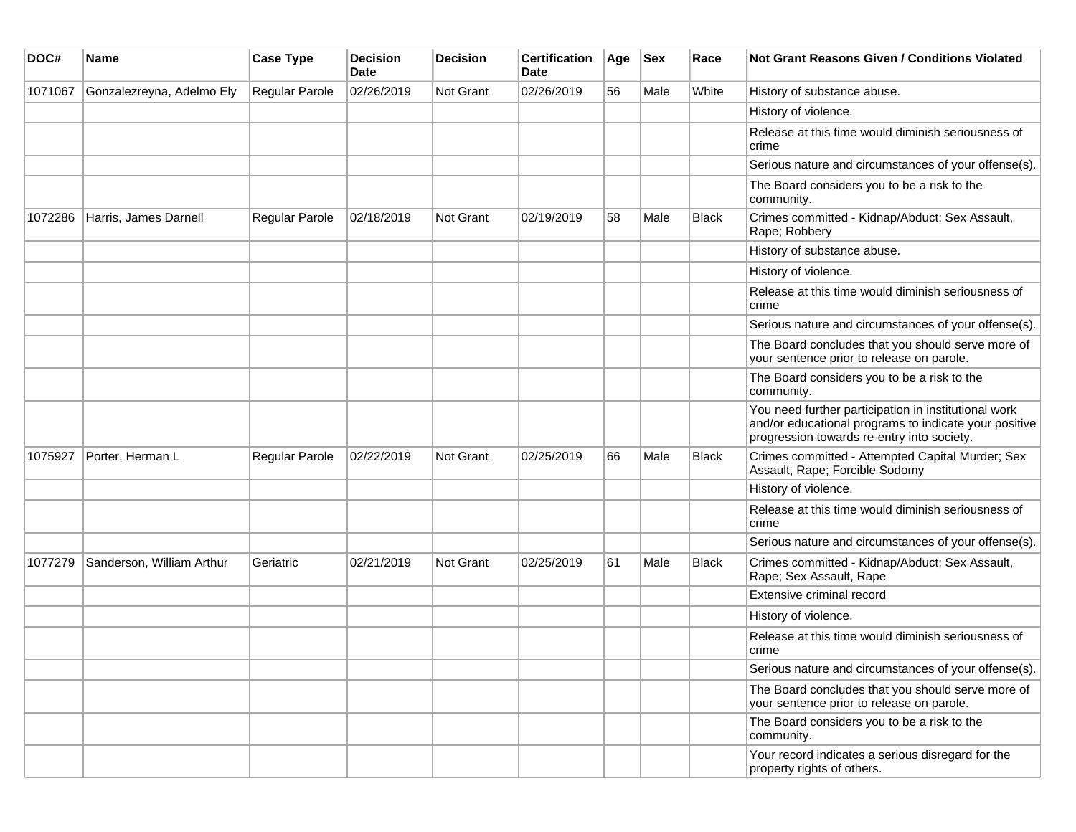| DOC#    | <b>Name</b>               | <b>Case Type</b> | <b>Decision</b><br><b>Date</b> | <b>Decision</b> | <b>Certification</b><br>Date | Age | <b>Sex</b> | Race         | <b>Not Grant Reasons Given / Conditions Violated</b>                                                                                                        |
|---------|---------------------------|------------------|--------------------------------|-----------------|------------------------------|-----|------------|--------------|-------------------------------------------------------------------------------------------------------------------------------------------------------------|
| 1071067 | Gonzalezreyna, Adelmo Ely | Regular Parole   | 02/26/2019                     | Not Grant       | 02/26/2019                   | 56  | Male       | White        | History of substance abuse.                                                                                                                                 |
|         |                           |                  |                                |                 |                              |     |            |              | History of violence.                                                                                                                                        |
|         |                           |                  |                                |                 |                              |     |            |              | Release at this time would diminish seriousness of<br>crime                                                                                                 |
|         |                           |                  |                                |                 |                              |     |            |              | Serious nature and circumstances of your offense(s).                                                                                                        |
|         |                           |                  |                                |                 |                              |     |            |              | The Board considers you to be a risk to the<br>community.                                                                                                   |
| 1072286 | Harris, James Darnell     | Regular Parole   | 02/18/2019                     | Not Grant       | 02/19/2019                   | 58  | Male       | <b>Black</b> | Crimes committed - Kidnap/Abduct; Sex Assault,<br>Rape; Robbery                                                                                             |
|         |                           |                  |                                |                 |                              |     |            |              | History of substance abuse.                                                                                                                                 |
|         |                           |                  |                                |                 |                              |     |            |              | History of violence.                                                                                                                                        |
|         |                           |                  |                                |                 |                              |     |            |              | Release at this time would diminish seriousness of<br>crime                                                                                                 |
|         |                           |                  |                                |                 |                              |     |            |              | Serious nature and circumstances of your offense(s).                                                                                                        |
|         |                           |                  |                                |                 |                              |     |            |              | The Board concludes that you should serve more of<br>your sentence prior to release on parole.                                                              |
|         |                           |                  |                                |                 |                              |     |            |              | The Board considers you to be a risk to the<br>community.                                                                                                   |
|         |                           |                  |                                |                 |                              |     |            |              | You need further participation in institutional work<br>and/or educational programs to indicate your positive<br>progression towards re-entry into society. |
| 1075927 | Porter, Herman L          | Regular Parole   | 02/22/2019                     | Not Grant       | 02/25/2019                   | 66  | Male       | Black        | Crimes committed - Attempted Capital Murder; Sex<br>Assault, Rape; Forcible Sodomy                                                                          |
|         |                           |                  |                                |                 |                              |     |            |              | History of violence.                                                                                                                                        |
|         |                           |                  |                                |                 |                              |     |            |              | Release at this time would diminish seriousness of<br>crime                                                                                                 |
|         |                           |                  |                                |                 |                              |     |            |              | Serious nature and circumstances of your offense(s).                                                                                                        |
| 1077279 | Sanderson, William Arthur | Geriatric        | 02/21/2019                     | Not Grant       | 02/25/2019                   | 61  | Male       | <b>Black</b> | Crimes committed - Kidnap/Abduct; Sex Assault,<br>Rape; Sex Assault, Rape                                                                                   |
|         |                           |                  |                                |                 |                              |     |            |              | Extensive criminal record                                                                                                                                   |
|         |                           |                  |                                |                 |                              |     |            |              | History of violence.                                                                                                                                        |
|         |                           |                  |                                |                 |                              |     |            |              | Release at this time would diminish seriousness of<br>crime                                                                                                 |
|         |                           |                  |                                |                 |                              |     |            |              | Serious nature and circumstances of your offense(s).                                                                                                        |
|         |                           |                  |                                |                 |                              |     |            |              | The Board concludes that you should serve more of<br>your sentence prior to release on parole.                                                              |
|         |                           |                  |                                |                 |                              |     |            |              | The Board considers you to be a risk to the<br>community.                                                                                                   |
|         |                           |                  |                                |                 |                              |     |            |              | Your record indicates a serious disregard for the<br>property rights of others.                                                                             |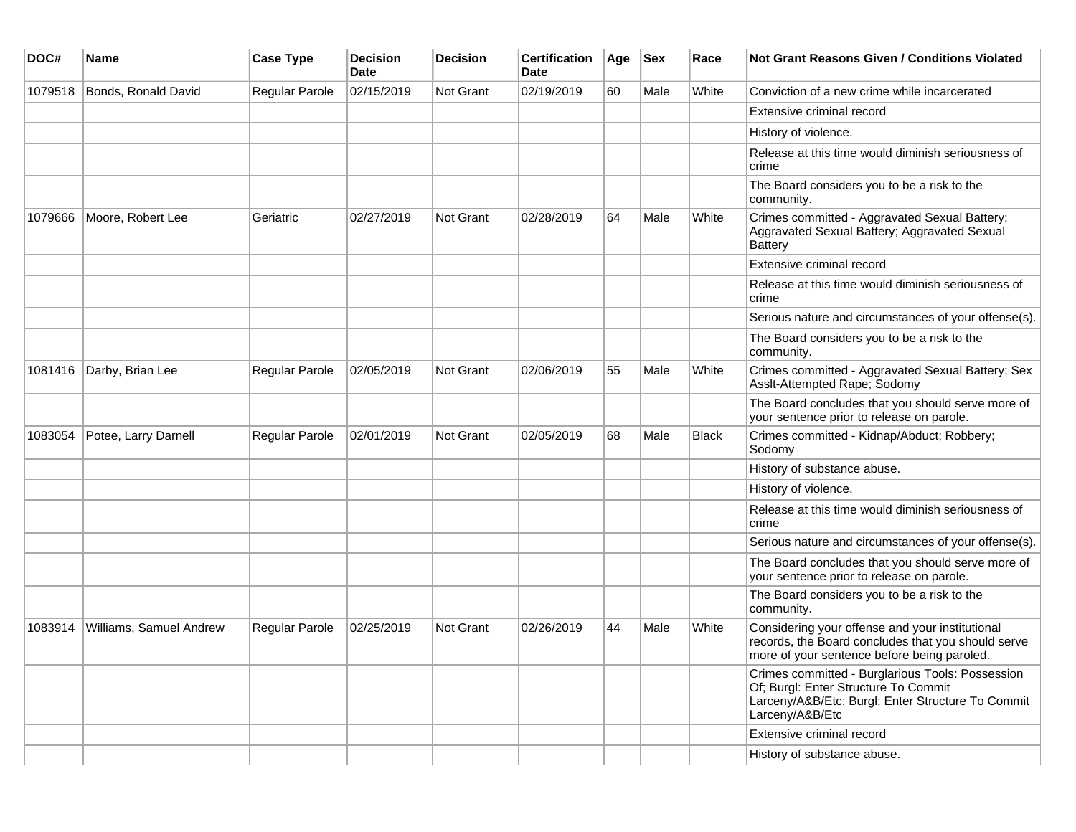| DOC#    | Name                    | <b>Case Type</b> | <b>Decision</b><br>Date | <b>Decision</b> | <b>Certification</b><br>Date | Age | <b>Sex</b> | Race         | Not Grant Reasons Given / Conditions Violated                                                                                                                    |
|---------|-------------------------|------------------|-------------------------|-----------------|------------------------------|-----|------------|--------------|------------------------------------------------------------------------------------------------------------------------------------------------------------------|
| 1079518 | Bonds, Ronald David     | Regular Parole   | 02/15/2019              | Not Grant       | 02/19/2019                   | 60  | Male       | White        | Conviction of a new crime while incarcerated                                                                                                                     |
|         |                         |                  |                         |                 |                              |     |            |              | Extensive criminal record                                                                                                                                        |
|         |                         |                  |                         |                 |                              |     |            |              | History of violence.                                                                                                                                             |
|         |                         |                  |                         |                 |                              |     |            |              | Release at this time would diminish seriousness of<br>crime                                                                                                      |
|         |                         |                  |                         |                 |                              |     |            |              | The Board considers you to be a risk to the<br>community.                                                                                                        |
| 1079666 | Moore, Robert Lee       | Geriatric        | 02/27/2019              | Not Grant       | 02/28/2019                   | 64  | Male       | White        | Crimes committed - Aggravated Sexual Battery;<br>Aggravated Sexual Battery; Aggravated Sexual<br><b>Battery</b>                                                  |
|         |                         |                  |                         |                 |                              |     |            |              | Extensive criminal record                                                                                                                                        |
|         |                         |                  |                         |                 |                              |     |            |              | Release at this time would diminish seriousness of<br>crime                                                                                                      |
|         |                         |                  |                         |                 |                              |     |            |              | Serious nature and circumstances of your offense(s).                                                                                                             |
|         |                         |                  |                         |                 |                              |     |            |              | The Board considers you to be a risk to the<br>community.                                                                                                        |
| 1081416 | Darby, Brian Lee        | Regular Parole   | 02/05/2019              | Not Grant       | 02/06/2019                   | 55  | Male       | White        | Crimes committed - Aggravated Sexual Battery; Sex<br>Asslt-Attempted Rape; Sodomy                                                                                |
|         |                         |                  |                         |                 |                              |     |            |              | The Board concludes that you should serve more of<br>your sentence prior to release on parole.                                                                   |
| 1083054 | Potee, Larry Darnell    | Regular Parole   | 02/01/2019              | Not Grant       | 02/05/2019                   | 68  | Male       | <b>Black</b> | Crimes committed - Kidnap/Abduct; Robbery;<br>Sodomy                                                                                                             |
|         |                         |                  |                         |                 |                              |     |            |              | History of substance abuse.                                                                                                                                      |
|         |                         |                  |                         |                 |                              |     |            |              | History of violence.                                                                                                                                             |
|         |                         |                  |                         |                 |                              |     |            |              | Release at this time would diminish seriousness of<br>crime                                                                                                      |
|         |                         |                  |                         |                 |                              |     |            |              | Serious nature and circumstances of your offense(s).                                                                                                             |
|         |                         |                  |                         |                 |                              |     |            |              | The Board concludes that you should serve more of<br>your sentence prior to release on parole.                                                                   |
|         |                         |                  |                         |                 |                              |     |            |              | The Board considers you to be a risk to the<br>community.                                                                                                        |
| 1083914 | Williams, Samuel Andrew | Regular Parole   | 02/25/2019              | Not Grant       | 02/26/2019                   | 44  | Male       | White        | Considering your offense and your institutional<br>records, the Board concludes that you should serve<br>more of your sentence before being paroled.             |
|         |                         |                  |                         |                 |                              |     |            |              | Crimes committed - Burglarious Tools: Possession<br>Of; Burgl: Enter Structure To Commit<br>Larceny/A&B/Etc; Burgl: Enter Structure To Commit<br>Larceny/A&B/Etc |
|         |                         |                  |                         |                 |                              |     |            |              | Extensive criminal record                                                                                                                                        |
|         |                         |                  |                         |                 |                              |     |            |              | History of substance abuse.                                                                                                                                      |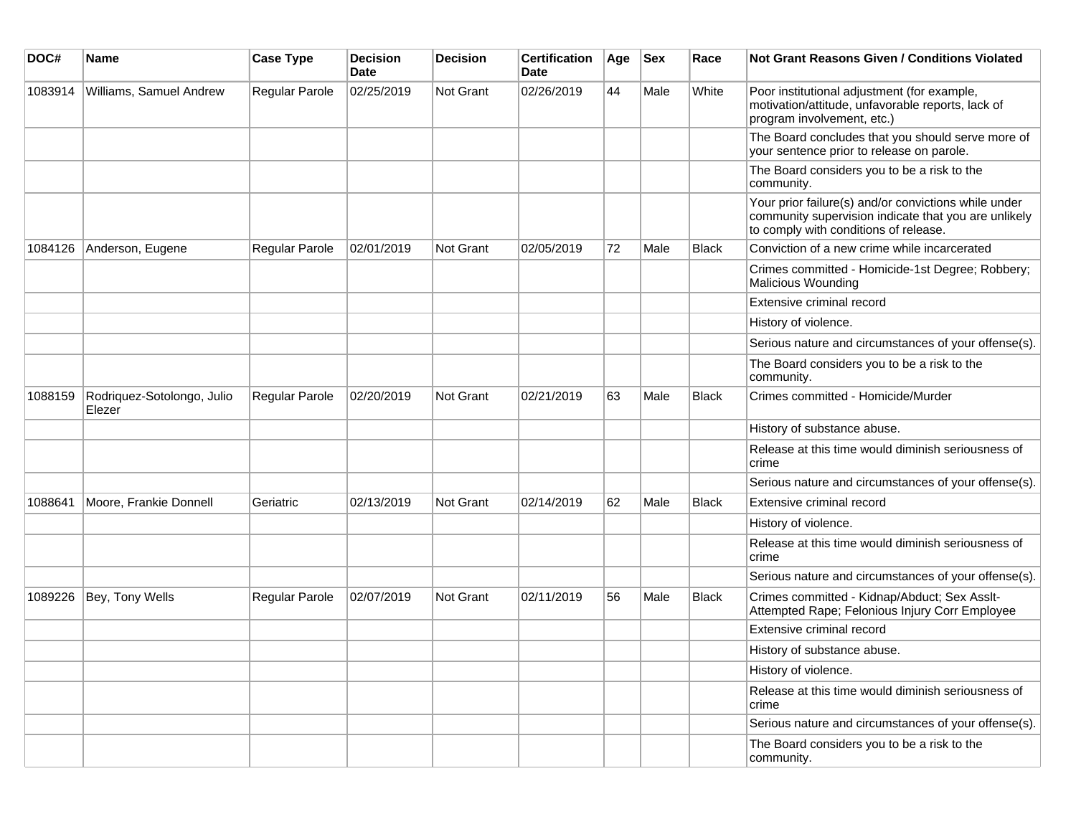| DOC#    | Name                                 | <b>Case Type</b> | <b>Decision</b><br><b>Date</b> | <b>Decision</b> | <b>Certification</b><br>Date | Age | <b>Sex</b> | Race         | <b>Not Grant Reasons Given / Conditions Violated</b>                                                                                                  |
|---------|--------------------------------------|------------------|--------------------------------|-----------------|------------------------------|-----|------------|--------------|-------------------------------------------------------------------------------------------------------------------------------------------------------|
| 1083914 | Williams, Samuel Andrew              | Regular Parole   | 02/25/2019                     | Not Grant       | 02/26/2019                   | 44  | Male       | White        | Poor institutional adjustment (for example,<br>motivation/attitude, unfavorable reports, lack of<br>program involvement, etc.)                        |
|         |                                      |                  |                                |                 |                              |     |            |              | The Board concludes that you should serve more of<br>your sentence prior to release on parole.                                                        |
|         |                                      |                  |                                |                 |                              |     |            |              | The Board considers you to be a risk to the<br>community.                                                                                             |
|         |                                      |                  |                                |                 |                              |     |            |              | Your prior failure(s) and/or convictions while under<br>community supervision indicate that you are unlikely<br>to comply with conditions of release. |
| 1084126 | Anderson, Eugene                     | Regular Parole   | 02/01/2019                     | Not Grant       | 02/05/2019                   | 72  | Male       | <b>Black</b> | Conviction of a new crime while incarcerated                                                                                                          |
|         |                                      |                  |                                |                 |                              |     |            |              | Crimes committed - Homicide-1st Degree; Robbery;<br><b>Malicious Wounding</b>                                                                         |
|         |                                      |                  |                                |                 |                              |     |            |              | Extensive criminal record                                                                                                                             |
|         |                                      |                  |                                |                 |                              |     |            |              | History of violence.                                                                                                                                  |
|         |                                      |                  |                                |                 |                              |     |            |              | Serious nature and circumstances of your offense(s).                                                                                                  |
|         |                                      |                  |                                |                 |                              |     |            |              | The Board considers you to be a risk to the<br>community.                                                                                             |
| 1088159 | Rodriquez-Sotolongo, Julio<br>Elezer | Regular Parole   | 02/20/2019                     | Not Grant       | 02/21/2019                   | 63  | Male       | <b>Black</b> | Crimes committed - Homicide/Murder                                                                                                                    |
|         |                                      |                  |                                |                 |                              |     |            |              | History of substance abuse.                                                                                                                           |
|         |                                      |                  |                                |                 |                              |     |            |              | Release at this time would diminish seriousness of<br>crime                                                                                           |
|         |                                      |                  |                                |                 |                              |     |            |              | Serious nature and circumstances of your offense(s).                                                                                                  |
| 1088641 | Moore, Frankie Donnell               | Geriatric        | 02/13/2019                     | Not Grant       | 02/14/2019                   | 62  | Male       | <b>Black</b> | Extensive criminal record                                                                                                                             |
|         |                                      |                  |                                |                 |                              |     |            |              | History of violence.                                                                                                                                  |
|         |                                      |                  |                                |                 |                              |     |            |              | Release at this time would diminish seriousness of<br>crime                                                                                           |
|         |                                      |                  |                                |                 |                              |     |            |              | Serious nature and circumstances of your offense(s).                                                                                                  |
| 1089226 | Bey, Tony Wells                      | Regular Parole   | 02/07/2019                     | Not Grant       | 02/11/2019                   | 56  | Male       | <b>Black</b> | Crimes committed - Kidnap/Abduct; Sex Asslt-<br>Attempted Rape; Felonious Injury Corr Employee                                                        |
|         |                                      |                  |                                |                 |                              |     |            |              | Extensive criminal record                                                                                                                             |
|         |                                      |                  |                                |                 |                              |     |            |              | History of substance abuse.                                                                                                                           |
|         |                                      |                  |                                |                 |                              |     |            |              | History of violence.                                                                                                                                  |
|         |                                      |                  |                                |                 |                              |     |            |              | Release at this time would diminish seriousness of<br>crime                                                                                           |
|         |                                      |                  |                                |                 |                              |     |            |              | Serious nature and circumstances of your offense(s).                                                                                                  |
|         |                                      |                  |                                |                 |                              |     |            |              | The Board considers you to be a risk to the<br>community.                                                                                             |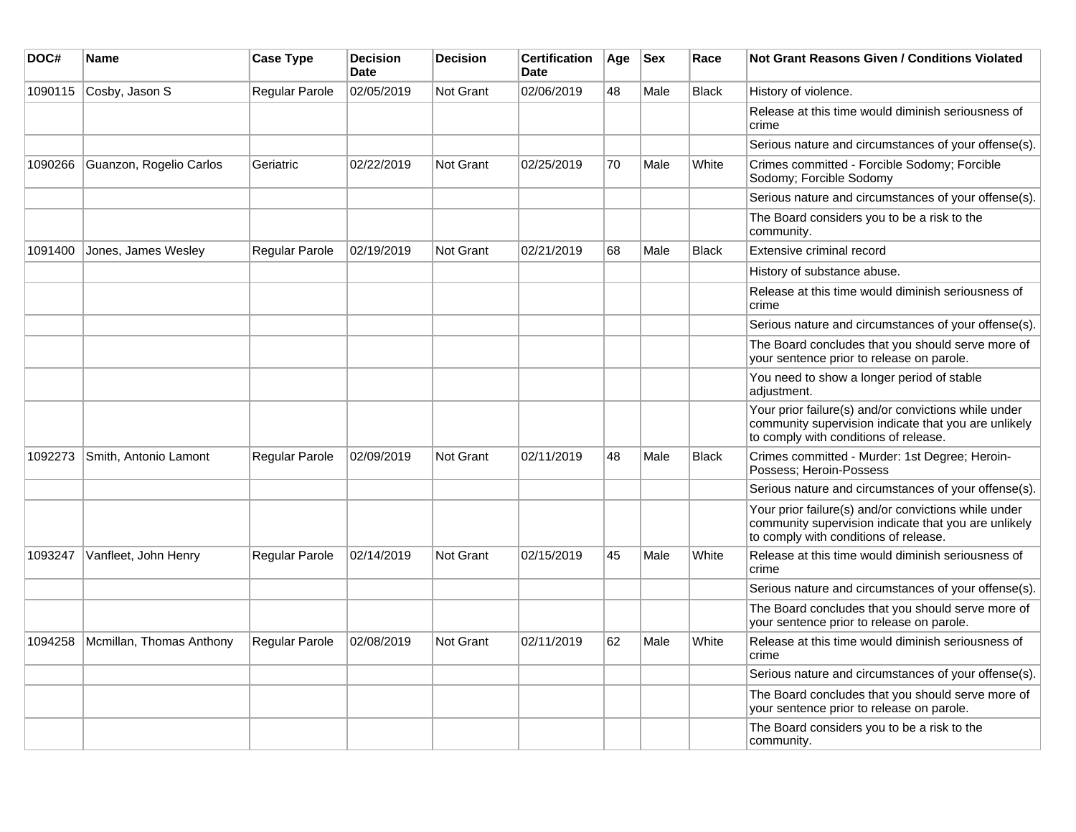| DOC#    | Name                     | <b>Case Type</b>      | <b>Decision</b><br><b>Date</b> | <b>Decision</b>  | <b>Certification</b><br><b>Date</b> | Age | <b>Sex</b> | Race         | <b>Not Grant Reasons Given / Conditions Violated</b>                                                                                                  |
|---------|--------------------------|-----------------------|--------------------------------|------------------|-------------------------------------|-----|------------|--------------|-------------------------------------------------------------------------------------------------------------------------------------------------------|
| 1090115 | Cosby, Jason S           | Regular Parole        | 02/05/2019                     | <b>Not Grant</b> | 02/06/2019                          | 48  | Male       | Black        | History of violence.                                                                                                                                  |
|         |                          |                       |                                |                  |                                     |     |            |              | Release at this time would diminish seriousness of<br>crime                                                                                           |
|         |                          |                       |                                |                  |                                     |     |            |              | Serious nature and circumstances of your offense(s).                                                                                                  |
| 1090266 | Guanzon, Rogelio Carlos  | Geriatric             | 02/22/2019                     | <b>Not Grant</b> | 02/25/2019                          | 70  | Male       | White        | Crimes committed - Forcible Sodomy; Forcible<br>Sodomy; Forcible Sodomy                                                                               |
|         |                          |                       |                                |                  |                                     |     |            |              | Serious nature and circumstances of your offense(s).                                                                                                  |
|         |                          |                       |                                |                  |                                     |     |            |              | The Board considers you to be a risk to the<br>community.                                                                                             |
| 1091400 | Jones, James Wesley      | <b>Regular Parole</b> | 02/19/2019                     | <b>Not Grant</b> | 02/21/2019                          | 68  | Male       | <b>Black</b> | Extensive criminal record                                                                                                                             |
|         |                          |                       |                                |                  |                                     |     |            |              | History of substance abuse.                                                                                                                           |
|         |                          |                       |                                |                  |                                     |     |            |              | Release at this time would diminish seriousness of<br>crime                                                                                           |
|         |                          |                       |                                |                  |                                     |     |            |              | Serious nature and circumstances of your offense(s).                                                                                                  |
|         |                          |                       |                                |                  |                                     |     |            |              | The Board concludes that you should serve more of<br>your sentence prior to release on parole.                                                        |
|         |                          |                       |                                |                  |                                     |     |            |              | You need to show a longer period of stable<br>adiustment.                                                                                             |
|         |                          |                       |                                |                  |                                     |     |            |              | Your prior failure(s) and/or convictions while under<br>community supervision indicate that you are unlikely<br>to comply with conditions of release. |
| 1092273 | Smith, Antonio Lamont    | Regular Parole        | 02/09/2019                     | <b>Not Grant</b> | 02/11/2019                          | 48  | Male       | <b>Black</b> | Crimes committed - Murder: 1st Degree; Heroin-<br>Possess; Heroin-Possess                                                                             |
|         |                          |                       |                                |                  |                                     |     |            |              | Serious nature and circumstances of your offense(s).                                                                                                  |
|         |                          |                       |                                |                  |                                     |     |            |              | Your prior failure(s) and/or convictions while under<br>community supervision indicate that you are unlikely<br>to comply with conditions of release. |
| 1093247 | Vanfleet, John Henry     | Regular Parole        | 02/14/2019                     | <b>Not Grant</b> | 02/15/2019                          | 45  | Male       | White        | Release at this time would diminish seriousness of<br>crime                                                                                           |
|         |                          |                       |                                |                  |                                     |     |            |              | Serious nature and circumstances of your offense(s).                                                                                                  |
|         |                          |                       |                                |                  |                                     |     |            |              | The Board concludes that you should serve more of<br>your sentence prior to release on parole.                                                        |
| 1094258 | Mcmillan, Thomas Anthony | <b>Regular Parole</b> | 02/08/2019                     | <b>Not Grant</b> | 02/11/2019                          | 62  | Male       | White        | Release at this time would diminish seriousness of<br>crime                                                                                           |
|         |                          |                       |                                |                  |                                     |     |            |              | Serious nature and circumstances of your offense(s).                                                                                                  |
|         |                          |                       |                                |                  |                                     |     |            |              | The Board concludes that you should serve more of<br>your sentence prior to release on parole.                                                        |
|         |                          |                       |                                |                  |                                     |     |            |              | The Board considers you to be a risk to the<br>community.                                                                                             |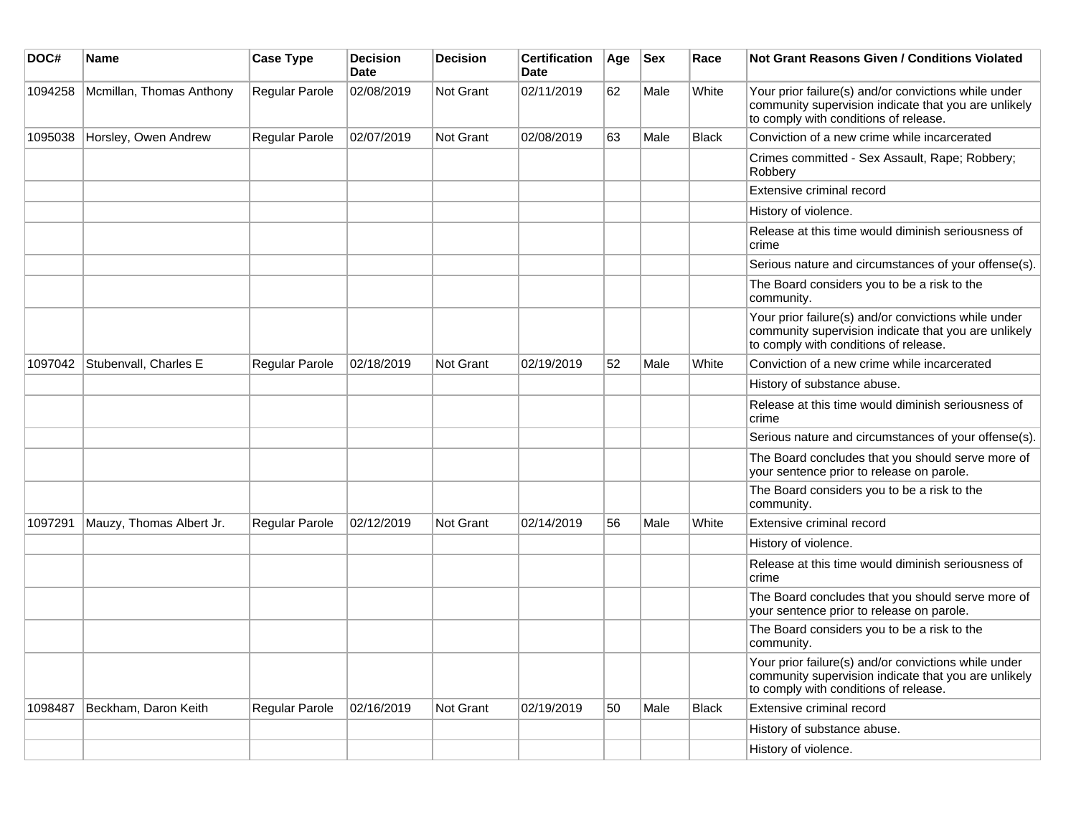| DOC#    | Name                     | <b>Case Type</b> | <b>Decision</b><br><b>Date</b> | <b>Decision</b> | <b>Certification</b><br><b>Date</b> | Age | <b>Sex</b> | Race         | Not Grant Reasons Given / Conditions Violated                                                                                                         |
|---------|--------------------------|------------------|--------------------------------|-----------------|-------------------------------------|-----|------------|--------------|-------------------------------------------------------------------------------------------------------------------------------------------------------|
| 1094258 | Mcmillan, Thomas Anthony | Regular Parole   | 02/08/2019                     | Not Grant       | 02/11/2019                          | 62  | Male       | White        | Your prior failure(s) and/or convictions while under<br>community supervision indicate that you are unlikely<br>to comply with conditions of release. |
| 1095038 | Horsley, Owen Andrew     | Regular Parole   | 02/07/2019                     | Not Grant       | 02/08/2019                          | 63  | Male       | <b>Black</b> | Conviction of a new crime while incarcerated                                                                                                          |
|         |                          |                  |                                |                 |                                     |     |            |              | Crimes committed - Sex Assault, Rape; Robbery;<br>Robbery                                                                                             |
|         |                          |                  |                                |                 |                                     |     |            |              | Extensive criminal record                                                                                                                             |
|         |                          |                  |                                |                 |                                     |     |            |              | History of violence.                                                                                                                                  |
|         |                          |                  |                                |                 |                                     |     |            |              | Release at this time would diminish seriousness of<br>crime                                                                                           |
|         |                          |                  |                                |                 |                                     |     |            |              | Serious nature and circumstances of your offense(s).                                                                                                  |
|         |                          |                  |                                |                 |                                     |     |            |              | The Board considers you to be a risk to the<br>community.                                                                                             |
|         |                          |                  |                                |                 |                                     |     |            |              | Your prior failure(s) and/or convictions while under<br>community supervision indicate that you are unlikely<br>to comply with conditions of release. |
| 1097042 | Stubenvall, Charles E    | Regular Parole   | 02/18/2019                     | Not Grant       | 02/19/2019                          | 52  | Male       | White        | Conviction of a new crime while incarcerated                                                                                                          |
|         |                          |                  |                                |                 |                                     |     |            |              | History of substance abuse.                                                                                                                           |
|         |                          |                  |                                |                 |                                     |     |            |              | Release at this time would diminish seriousness of<br>crime                                                                                           |
|         |                          |                  |                                |                 |                                     |     |            |              | Serious nature and circumstances of your offense(s).                                                                                                  |
|         |                          |                  |                                |                 |                                     |     |            |              | The Board concludes that you should serve more of<br>your sentence prior to release on parole.                                                        |
|         |                          |                  |                                |                 |                                     |     |            |              | The Board considers you to be a risk to the<br>community.                                                                                             |
| 1097291 | Mauzy, Thomas Albert Jr. | Regular Parole   | 02/12/2019                     | Not Grant       | 02/14/2019                          | 56  | Male       | White        | Extensive criminal record                                                                                                                             |
|         |                          |                  |                                |                 |                                     |     |            |              | History of violence.                                                                                                                                  |
|         |                          |                  |                                |                 |                                     |     |            |              | Release at this time would diminish seriousness of<br>crime                                                                                           |
|         |                          |                  |                                |                 |                                     |     |            |              | The Board concludes that you should serve more of<br>your sentence prior to release on parole.                                                        |
|         |                          |                  |                                |                 |                                     |     |            |              | The Board considers you to be a risk to the<br>community.                                                                                             |
|         |                          |                  |                                |                 |                                     |     |            |              | Your prior failure(s) and/or convictions while under<br>community supervision indicate that you are unlikely<br>to comply with conditions of release. |
| 1098487 | Beckham, Daron Keith     | Regular Parole   | 02/16/2019                     | Not Grant       | 02/19/2019                          | 50  | Male       | <b>Black</b> | Extensive criminal record                                                                                                                             |
|         |                          |                  |                                |                 |                                     |     |            |              | History of substance abuse.                                                                                                                           |
|         |                          |                  |                                |                 |                                     |     |            |              | History of violence.                                                                                                                                  |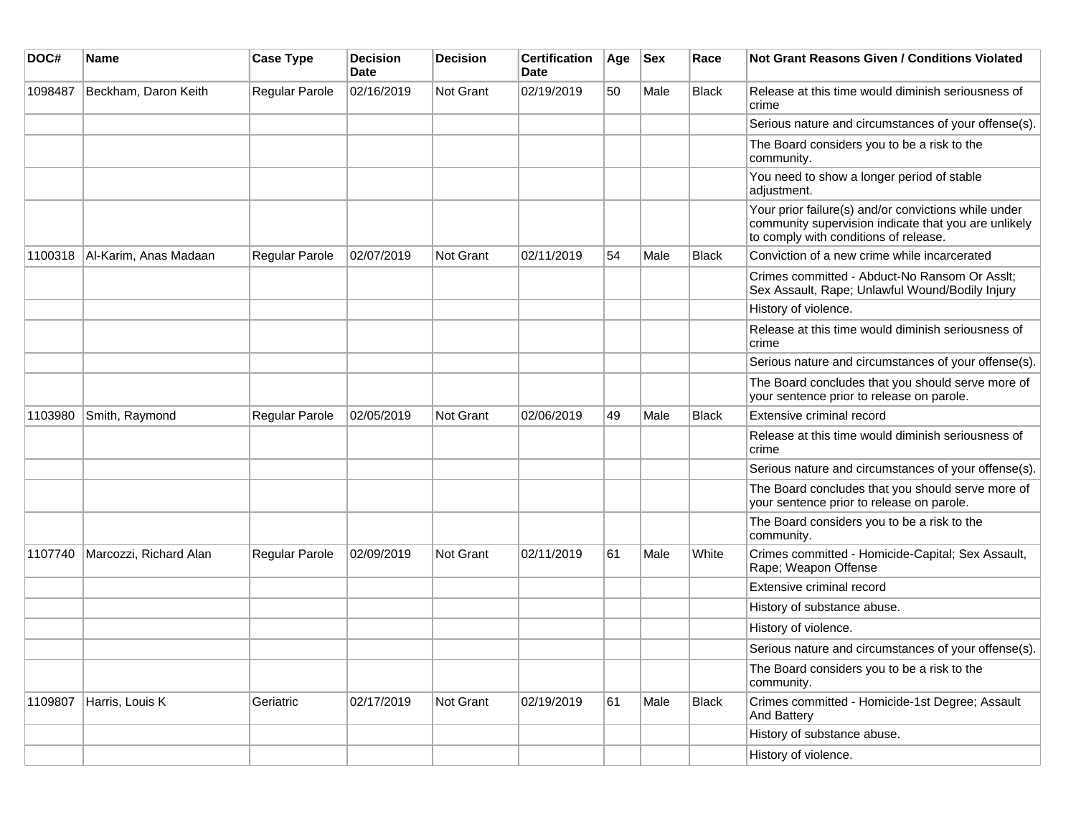| DOC#    | <b>Name</b>            | <b>Case Type</b> | <b>Decision</b><br><b>Date</b> | <b>Decision</b> | <b>Certification</b><br>Date | Age | <b>Sex</b> | Race         | <b>Not Grant Reasons Given / Conditions Violated</b>                                                                                                  |
|---------|------------------------|------------------|--------------------------------|-----------------|------------------------------|-----|------------|--------------|-------------------------------------------------------------------------------------------------------------------------------------------------------|
| 1098487 | Beckham, Daron Keith   | Regular Parole   | 02/16/2019                     | Not Grant       | 02/19/2019                   | 50  | Male       | <b>Black</b> | Release at this time would diminish seriousness of<br>crime                                                                                           |
|         |                        |                  |                                |                 |                              |     |            |              | Serious nature and circumstances of your offense(s).                                                                                                  |
|         |                        |                  |                                |                 |                              |     |            |              | The Board considers you to be a risk to the<br>community.                                                                                             |
|         |                        |                  |                                |                 |                              |     |            |              | You need to show a longer period of stable<br>adjustment.                                                                                             |
|         |                        |                  |                                |                 |                              |     |            |              | Your prior failure(s) and/or convictions while under<br>community supervision indicate that you are unlikely<br>to comply with conditions of release. |
| 1100318 | Al-Karim, Anas Madaan  | Regular Parole   | 02/07/2019                     | Not Grant       | 02/11/2019                   | 54  | Male       | <b>Black</b> | Conviction of a new crime while incarcerated                                                                                                          |
|         |                        |                  |                                |                 |                              |     |            |              | Crimes committed - Abduct-No Ransom Or Asslt;<br>Sex Assault, Rape; Unlawful Wound/Bodily Injury                                                      |
|         |                        |                  |                                |                 |                              |     |            |              | History of violence.                                                                                                                                  |
|         |                        |                  |                                |                 |                              |     |            |              | Release at this time would diminish seriousness of<br>crime                                                                                           |
|         |                        |                  |                                |                 |                              |     |            |              | Serious nature and circumstances of your offense(s).                                                                                                  |
|         |                        |                  |                                |                 |                              |     |            |              | The Board concludes that you should serve more of<br>your sentence prior to release on parole.                                                        |
| 1103980 | Smith, Raymond         | Regular Parole   | 02/05/2019                     | Not Grant       | 02/06/2019                   | 49  | Male       | Black        | Extensive criminal record                                                                                                                             |
|         |                        |                  |                                |                 |                              |     |            |              | Release at this time would diminish seriousness of<br>crime                                                                                           |
|         |                        |                  |                                |                 |                              |     |            |              | Serious nature and circumstances of your offense(s).                                                                                                  |
|         |                        |                  |                                |                 |                              |     |            |              | The Board concludes that you should serve more of<br>your sentence prior to release on parole.                                                        |
|         |                        |                  |                                |                 |                              |     |            |              | The Board considers you to be a risk to the<br>community.                                                                                             |
| 1107740 | Marcozzi, Richard Alan | Regular Parole   | 02/09/2019                     | Not Grant       | 02/11/2019                   | 61  | Male       | White        | Crimes committed - Homicide-Capital; Sex Assault,<br>Rape; Weapon Offense                                                                             |
|         |                        |                  |                                |                 |                              |     |            |              | Extensive criminal record                                                                                                                             |
|         |                        |                  |                                |                 |                              |     |            |              | History of substance abuse.                                                                                                                           |
|         |                        |                  |                                |                 |                              |     |            |              | History of violence.                                                                                                                                  |
|         |                        |                  |                                |                 |                              |     |            |              | Serious nature and circumstances of your offense(s).                                                                                                  |
|         |                        |                  |                                |                 |                              |     |            |              | The Board considers you to be a risk to the<br>community.                                                                                             |
| 1109807 | Harris, Louis K        | Geriatric        | 02/17/2019                     | Not Grant       | 02/19/2019                   | 61  | Male       | <b>Black</b> | Crimes committed - Homicide-1st Degree; Assault<br>And Battery                                                                                        |
|         |                        |                  |                                |                 |                              |     |            |              | History of substance abuse.                                                                                                                           |
|         |                        |                  |                                |                 |                              |     |            |              | History of violence.                                                                                                                                  |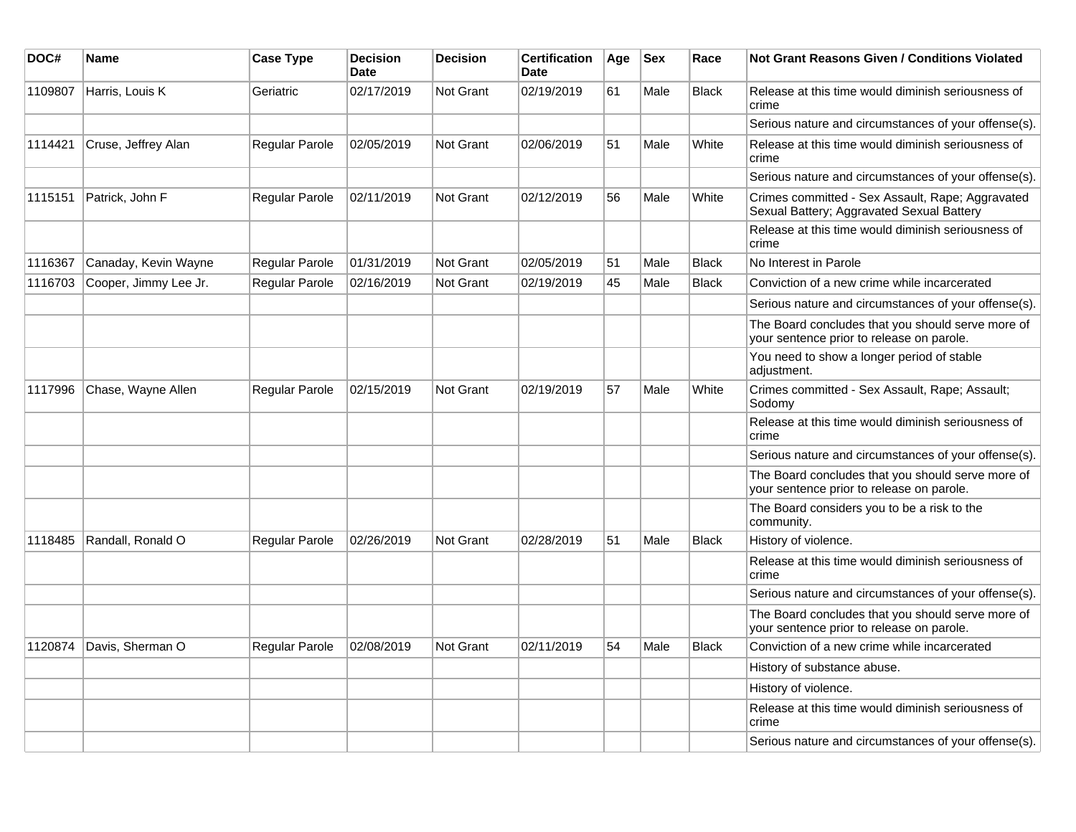| DOC#    | <b>Name</b>           | <b>Case Type</b>      | <b>Decision</b><br><b>Date</b> | <b>Decision</b>  | <b>Certification</b><br>Date | Age | <b>Sex</b> | Race         | Not Grant Reasons Given / Conditions Violated                                                  |
|---------|-----------------------|-----------------------|--------------------------------|------------------|------------------------------|-----|------------|--------------|------------------------------------------------------------------------------------------------|
| 1109807 | Harris, Louis K       | Geriatric             | 02/17/2019                     | Not Grant        | 02/19/2019                   | 61  | Male       | <b>Black</b> | Release at this time would diminish seriousness of<br>crime                                    |
|         |                       |                       |                                |                  |                              |     |            |              | Serious nature and circumstances of your offense(s).                                           |
| 1114421 | Cruse, Jeffrey Alan   | Regular Parole        | 02/05/2019                     | Not Grant        | 02/06/2019                   | 51  | Male       | White        | Release at this time would diminish seriousness of<br>crime                                    |
|         |                       |                       |                                |                  |                              |     |            |              | Serious nature and circumstances of your offense(s).                                           |
| 1115151 | Patrick, John F       | Regular Parole        | 02/11/2019                     | Not Grant        | 02/12/2019                   | 56  | Male       | White        | Crimes committed - Sex Assault, Rape; Aggravated<br>Sexual Battery; Aggravated Sexual Battery  |
|         |                       |                       |                                |                  |                              |     |            |              | Release at this time would diminish seriousness of<br>crime                                    |
| 1116367 | Canaday, Kevin Wayne  | Regular Parole        | 01/31/2019                     | Not Grant        | 02/05/2019                   | 51  | Male       | <b>Black</b> | No Interest in Parole                                                                          |
| 1116703 | Cooper, Jimmy Lee Jr. | Regular Parole        | 02/16/2019                     | <b>Not Grant</b> | 02/19/2019                   | 45  | Male       | <b>Black</b> | Conviction of a new crime while incarcerated                                                   |
|         |                       |                       |                                |                  |                              |     |            |              | Serious nature and circumstances of your offense(s).                                           |
|         |                       |                       |                                |                  |                              |     |            |              | The Board concludes that you should serve more of<br>your sentence prior to release on parole. |
|         |                       |                       |                                |                  |                              |     |            |              | You need to show a longer period of stable<br>adjustment.                                      |
| 1117996 | Chase, Wayne Allen    | Regular Parole        | 02/15/2019                     | <b>Not Grant</b> | 02/19/2019                   | 57  | Male       | White        | Crimes committed - Sex Assault, Rape; Assault;<br>Sodomy                                       |
|         |                       |                       |                                |                  |                              |     |            |              | Release at this time would diminish seriousness of<br>crime                                    |
|         |                       |                       |                                |                  |                              |     |            |              | Serious nature and circumstances of your offense(s).                                           |
|         |                       |                       |                                |                  |                              |     |            |              | The Board concludes that you should serve more of<br>your sentence prior to release on parole. |
|         |                       |                       |                                |                  |                              |     |            |              | The Board considers you to be a risk to the<br>community.                                      |
| 1118485 | Randall, Ronald O     | <b>Regular Parole</b> | 02/26/2019                     | Not Grant        | 02/28/2019                   | 51  | Male       | <b>Black</b> | History of violence.                                                                           |
|         |                       |                       |                                |                  |                              |     |            |              | Release at this time would diminish seriousness of<br>crime                                    |
|         |                       |                       |                                |                  |                              |     |            |              | Serious nature and circumstances of your offense(s).                                           |
|         |                       |                       |                                |                  |                              |     |            |              | The Board concludes that you should serve more of<br>your sentence prior to release on parole. |
| 1120874 | Davis, Sherman O      | <b>Regular Parole</b> | 02/08/2019                     | Not Grant        | 02/11/2019                   | 54  | Male       | <b>Black</b> | Conviction of a new crime while incarcerated                                                   |
|         |                       |                       |                                |                  |                              |     |            |              | History of substance abuse.                                                                    |
|         |                       |                       |                                |                  |                              |     |            |              | History of violence.                                                                           |
|         |                       |                       |                                |                  |                              |     |            |              | Release at this time would diminish seriousness of<br>crime                                    |
|         |                       |                       |                                |                  |                              |     |            |              | Serious nature and circumstances of your offense(s).                                           |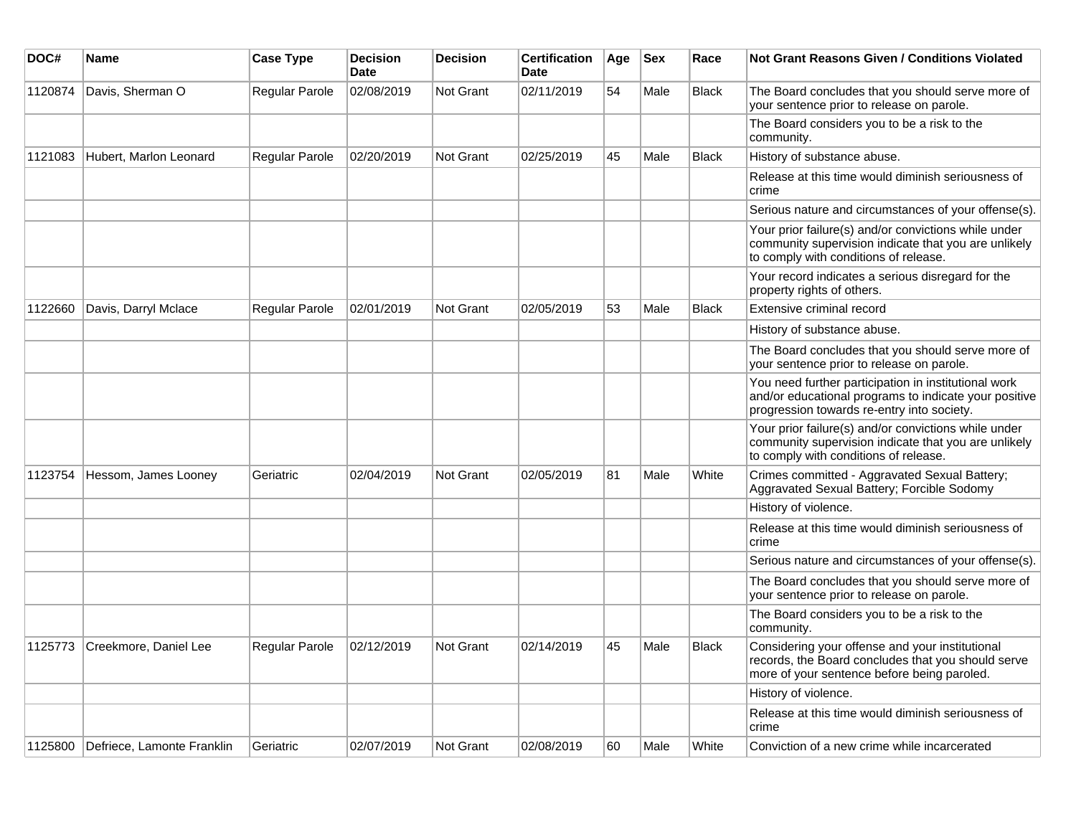| DOC#    | Name                       | <b>Case Type</b> | <b>Decision</b><br><b>Date</b> | <b>Decision</b>  | <b>Certification</b><br><b>Date</b> | Age | <b>Sex</b> | Race         | <b>Not Grant Reasons Given / Conditions Violated</b>                                                                                                        |
|---------|----------------------------|------------------|--------------------------------|------------------|-------------------------------------|-----|------------|--------------|-------------------------------------------------------------------------------------------------------------------------------------------------------------|
| 1120874 | Davis, Sherman O           | Regular Parole   | 02/08/2019                     | <b>Not Grant</b> | 02/11/2019                          | 54  | Male       | <b>Black</b> | The Board concludes that you should serve more of<br>your sentence prior to release on parole.                                                              |
|         |                            |                  |                                |                  |                                     |     |            |              | The Board considers you to be a risk to the<br>community.                                                                                                   |
| 1121083 | Hubert, Marlon Leonard     | Regular Parole   | 02/20/2019                     | <b>Not Grant</b> | 02/25/2019                          | 45  | Male       | <b>Black</b> | History of substance abuse.                                                                                                                                 |
|         |                            |                  |                                |                  |                                     |     |            |              | Release at this time would diminish seriousness of<br>crime                                                                                                 |
|         |                            |                  |                                |                  |                                     |     |            |              | Serious nature and circumstances of your offense(s).                                                                                                        |
|         |                            |                  |                                |                  |                                     |     |            |              | Your prior failure(s) and/or convictions while under<br>community supervision indicate that you are unlikely<br>to comply with conditions of release.       |
|         |                            |                  |                                |                  |                                     |     |            |              | Your record indicates a serious disregard for the<br>property rights of others.                                                                             |
| 1122660 | Davis, Darryl Mclace       | Regular Parole   | 02/01/2019                     | <b>Not Grant</b> | 02/05/2019                          | 53  | Male       | <b>Black</b> | Extensive criminal record                                                                                                                                   |
|         |                            |                  |                                |                  |                                     |     |            |              | History of substance abuse.                                                                                                                                 |
|         |                            |                  |                                |                  |                                     |     |            |              | The Board concludes that you should serve more of<br>your sentence prior to release on parole.                                                              |
|         |                            |                  |                                |                  |                                     |     |            |              | You need further participation in institutional work<br>and/or educational programs to indicate your positive<br>progression towards re-entry into society. |
|         |                            |                  |                                |                  |                                     |     |            |              | Your prior failure(s) and/or convictions while under<br>community supervision indicate that you are unlikely<br>to comply with conditions of release.       |
| 1123754 | Hessom, James Looney       | Geriatric        | 02/04/2019                     | <b>Not Grant</b> | 02/05/2019                          | 81  | Male       | White        | Crimes committed - Aggravated Sexual Battery;<br>Aggravated Sexual Battery; Forcible Sodomy                                                                 |
|         |                            |                  |                                |                  |                                     |     |            |              | History of violence.                                                                                                                                        |
|         |                            |                  |                                |                  |                                     |     |            |              | Release at this time would diminish seriousness of<br>crime                                                                                                 |
|         |                            |                  |                                |                  |                                     |     |            |              | Serious nature and circumstances of your offense(s).                                                                                                        |
|         |                            |                  |                                |                  |                                     |     |            |              | The Board concludes that you should serve more of<br>your sentence prior to release on parole.                                                              |
|         |                            |                  |                                |                  |                                     |     |            |              | The Board considers you to be a risk to the<br>community.                                                                                                   |
| 1125773 | Creekmore, Daniel Lee      | Regular Parole   | 02/12/2019                     | <b>Not Grant</b> | 02/14/2019                          | 45  | Male       | <b>Black</b> | Considering your offense and your institutional<br>records, the Board concludes that you should serve<br>more of your sentence before being paroled.        |
|         |                            |                  |                                |                  |                                     |     |            |              | History of violence.                                                                                                                                        |
|         |                            |                  |                                |                  |                                     |     |            |              | Release at this time would diminish seriousness of<br>crime                                                                                                 |
| 1125800 | Defriece, Lamonte Franklin | Geriatric        | 02/07/2019                     | <b>Not Grant</b> | 02/08/2019                          | 60  | Male       | White        | Conviction of a new crime while incarcerated                                                                                                                |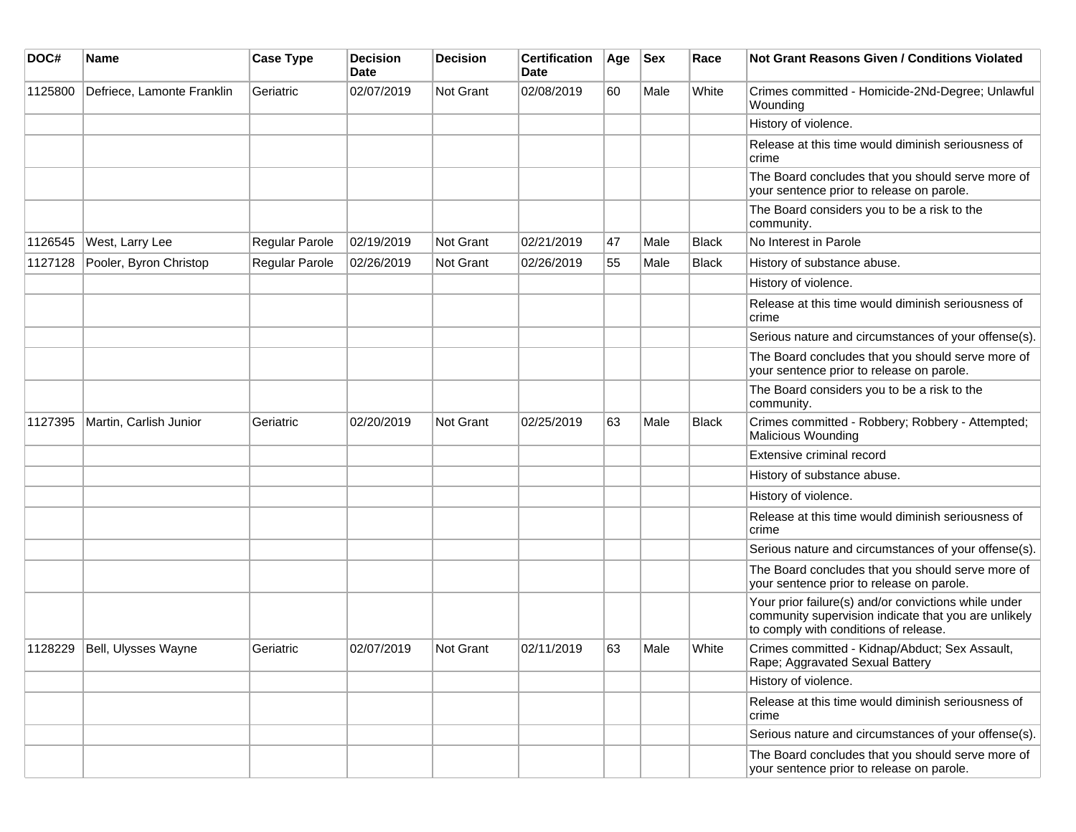| DOC#    | <b>Name</b>                | <b>Case Type</b> | <b>Decision</b><br><b>Date</b> | <b>Decision</b> | <b>Certification</b><br><b>Date</b> | Age | <b>Sex</b> | Race         | <b>Not Grant Reasons Given / Conditions Violated</b>                                                                                                  |
|---------|----------------------------|------------------|--------------------------------|-----------------|-------------------------------------|-----|------------|--------------|-------------------------------------------------------------------------------------------------------------------------------------------------------|
| 1125800 | Defriece, Lamonte Franklin | Geriatric        | 02/07/2019                     | Not Grant       | 02/08/2019                          | 60  | Male       | White        | Crimes committed - Homicide-2Nd-Degree; Unlawful<br>Wounding                                                                                          |
|         |                            |                  |                                |                 |                                     |     |            |              | History of violence.                                                                                                                                  |
|         |                            |                  |                                |                 |                                     |     |            |              | Release at this time would diminish seriousness of<br>crime                                                                                           |
|         |                            |                  |                                |                 |                                     |     |            |              | The Board concludes that you should serve more of<br>your sentence prior to release on parole.                                                        |
|         |                            |                  |                                |                 |                                     |     |            |              | The Board considers you to be a risk to the<br>community.                                                                                             |
| 1126545 | West, Larry Lee            | Regular Parole   | 02/19/2019                     | Not Grant       | 02/21/2019                          | 47  | Male       | <b>Black</b> | No Interest in Parole                                                                                                                                 |
| 1127128 | Pooler, Byron Christop     | Regular Parole   | 02/26/2019                     | Not Grant       | 02/26/2019                          | 55  | Male       | <b>Black</b> | History of substance abuse.                                                                                                                           |
|         |                            |                  |                                |                 |                                     |     |            |              | History of violence.                                                                                                                                  |
|         |                            |                  |                                |                 |                                     |     |            |              | Release at this time would diminish seriousness of<br>crime                                                                                           |
|         |                            |                  |                                |                 |                                     |     |            |              | Serious nature and circumstances of your offense(s).                                                                                                  |
|         |                            |                  |                                |                 |                                     |     |            |              | The Board concludes that you should serve more of<br>your sentence prior to release on parole.                                                        |
|         |                            |                  |                                |                 |                                     |     |            |              | The Board considers you to be a risk to the<br>community.                                                                                             |
| 1127395 | Martin, Carlish Junior     | Geriatric        | 02/20/2019                     | Not Grant       | 02/25/2019                          | 63  | Male       | <b>Black</b> | Crimes committed - Robbery; Robbery - Attempted;<br>Malicious Wounding                                                                                |
|         |                            |                  |                                |                 |                                     |     |            |              | Extensive criminal record                                                                                                                             |
|         |                            |                  |                                |                 |                                     |     |            |              | History of substance abuse.                                                                                                                           |
|         |                            |                  |                                |                 |                                     |     |            |              | History of violence.                                                                                                                                  |
|         |                            |                  |                                |                 |                                     |     |            |              | Release at this time would diminish seriousness of<br>crime                                                                                           |
|         |                            |                  |                                |                 |                                     |     |            |              | Serious nature and circumstances of your offense(s).                                                                                                  |
|         |                            |                  |                                |                 |                                     |     |            |              | The Board concludes that you should serve more of<br>your sentence prior to release on parole.                                                        |
|         |                            |                  |                                |                 |                                     |     |            |              | Your prior failure(s) and/or convictions while under<br>community supervision indicate that you are unlikely<br>to comply with conditions of release. |
| 1128229 | Bell, Ulysses Wayne        | Geriatric        | 02/07/2019                     | Not Grant       | 02/11/2019                          | 63  | Male       | White        | Crimes committed - Kidnap/Abduct; Sex Assault,<br>Rape; Aggravated Sexual Battery                                                                     |
|         |                            |                  |                                |                 |                                     |     |            |              | History of violence.                                                                                                                                  |
|         |                            |                  |                                |                 |                                     |     |            |              | Release at this time would diminish seriousness of<br>crime                                                                                           |
|         |                            |                  |                                |                 |                                     |     |            |              | Serious nature and circumstances of your offense(s).                                                                                                  |
|         |                            |                  |                                |                 |                                     |     |            |              | The Board concludes that you should serve more of<br>your sentence prior to release on parole.                                                        |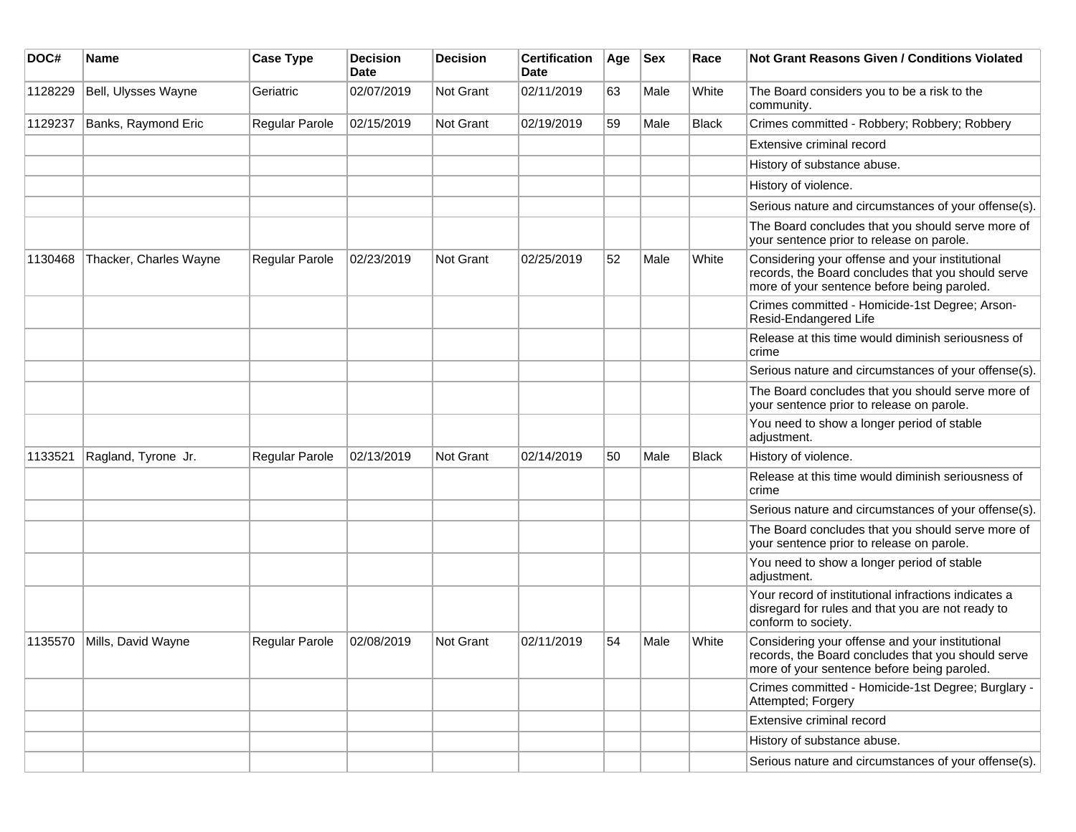| DOC#    | Name                   | <b>Case Type</b> | <b>Decision</b><br><b>Date</b> | Decision  | <b>Certification</b><br><b>Date</b> | Age | <b>Sex</b> | Race         | <b>Not Grant Reasons Given / Conditions Violated</b>                                                                                                 |
|---------|------------------------|------------------|--------------------------------|-----------|-------------------------------------|-----|------------|--------------|------------------------------------------------------------------------------------------------------------------------------------------------------|
| 1128229 | Bell, Ulysses Wayne    | Geriatric        | 02/07/2019                     | Not Grant | 02/11/2019                          | 63  | Male       | White        | The Board considers you to be a risk to the<br>community.                                                                                            |
| 1129237 | Banks, Raymond Eric    | Regular Parole   | 02/15/2019                     | Not Grant | 02/19/2019                          | 59  | Male       | <b>Black</b> | Crimes committed - Robbery; Robbery; Robbery                                                                                                         |
|         |                        |                  |                                |           |                                     |     |            |              | Extensive criminal record                                                                                                                            |
|         |                        |                  |                                |           |                                     |     |            |              | History of substance abuse.                                                                                                                          |
|         |                        |                  |                                |           |                                     |     |            |              | History of violence.                                                                                                                                 |
|         |                        |                  |                                |           |                                     |     |            |              | Serious nature and circumstances of your offense(s).                                                                                                 |
|         |                        |                  |                                |           |                                     |     |            |              | The Board concludes that you should serve more of<br>your sentence prior to release on parole.                                                       |
| 1130468 | Thacker, Charles Wayne | Regular Parole   | 02/23/2019                     | Not Grant | 02/25/2019                          | 52  | Male       | White        | Considering your offense and your institutional<br>records, the Board concludes that you should serve<br>more of your sentence before being paroled. |
|         |                        |                  |                                |           |                                     |     |            |              | Crimes committed - Homicide-1st Degree; Arson-<br>Resid-Endangered Life                                                                              |
|         |                        |                  |                                |           |                                     |     |            |              | Release at this time would diminish seriousness of<br>crime                                                                                          |
|         |                        |                  |                                |           |                                     |     |            |              | Serious nature and circumstances of your offense(s).                                                                                                 |
|         |                        |                  |                                |           |                                     |     |            |              | The Board concludes that you should serve more of<br>your sentence prior to release on parole.                                                       |
|         |                        |                  |                                |           |                                     |     |            |              | You need to show a longer period of stable<br>adjustment.                                                                                            |
| 1133521 | Ragland, Tyrone Jr.    | Regular Parole   | 02/13/2019                     | Not Grant | 02/14/2019                          | 50  | Male       | Black        | History of violence.                                                                                                                                 |
|         |                        |                  |                                |           |                                     |     |            |              | Release at this time would diminish seriousness of<br>crime                                                                                          |
|         |                        |                  |                                |           |                                     |     |            |              | Serious nature and circumstances of your offense(s).                                                                                                 |
|         |                        |                  |                                |           |                                     |     |            |              | The Board concludes that you should serve more of<br>your sentence prior to release on parole.                                                       |
|         |                        |                  |                                |           |                                     |     |            |              | You need to show a longer period of stable<br>adjustment.                                                                                            |
|         |                        |                  |                                |           |                                     |     |            |              | Your record of institutional infractions indicates a<br>disregard for rules and that you are not ready to<br>conform to society.                     |
| 1135570 | Mills, David Wayne     | Regular Parole   | 02/08/2019                     | Not Grant | 02/11/2019                          | 54  | Male       | White        | Considering your offense and your institutional<br>records, the Board concludes that you should serve<br>more of your sentence before being paroled. |
|         |                        |                  |                                |           |                                     |     |            |              | Crimes committed - Homicide-1st Degree; Burglary -<br>Attempted; Forgery                                                                             |
|         |                        |                  |                                |           |                                     |     |            |              | Extensive criminal record                                                                                                                            |
|         |                        |                  |                                |           |                                     |     |            |              | History of substance abuse.                                                                                                                          |
|         |                        |                  |                                |           |                                     |     |            |              | Serious nature and circumstances of your offense(s).                                                                                                 |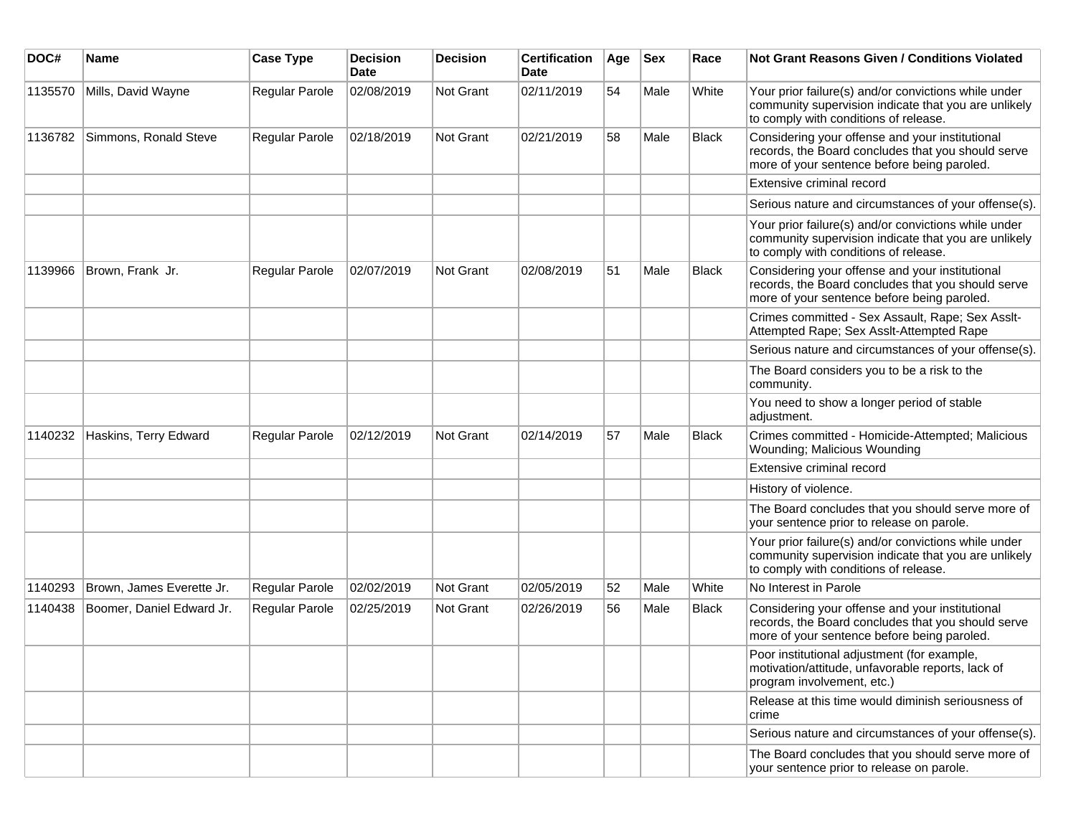| DOC#    | Name                      | <b>Case Type</b> | <b>Decision</b><br><b>Date</b> | <b>Decision</b> | <b>Certification</b><br>Date | Age | <b>Sex</b> | Race         | Not Grant Reasons Given / Conditions Violated                                                                                                         |
|---------|---------------------------|------------------|--------------------------------|-----------------|------------------------------|-----|------------|--------------|-------------------------------------------------------------------------------------------------------------------------------------------------------|
| 1135570 | Mills, David Wayne        | Regular Parole   | 02/08/2019                     | Not Grant       | 02/11/2019                   | 54  | Male       | White        | Your prior failure(s) and/or convictions while under<br>community supervision indicate that you are unlikely<br>to comply with conditions of release. |
| 1136782 | Simmons, Ronald Steve     | Regular Parole   | 02/18/2019                     | Not Grant       | 02/21/2019                   | 58  | Male       | <b>Black</b> | Considering your offense and your institutional<br>records, the Board concludes that you should serve<br>more of your sentence before being paroled.  |
|         |                           |                  |                                |                 |                              |     |            |              | Extensive criminal record                                                                                                                             |
|         |                           |                  |                                |                 |                              |     |            |              | Serious nature and circumstances of your offense(s).                                                                                                  |
|         |                           |                  |                                |                 |                              |     |            |              | Your prior failure(s) and/or convictions while under<br>community supervision indicate that you are unlikely<br>to comply with conditions of release. |
| 1139966 | Brown, Frank Jr.          | Regular Parole   | 02/07/2019                     | Not Grant       | 02/08/2019                   | 51  | Male       | <b>Black</b> | Considering your offense and your institutional<br>records, the Board concludes that you should serve<br>more of your sentence before being paroled.  |
|         |                           |                  |                                |                 |                              |     |            |              | Crimes committed - Sex Assault, Rape; Sex Asslt-<br>Attempted Rape; Sex Asslt-Attempted Rape                                                          |
|         |                           |                  |                                |                 |                              |     |            |              | Serious nature and circumstances of your offense(s).                                                                                                  |
|         |                           |                  |                                |                 |                              |     |            |              | The Board considers you to be a risk to the<br>community.                                                                                             |
|         |                           |                  |                                |                 |                              |     |            |              | You need to show a longer period of stable<br>adjustment.                                                                                             |
| 1140232 | Haskins, Terry Edward     | Regular Parole   | 02/12/2019                     | Not Grant       | 02/14/2019                   | 57  | Male       | <b>Black</b> | Crimes committed - Homicide-Attempted; Malicious<br>Wounding; Malicious Wounding                                                                      |
|         |                           |                  |                                |                 |                              |     |            |              | Extensive criminal record                                                                                                                             |
|         |                           |                  |                                |                 |                              |     |            |              | History of violence.                                                                                                                                  |
|         |                           |                  |                                |                 |                              |     |            |              | The Board concludes that you should serve more of<br>your sentence prior to release on parole.                                                        |
|         |                           |                  |                                |                 |                              |     |            |              | Your prior failure(s) and/or convictions while under<br>community supervision indicate that you are unlikely<br>to comply with conditions of release. |
| 1140293 | Brown, James Everette Jr. | Regular Parole   | 02/02/2019                     | Not Grant       | 02/05/2019                   | 52  | Male       | White        | No Interest in Parole                                                                                                                                 |
| 1140438 | Boomer, Daniel Edward Jr. | Regular Parole   | 02/25/2019                     | Not Grant       | 02/26/2019                   | 56  | Male       | <b>Black</b> | Considering your offense and your institutional<br>records, the Board concludes that you should serve<br>more of your sentence before being paroled.  |
|         |                           |                  |                                |                 |                              |     |            |              | Poor institutional adjustment (for example,<br>motivation/attitude, unfavorable reports, lack of<br>program involvement, etc.)                        |
|         |                           |                  |                                |                 |                              |     |            |              | Release at this time would diminish seriousness of<br>crime                                                                                           |
|         |                           |                  |                                |                 |                              |     |            |              | Serious nature and circumstances of your offense(s).                                                                                                  |
|         |                           |                  |                                |                 |                              |     |            |              | The Board concludes that you should serve more of<br>your sentence prior to release on parole.                                                        |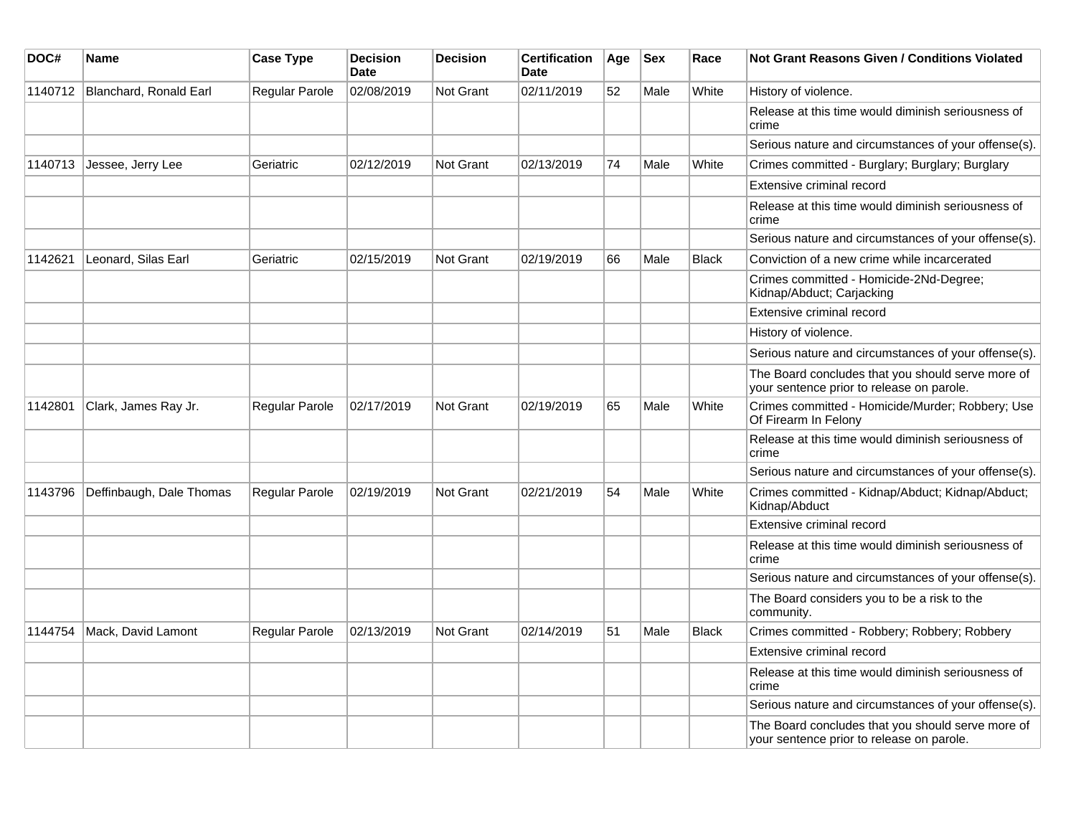| DOC#    | Name                     | <b>Case Type</b> | <b>Decision</b><br><b>Date</b> | <b>Decision</b>  | <b>Certification</b><br>Date | Age | <b>Sex</b> | Race         | Not Grant Reasons Given / Conditions Violated                                                  |
|---------|--------------------------|------------------|--------------------------------|------------------|------------------------------|-----|------------|--------------|------------------------------------------------------------------------------------------------|
| 1140712 | Blanchard, Ronald Earl   | Regular Parole   | 02/08/2019                     | <b>Not Grant</b> | 02/11/2019                   | 52  | Male       | White        | History of violence.                                                                           |
|         |                          |                  |                                |                  |                              |     |            |              | Release at this time would diminish seriousness of<br>crime                                    |
|         |                          |                  |                                |                  |                              |     |            |              | Serious nature and circumstances of your offense(s).                                           |
| 1140713 | Jessee, Jerry Lee        | Geriatric        | 02/12/2019                     | Not Grant        | 02/13/2019                   | 74  | Male       | White        | Crimes committed - Burglary; Burglary; Burglary                                                |
|         |                          |                  |                                |                  |                              |     |            |              | Extensive criminal record                                                                      |
|         |                          |                  |                                |                  |                              |     |            |              | Release at this time would diminish seriousness of<br>crime                                    |
|         |                          |                  |                                |                  |                              |     |            |              | Serious nature and circumstances of your offense(s).                                           |
| 1142621 | Leonard, Silas Earl      | Geriatric        | 02/15/2019                     | <b>Not Grant</b> | 02/19/2019                   | 66  | Male       | <b>Black</b> | Conviction of a new crime while incarcerated                                                   |
|         |                          |                  |                                |                  |                              |     |            |              | Crimes committed - Homicide-2Nd-Degree;<br>Kidnap/Abduct; Carjacking                           |
|         |                          |                  |                                |                  |                              |     |            |              | Extensive criminal record                                                                      |
|         |                          |                  |                                |                  |                              |     |            |              | History of violence.                                                                           |
|         |                          |                  |                                |                  |                              |     |            |              | Serious nature and circumstances of your offense(s).                                           |
|         |                          |                  |                                |                  |                              |     |            |              | The Board concludes that you should serve more of<br>your sentence prior to release on parole. |
| 1142801 | Clark, James Ray Jr.     | Regular Parole   | 02/17/2019                     | <b>Not Grant</b> | 02/19/2019                   | 65  | Male       | White        | Crimes committed - Homicide/Murder; Robbery; Use<br>Of Firearm In Felony                       |
|         |                          |                  |                                |                  |                              |     |            |              | Release at this time would diminish seriousness of<br>crime                                    |
|         |                          |                  |                                |                  |                              |     |            |              | Serious nature and circumstances of your offense(s).                                           |
| 1143796 | Deffinbaugh, Dale Thomas | Regular Parole   | 02/19/2019                     | <b>Not Grant</b> | 02/21/2019                   | 54  | Male       | White        | Crimes committed - Kidnap/Abduct; Kidnap/Abduct;<br>Kidnap/Abduct                              |
|         |                          |                  |                                |                  |                              |     |            |              | Extensive criminal record                                                                      |
|         |                          |                  |                                |                  |                              |     |            |              | Release at this time would diminish seriousness of<br>crime                                    |
|         |                          |                  |                                |                  |                              |     |            |              | Serious nature and circumstances of your offense(s).                                           |
|         |                          |                  |                                |                  |                              |     |            |              | The Board considers you to be a risk to the<br>community.                                      |
| 1144754 | Mack, David Lamont       | Regular Parole   | 02/13/2019                     | <b>Not Grant</b> | 02/14/2019                   | 51  | Male       | Black        | Crimes committed - Robbery; Robbery; Robbery                                                   |
|         |                          |                  |                                |                  |                              |     |            |              | Extensive criminal record                                                                      |
|         |                          |                  |                                |                  |                              |     |            |              | Release at this time would diminish seriousness of<br>crime                                    |
|         |                          |                  |                                |                  |                              |     |            |              | Serious nature and circumstances of your offense(s).                                           |
|         |                          |                  |                                |                  |                              |     |            |              | The Board concludes that you should serve more of<br>your sentence prior to release on parole. |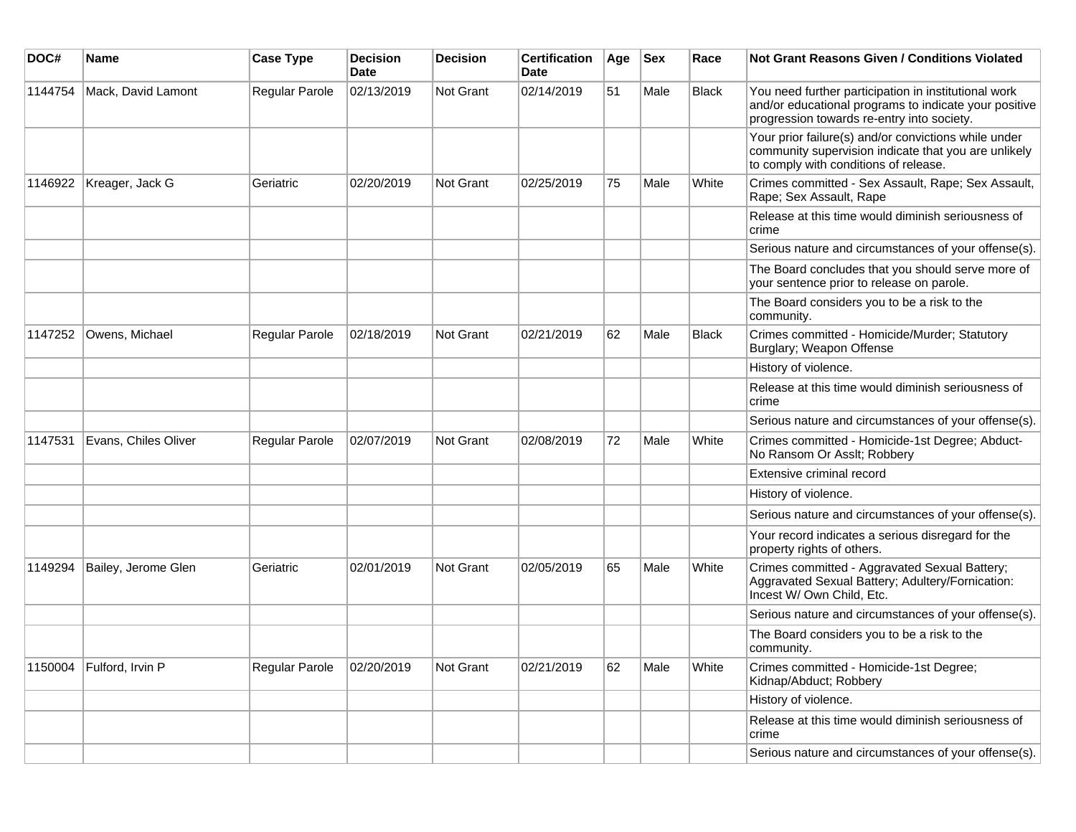| DOC#    | <b>Name</b>              | <b>Case Type</b> | <b>Decision</b><br><b>Date</b> | <b>Decision</b>  | <b>Certification</b><br>Date | Age | <b>Sex</b> | Race         | <b>Not Grant Reasons Given / Conditions Violated</b>                                                                                                        |
|---------|--------------------------|------------------|--------------------------------|------------------|------------------------------|-----|------------|--------------|-------------------------------------------------------------------------------------------------------------------------------------------------------------|
| 1144754 | Mack, David Lamont       | Regular Parole   | 02/13/2019                     | <b>Not Grant</b> | 02/14/2019                   | 51  | Male       | <b>Black</b> | You need further participation in institutional work<br>and/or educational programs to indicate your positive<br>progression towards re-entry into society. |
|         |                          |                  |                                |                  |                              |     |            |              | Your prior failure(s) and/or convictions while under<br>community supervision indicate that you are unlikely<br>to comply with conditions of release.       |
| 1146922 | Kreager, Jack G          | Geriatric        | 02/20/2019                     | <b>Not Grant</b> | 02/25/2019                   | 75  | Male       | White        | Crimes committed - Sex Assault, Rape; Sex Assault,<br>Rape; Sex Assault, Rape                                                                               |
|         |                          |                  |                                |                  |                              |     |            |              | Release at this time would diminish seriousness of<br>crime                                                                                                 |
|         |                          |                  |                                |                  |                              |     |            |              | Serious nature and circumstances of your offense(s).                                                                                                        |
|         |                          |                  |                                |                  |                              |     |            |              | The Board concludes that you should serve more of<br>your sentence prior to release on parole.                                                              |
|         |                          |                  |                                |                  |                              |     |            |              | The Board considers you to be a risk to the<br>community.                                                                                                   |
| 1147252 | Owens, Michael           | Regular Parole   | 02/18/2019                     | Not Grant        | 02/21/2019                   | 62  | Male       | <b>Black</b> | Crimes committed - Homicide/Murder; Statutory<br>Burglary; Weapon Offense                                                                                   |
|         |                          |                  |                                |                  |                              |     |            |              | History of violence.                                                                                                                                        |
|         |                          |                  |                                |                  |                              |     |            |              | Release at this time would diminish seriousness of<br>crime                                                                                                 |
|         |                          |                  |                                |                  |                              |     |            |              | Serious nature and circumstances of your offense(s).                                                                                                        |
| 1147531 | Evans, Chiles Oliver     | Regular Parole   | 02/07/2019                     | Not Grant        | 02/08/2019                   | 72  | Male       | White        | Crimes committed - Homicide-1st Degree; Abduct-<br>No Ransom Or Asslt; Robbery                                                                              |
|         |                          |                  |                                |                  |                              |     |            |              | Extensive criminal record                                                                                                                                   |
|         |                          |                  |                                |                  |                              |     |            |              | History of violence.                                                                                                                                        |
|         |                          |                  |                                |                  |                              |     |            |              | Serious nature and circumstances of your offense(s).                                                                                                        |
|         |                          |                  |                                |                  |                              |     |            |              | Your record indicates a serious disregard for the<br>property rights of others.                                                                             |
| 1149294 | Bailey, Jerome Glen      | Geriatric        | 02/01/2019                     | <b>Not Grant</b> | 02/05/2019                   | 65  | Male       | White        | Crimes committed - Aggravated Sexual Battery;<br>Aggravated Sexual Battery; Adultery/Fornication:<br>Incest W/ Own Child, Etc.                              |
|         |                          |                  |                                |                  |                              |     |            |              | Serious nature and circumstances of your offense(s).                                                                                                        |
|         |                          |                  |                                |                  |                              |     |            |              | The Board considers you to be a risk to the<br>community.                                                                                                   |
|         | 1150004 Fulford, Irvin P | Regular Parole   | 02/20/2019                     | Not Grant        | 02/21/2019                   | 62  | Male       | White        | Crimes committed - Homicide-1st Degree;<br>Kidnap/Abduct; Robbery                                                                                           |
|         |                          |                  |                                |                  |                              |     |            |              | History of violence.                                                                                                                                        |
|         |                          |                  |                                |                  |                              |     |            |              | Release at this time would diminish seriousness of<br>crime                                                                                                 |
|         |                          |                  |                                |                  |                              |     |            |              | Serious nature and circumstances of your offense(s).                                                                                                        |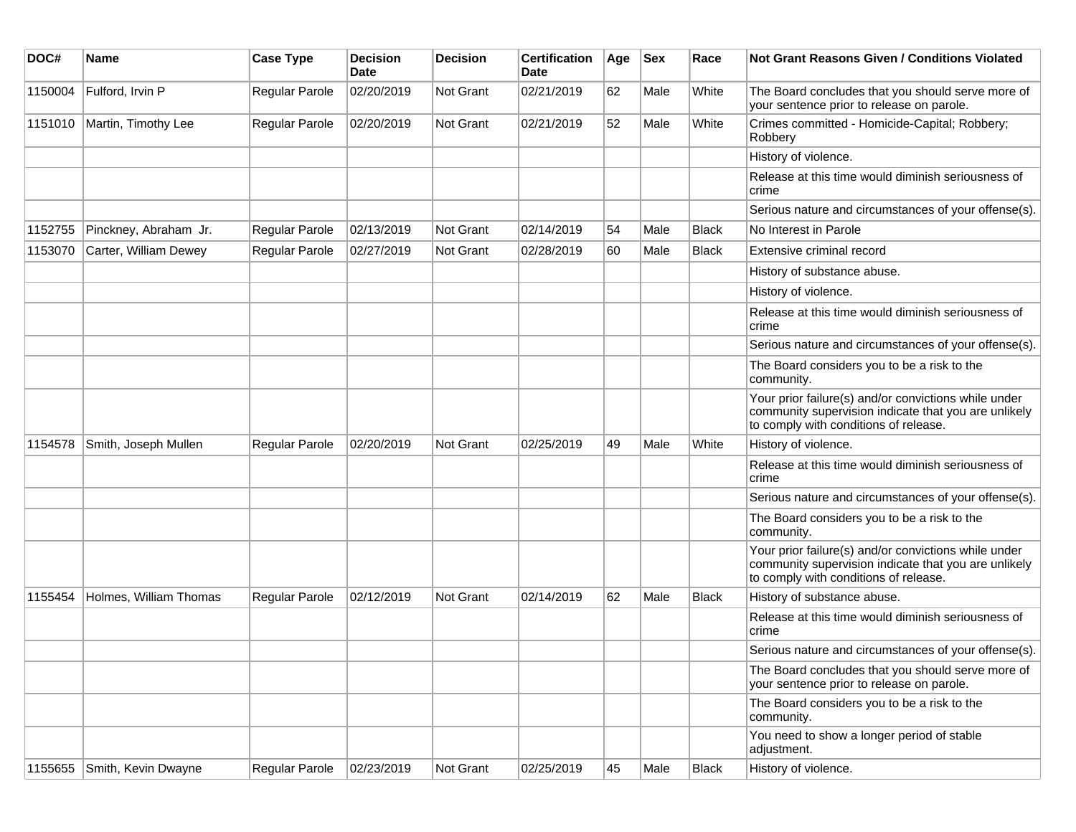| DOC#    | <b>Name</b>            | <b>Case Type</b> | <b>Decision</b><br>Date | <b>Decision</b> | <b>Certification</b><br>Date | Age | <b>Sex</b> | Race         | Not Grant Reasons Given / Conditions Violated                                                                                                         |
|---------|------------------------|------------------|-------------------------|-----------------|------------------------------|-----|------------|--------------|-------------------------------------------------------------------------------------------------------------------------------------------------------|
| 1150004 | Fulford, Irvin P       | Regular Parole   | 02/20/2019              | Not Grant       | 02/21/2019                   | 62  | Male       | White        | The Board concludes that you should serve more of<br>your sentence prior to release on parole.                                                        |
| 1151010 | Martin, Timothy Lee    | Regular Parole   | 02/20/2019              | Not Grant       | 02/21/2019                   | 52  | Male       | White        | Crimes committed - Homicide-Capital; Robbery;<br>Robbery                                                                                              |
|         |                        |                  |                         |                 |                              |     |            |              | History of violence.                                                                                                                                  |
|         |                        |                  |                         |                 |                              |     |            |              | Release at this time would diminish seriousness of<br>crime                                                                                           |
|         |                        |                  |                         |                 |                              |     |            |              | Serious nature and circumstances of your offense(s).                                                                                                  |
| 1152755 | Pinckney, Abraham Jr.  | Regular Parole   | 02/13/2019              | Not Grant       | 02/14/2019                   | 54  | Male       | <b>Black</b> | No Interest in Parole                                                                                                                                 |
| 1153070 | Carter, William Dewey  | Regular Parole   | 02/27/2019              | Not Grant       | 02/28/2019                   | 60  | Male       | <b>Black</b> | Extensive criminal record                                                                                                                             |
|         |                        |                  |                         |                 |                              |     |            |              | History of substance abuse.                                                                                                                           |
|         |                        |                  |                         |                 |                              |     |            |              | History of violence.                                                                                                                                  |
|         |                        |                  |                         |                 |                              |     |            |              | Release at this time would diminish seriousness of<br>crime                                                                                           |
|         |                        |                  |                         |                 |                              |     |            |              | Serious nature and circumstances of your offense(s).                                                                                                  |
|         |                        |                  |                         |                 |                              |     |            |              | The Board considers you to be a risk to the<br>community.                                                                                             |
|         |                        |                  |                         |                 |                              |     |            |              | Your prior failure(s) and/or convictions while under<br>community supervision indicate that you are unlikely<br>to comply with conditions of release. |
| 1154578 | Smith, Joseph Mullen   | Regular Parole   | 02/20/2019              | Not Grant       | 02/25/2019                   | 49  | Male       | White        | History of violence.                                                                                                                                  |
|         |                        |                  |                         |                 |                              |     |            |              | Release at this time would diminish seriousness of<br>crime                                                                                           |
|         |                        |                  |                         |                 |                              |     |            |              | Serious nature and circumstances of your offense(s).                                                                                                  |
|         |                        |                  |                         |                 |                              |     |            |              | The Board considers you to be a risk to the<br>community.                                                                                             |
|         |                        |                  |                         |                 |                              |     |            |              | Your prior failure(s) and/or convictions while under<br>community supervision indicate that you are unlikely<br>to comply with conditions of release. |
| 1155454 | Holmes, William Thomas | Regular Parole   | 02/12/2019              | Not Grant       | 02/14/2019                   | 62  | Male       | <b>Black</b> | History of substance abuse.                                                                                                                           |
|         |                        |                  |                         |                 |                              |     |            |              | Release at this time would diminish seriousness of<br>crime                                                                                           |
|         |                        |                  |                         |                 |                              |     |            |              | Serious nature and circumstances of your offense(s).                                                                                                  |
|         |                        |                  |                         |                 |                              |     |            |              | The Board concludes that you should serve more of<br>your sentence prior to release on parole.                                                        |
|         |                        |                  |                         |                 |                              |     |            |              | The Board considers you to be a risk to the<br>community.                                                                                             |
|         |                        |                  |                         |                 |                              |     |            |              | You need to show a longer period of stable<br>adjustment.                                                                                             |
| 1155655 | Smith, Kevin Dwayne    | Regular Parole   | 02/23/2019              | Not Grant       | 02/25/2019                   | 45  | Male       | Black        | History of violence.                                                                                                                                  |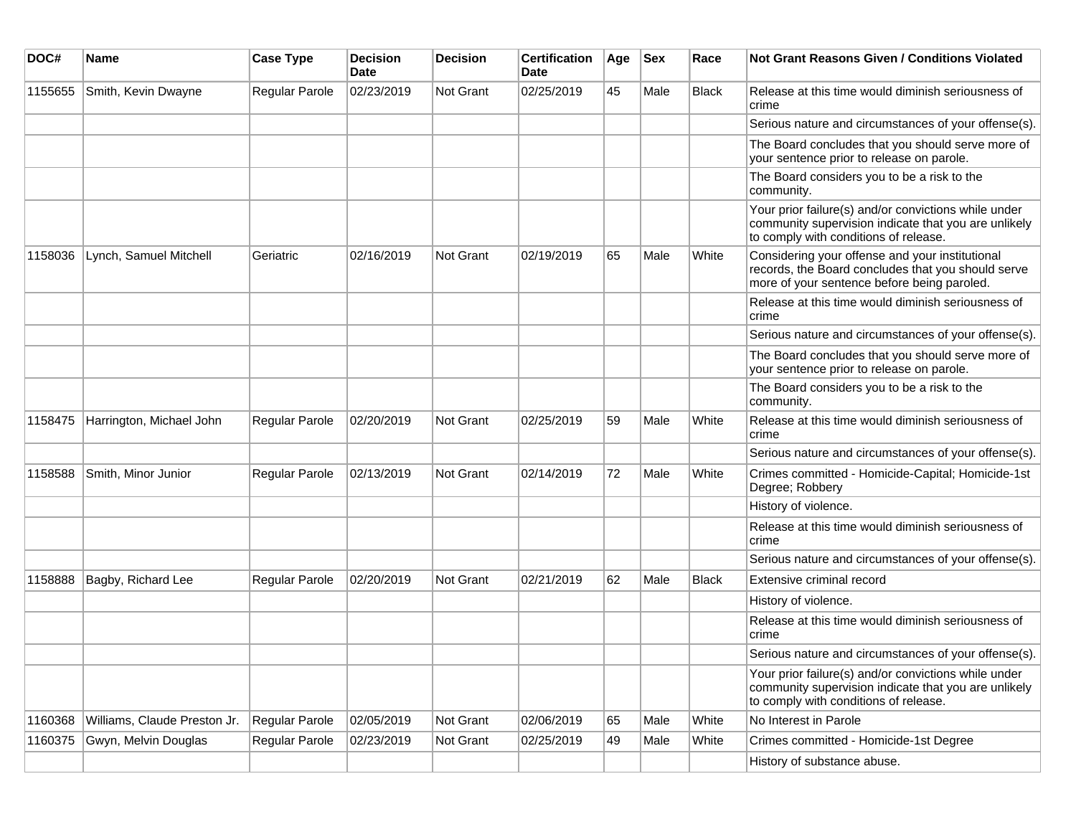| DOC#    | <b>Name</b>                  | <b>Case Type</b>      | <b>Decision</b><br><b>Date</b> | <b>Decision</b> | <b>Certification</b><br>Date | Age | <b>Sex</b> | Race         | Not Grant Reasons Given / Conditions Violated                                                                                                         |
|---------|------------------------------|-----------------------|--------------------------------|-----------------|------------------------------|-----|------------|--------------|-------------------------------------------------------------------------------------------------------------------------------------------------------|
| 1155655 | Smith, Kevin Dwayne          | Regular Parole        | 02/23/2019                     | Not Grant       | 02/25/2019                   | 45  | Male       | Black        | Release at this time would diminish seriousness of<br>crime                                                                                           |
|         |                              |                       |                                |                 |                              |     |            |              | Serious nature and circumstances of your offense(s).                                                                                                  |
|         |                              |                       |                                |                 |                              |     |            |              | The Board concludes that you should serve more of<br>your sentence prior to release on parole.                                                        |
|         |                              |                       |                                |                 |                              |     |            |              | The Board considers you to be a risk to the<br>community.                                                                                             |
|         |                              |                       |                                |                 |                              |     |            |              | Your prior failure(s) and/or convictions while under<br>community supervision indicate that you are unlikely<br>to comply with conditions of release. |
| 1158036 | Lynch, Samuel Mitchell       | Geriatric             | 02/16/2019                     | Not Grant       | 02/19/2019                   | 65  | Male       | White        | Considering your offense and your institutional<br>records, the Board concludes that you should serve<br>more of your sentence before being paroled.  |
|         |                              |                       |                                |                 |                              |     |            |              | Release at this time would diminish seriousness of<br>crime                                                                                           |
|         |                              |                       |                                |                 |                              |     |            |              | Serious nature and circumstances of your offense(s).                                                                                                  |
|         |                              |                       |                                |                 |                              |     |            |              | The Board concludes that you should serve more of<br>your sentence prior to release on parole.                                                        |
|         |                              |                       |                                |                 |                              |     |            |              | The Board considers you to be a risk to the<br>community.                                                                                             |
| 1158475 | Harrington, Michael John     | <b>Regular Parole</b> | 02/20/2019                     | Not Grant       | 02/25/2019                   | 59  | Male       | White        | Release at this time would diminish seriousness of<br>crime                                                                                           |
|         |                              |                       |                                |                 |                              |     |            |              | Serious nature and circumstances of your offense(s).                                                                                                  |
| 1158588 | Smith, Minor Junior          | <b>Regular Parole</b> | 02/13/2019                     | Not Grant       | 02/14/2019                   | 72  | Male       | White        | Crimes committed - Homicide-Capital; Homicide-1st<br>Degree; Robbery                                                                                  |
|         |                              |                       |                                |                 |                              |     |            |              | History of violence.                                                                                                                                  |
|         |                              |                       |                                |                 |                              |     |            |              | Release at this time would diminish seriousness of<br>crime                                                                                           |
|         |                              |                       |                                |                 |                              |     |            |              | Serious nature and circumstances of your offense(s).                                                                                                  |
| 1158888 | Bagby, Richard Lee           | Regular Parole        | 02/20/2019                     | Not Grant       | 02/21/2019                   | 62  | Male       | <b>Black</b> | Extensive criminal record                                                                                                                             |
|         |                              |                       |                                |                 |                              |     |            |              | History of violence.                                                                                                                                  |
|         |                              |                       |                                |                 |                              |     |            |              | Release at this time would diminish seriousness of<br>crime                                                                                           |
|         |                              |                       |                                |                 |                              |     |            |              | Serious nature and circumstances of your offense(s).                                                                                                  |
|         |                              |                       |                                |                 |                              |     |            |              | Your prior failure(s) and/or convictions while under<br>community supervision indicate that you are unlikely<br>to comply with conditions of release. |
| 1160368 | Williams, Claude Preston Jr. | Regular Parole        | 02/05/2019                     | Not Grant       | 02/06/2019                   | 65  | Male       | White        | No Interest in Parole                                                                                                                                 |
| 1160375 | Gwyn, Melvin Douglas         | Regular Parole        | 02/23/2019                     | Not Grant       | 02/25/2019                   | 49  | Male       | White        | Crimes committed - Homicide-1st Degree                                                                                                                |
|         |                              |                       |                                |                 |                              |     |            |              | History of substance abuse.                                                                                                                           |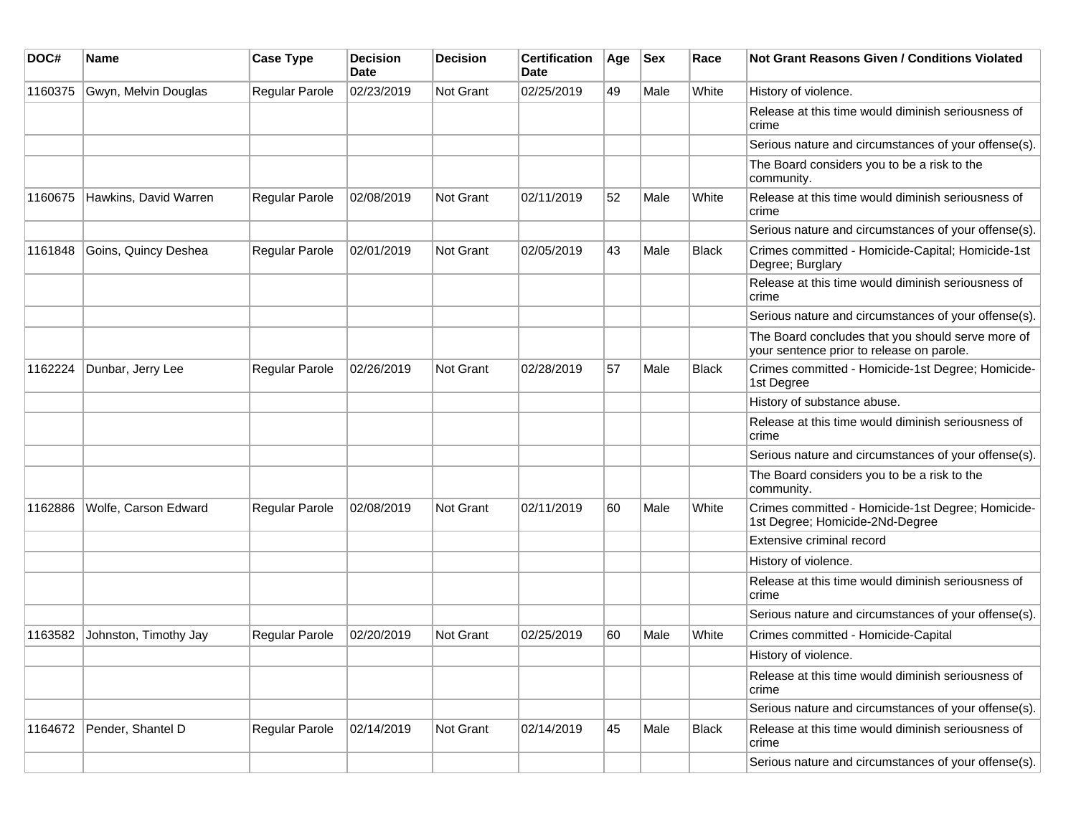| DOC#    | Name                  | <b>Case Type</b>      | <b>Decision</b><br>Date | <b>Decision</b>  | <b>Certification</b><br>Date | Age | <b>Sex</b> | Race         | <b>Not Grant Reasons Given / Conditions Violated</b>                                           |
|---------|-----------------------|-----------------------|-------------------------|------------------|------------------------------|-----|------------|--------------|------------------------------------------------------------------------------------------------|
| 1160375 | Gwyn, Melvin Douglas  | <b>Regular Parole</b> | 02/23/2019              | Not Grant        | 02/25/2019                   | 49  | Male       | White        | History of violence.                                                                           |
|         |                       |                       |                         |                  |                              |     |            |              | Release at this time would diminish seriousness of<br>crime                                    |
|         |                       |                       |                         |                  |                              |     |            |              | Serious nature and circumstances of your offense(s).                                           |
|         |                       |                       |                         |                  |                              |     |            |              | The Board considers you to be a risk to the<br>community.                                      |
| 1160675 | Hawkins, David Warren | Regular Parole        | 02/08/2019              | <b>Not Grant</b> | 02/11/2019                   | 52  | Male       | White        | Release at this time would diminish seriousness of<br>crime                                    |
|         |                       |                       |                         |                  |                              |     |            |              | Serious nature and circumstances of your offense(s).                                           |
| 1161848 | Goins, Quincy Deshea  | <b>Regular Parole</b> | 02/01/2019              | Not Grant        | 02/05/2019                   | 43  | Male       | <b>Black</b> | Crimes committed - Homicide-Capital; Homicide-1st<br>Degree; Burglary                          |
|         |                       |                       |                         |                  |                              |     |            |              | Release at this time would diminish seriousness of<br>crime                                    |
|         |                       |                       |                         |                  |                              |     |            |              | Serious nature and circumstances of your offense(s).                                           |
|         |                       |                       |                         |                  |                              |     |            |              | The Board concludes that you should serve more of<br>your sentence prior to release on parole. |
| 1162224 | Dunbar, Jerry Lee     | Regular Parole        | 02/26/2019              | Not Grant        | 02/28/2019                   | 57  | Male       | <b>Black</b> | Crimes committed - Homicide-1st Degree; Homicide-<br>1st Degree                                |
|         |                       |                       |                         |                  |                              |     |            |              | History of substance abuse.                                                                    |
|         |                       |                       |                         |                  |                              |     |            |              | Release at this time would diminish seriousness of<br>crime                                    |
|         |                       |                       |                         |                  |                              |     |            |              | Serious nature and circumstances of your offense(s).                                           |
|         |                       |                       |                         |                  |                              |     |            |              | The Board considers you to be a risk to the<br>community.                                      |
| 1162886 | Wolfe, Carson Edward  | Regular Parole        | 02/08/2019              | Not Grant        | 02/11/2019                   | 60  | Male       | White        | Crimes committed - Homicide-1st Degree; Homicide-<br>1st Degree; Homicide-2Nd-Degree           |
|         |                       |                       |                         |                  |                              |     |            |              | Extensive criminal record                                                                      |
|         |                       |                       |                         |                  |                              |     |            |              | History of violence.                                                                           |
|         |                       |                       |                         |                  |                              |     |            |              | Release at this time would diminish seriousness of<br>crime                                    |
|         |                       |                       |                         |                  |                              |     |            |              | Serious nature and circumstances of your offense(s).                                           |
| 1163582 | Johnston, Timothy Jay | <b>Regular Parole</b> | 02/20/2019              | Not Grant        | 02/25/2019                   | 60  | Male       | White        | Crimes committed - Homicide-Capital                                                            |
|         |                       |                       |                         |                  |                              |     |            |              | History of violence.                                                                           |
|         |                       |                       |                         |                  |                              |     |            |              | Release at this time would diminish seriousness of<br>crime                                    |
|         |                       |                       |                         |                  |                              |     |            |              | Serious nature and circumstances of your offense(s).                                           |
| 1164672 | Pender, Shantel D     | Regular Parole        | 02/14/2019              | Not Grant        | 02/14/2019                   | 45  | Male       | Black        | Release at this time would diminish seriousness of<br>crime                                    |
|         |                       |                       |                         |                  |                              |     |            |              | Serious nature and circumstances of your offense(s).                                           |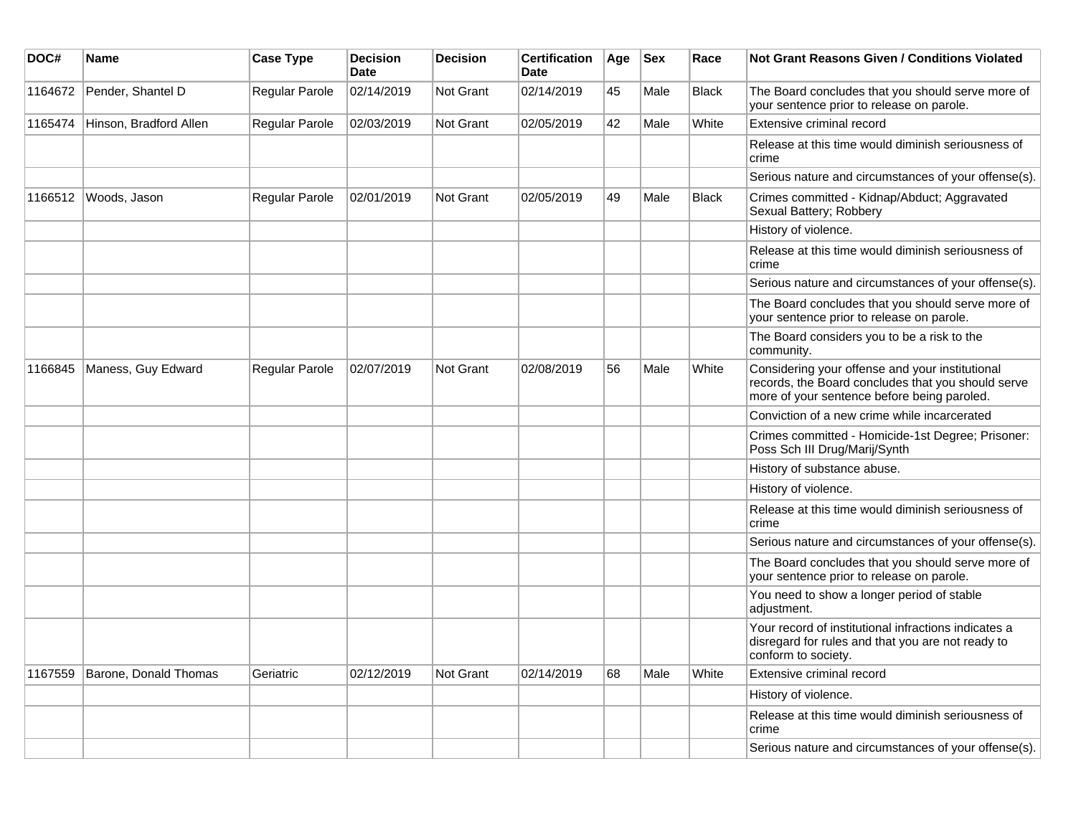| DOC#    | <b>Name</b>            | <b>Case Type</b> | <b>Decision</b><br><b>Date</b> | <b>Decision</b>  | <b>Certification</b><br><b>Date</b> | Age | <b>Sex</b> | Race         | <b>Not Grant Reasons Given / Conditions Violated</b>                                                                                                 |
|---------|------------------------|------------------|--------------------------------|------------------|-------------------------------------|-----|------------|--------------|------------------------------------------------------------------------------------------------------------------------------------------------------|
| 1164672 | Pender, Shantel D      | Regular Parole   | 02/14/2019                     | Not Grant        | 02/14/2019                          | 45  | Male       | <b>Black</b> | The Board concludes that you should serve more of<br>your sentence prior to release on parole.                                                       |
| 1165474 | Hinson, Bradford Allen | Regular Parole   | 02/03/2019                     | <b>Not Grant</b> | 02/05/2019                          | 42  | Male       | White        | <b>Extensive criminal record</b>                                                                                                                     |
|         |                        |                  |                                |                  |                                     |     |            |              | Release at this time would diminish seriousness of<br>crime                                                                                          |
|         |                        |                  |                                |                  |                                     |     |            |              | Serious nature and circumstances of your offense(s).                                                                                                 |
| 1166512 | Woods, Jason           | Regular Parole   | 02/01/2019                     | Not Grant        | 02/05/2019                          | 49  | Male       | <b>Black</b> | Crimes committed - Kidnap/Abduct; Aggravated<br>Sexual Battery; Robbery                                                                              |
|         |                        |                  |                                |                  |                                     |     |            |              | History of violence.                                                                                                                                 |
|         |                        |                  |                                |                  |                                     |     |            |              | Release at this time would diminish seriousness of<br>crime                                                                                          |
|         |                        |                  |                                |                  |                                     |     |            |              | Serious nature and circumstances of your offense(s).                                                                                                 |
|         |                        |                  |                                |                  |                                     |     |            |              | The Board concludes that you should serve more of<br>your sentence prior to release on parole.                                                       |
|         |                        |                  |                                |                  |                                     |     |            |              | The Board considers you to be a risk to the<br>community.                                                                                            |
| 1166845 | Maness, Guy Edward     | Regular Parole   | 02/07/2019                     | Not Grant        | 02/08/2019                          | 56  | Male       | White        | Considering your offense and your institutional<br>records, the Board concludes that you should serve<br>more of your sentence before being paroled. |
|         |                        |                  |                                |                  |                                     |     |            |              | Conviction of a new crime while incarcerated                                                                                                         |
|         |                        |                  |                                |                  |                                     |     |            |              | Crimes committed - Homicide-1st Degree; Prisoner:<br>Poss Sch III Drug/Marij/Synth                                                                   |
|         |                        |                  |                                |                  |                                     |     |            |              | History of substance abuse.                                                                                                                          |
|         |                        |                  |                                |                  |                                     |     |            |              | History of violence.                                                                                                                                 |
|         |                        |                  |                                |                  |                                     |     |            |              | Release at this time would diminish seriousness of<br>crime                                                                                          |
|         |                        |                  |                                |                  |                                     |     |            |              | Serious nature and circumstances of your offense(s).                                                                                                 |
|         |                        |                  |                                |                  |                                     |     |            |              | The Board concludes that you should serve more of<br>your sentence prior to release on parole.                                                       |
|         |                        |                  |                                |                  |                                     |     |            |              | You need to show a longer period of stable<br>adjustment.                                                                                            |
|         |                        |                  |                                |                  |                                     |     |            |              | Your record of institutional infractions indicates a<br>disregard for rules and that you are not ready to<br>conform to society.                     |
| 1167559 | Barone, Donald Thomas  | Geriatric        | 02/12/2019                     | <b>Not Grant</b> | 02/14/2019                          | 68  | Male       | White        | Extensive criminal record                                                                                                                            |
|         |                        |                  |                                |                  |                                     |     |            |              | History of violence.                                                                                                                                 |
|         |                        |                  |                                |                  |                                     |     |            |              | Release at this time would diminish seriousness of<br>crime                                                                                          |
|         |                        |                  |                                |                  |                                     |     |            |              | Serious nature and circumstances of your offense(s).                                                                                                 |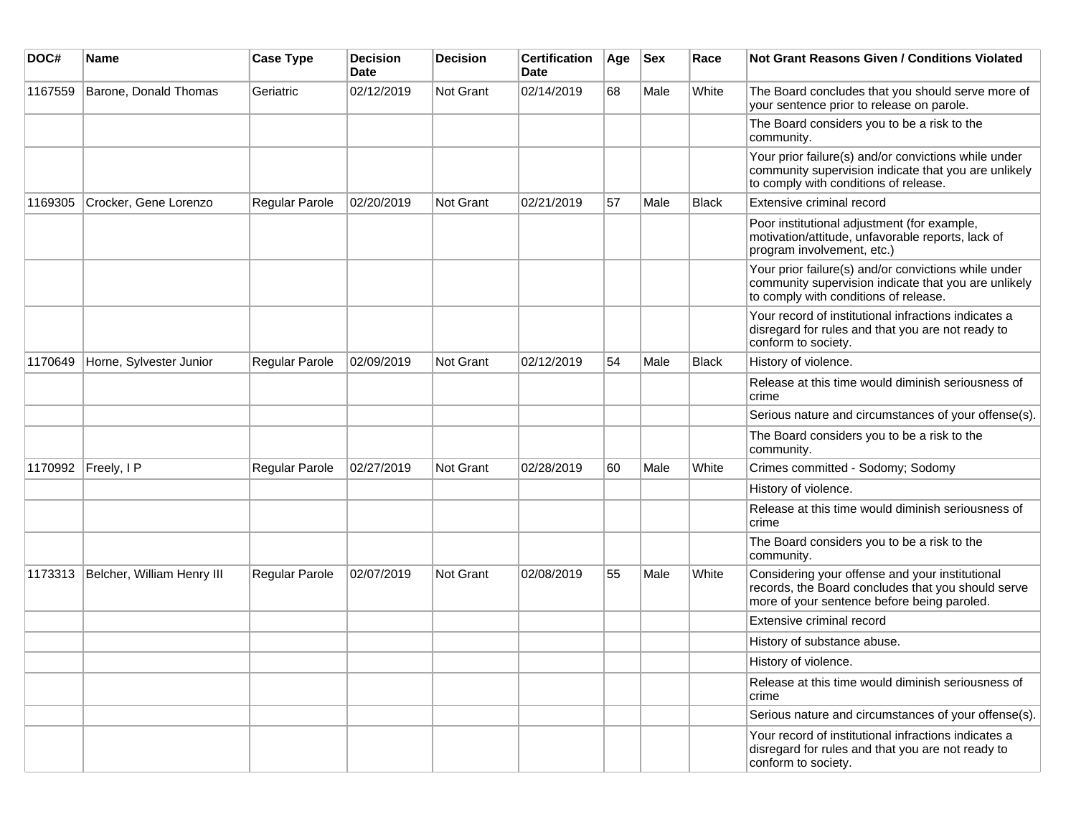| DOC#    | Name                       | <b>Case Type</b>      | <b>Decision</b><br><b>Date</b> | <b>Decision</b> | <b>Certification</b><br>Date | Age | <b>Sex</b> | Race         | Not Grant Reasons Given / Conditions Violated                                                                                                         |
|---------|----------------------------|-----------------------|--------------------------------|-----------------|------------------------------|-----|------------|--------------|-------------------------------------------------------------------------------------------------------------------------------------------------------|
| 1167559 | Barone, Donald Thomas      | Geriatric             | 02/12/2019                     | Not Grant       | 02/14/2019                   | 68  | Male       | White        | The Board concludes that you should serve more of<br>your sentence prior to release on parole.                                                        |
|         |                            |                       |                                |                 |                              |     |            |              | The Board considers you to be a risk to the<br>community.                                                                                             |
|         |                            |                       |                                |                 |                              |     |            |              | Your prior failure(s) and/or convictions while under<br>community supervision indicate that you are unlikely<br>to comply with conditions of release. |
| 1169305 | Crocker, Gene Lorenzo      | Regular Parole        | 02/20/2019                     | Not Grant       | 02/21/2019                   | 57  | Male       | <b>Black</b> | Extensive criminal record                                                                                                                             |
|         |                            |                       |                                |                 |                              |     |            |              | Poor institutional adjustment (for example,<br>motivation/attitude, unfavorable reports, lack of<br>program involvement, etc.)                        |
|         |                            |                       |                                |                 |                              |     |            |              | Your prior failure(s) and/or convictions while under<br>community supervision indicate that you are unlikely<br>to comply with conditions of release. |
|         |                            |                       |                                |                 |                              |     |            |              | Your record of institutional infractions indicates a<br>disregard for rules and that you are not ready to<br>conform to society.                      |
| 1170649 | Horne, Sylvester Junior    | Regular Parole        | 02/09/2019                     | Not Grant       | 02/12/2019                   | 54  | Male       | <b>Black</b> | History of violence.                                                                                                                                  |
|         |                            |                       |                                |                 |                              |     |            |              | Release at this time would diminish seriousness of<br>crime                                                                                           |
|         |                            |                       |                                |                 |                              |     |            |              | Serious nature and circumstances of your offense(s).                                                                                                  |
|         |                            |                       |                                |                 |                              |     |            |              | The Board considers you to be a risk to the<br>community.                                                                                             |
| 1170992 | Freely, I P                | Regular Parole        | 02/27/2019                     | Not Grant       | 02/28/2019                   | 60  | Male       | White        | Crimes committed - Sodomy; Sodomy                                                                                                                     |
|         |                            |                       |                                |                 |                              |     |            |              | History of violence.                                                                                                                                  |
|         |                            |                       |                                |                 |                              |     |            |              | Release at this time would diminish seriousness of<br>crime                                                                                           |
|         |                            |                       |                                |                 |                              |     |            |              | The Board considers you to be a risk to the<br>community.                                                                                             |
| 1173313 | Belcher, William Henry III | <b>Regular Parole</b> | 02/07/2019                     | Not Grant       | 02/08/2019                   | 55  | Male       | White        | Considering your offense and your institutional<br>records, the Board concludes that you should serve<br>more of your sentence before being paroled.  |
|         |                            |                       |                                |                 |                              |     |            |              | Extensive criminal record                                                                                                                             |
|         |                            |                       |                                |                 |                              |     |            |              | History of substance abuse.                                                                                                                           |
|         |                            |                       |                                |                 |                              |     |            |              | History of violence.                                                                                                                                  |
|         |                            |                       |                                |                 |                              |     |            |              | Release at this time would diminish seriousness of<br>crime                                                                                           |
|         |                            |                       |                                |                 |                              |     |            |              | Serious nature and circumstances of your offense(s).                                                                                                  |
|         |                            |                       |                                |                 |                              |     |            |              | Your record of institutional infractions indicates a<br>disregard for rules and that you are not ready to<br>conform to society.                      |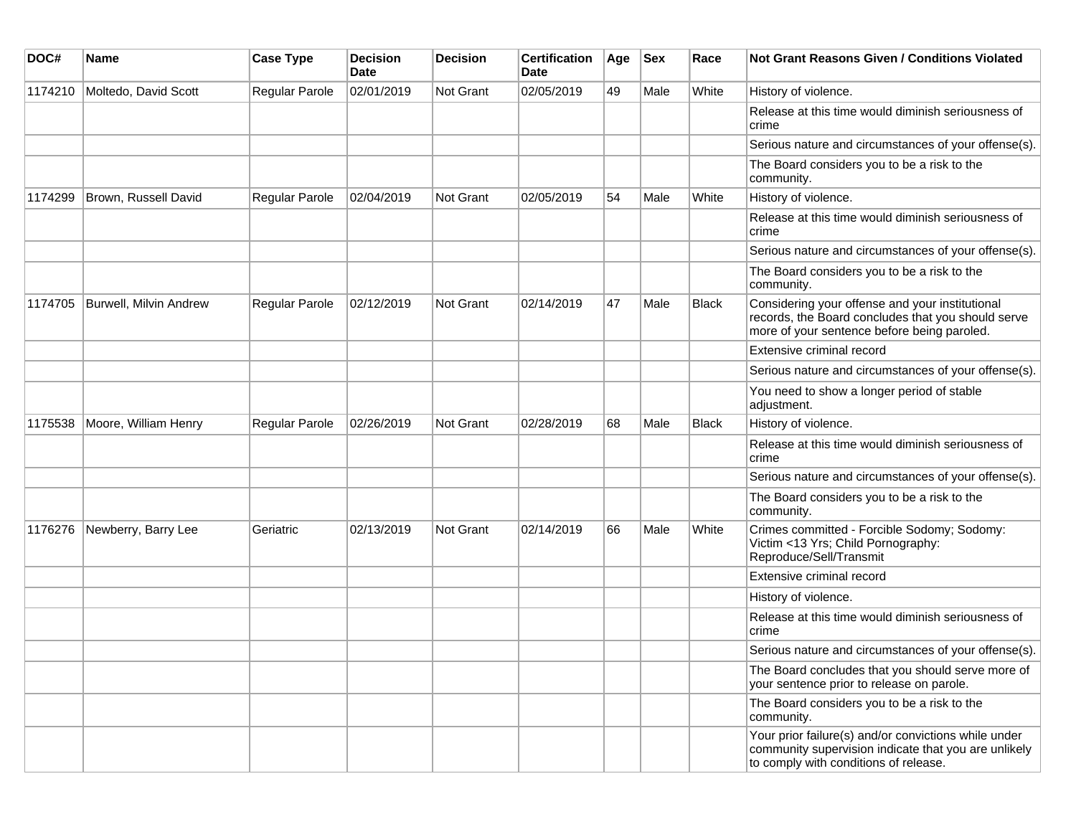| DOC#    | <b>Name</b>                   | <b>Case Type</b> | <b>Decision</b><br><b>Date</b> | <b>Decision</b> | <b>Certification</b><br>Date | Age | <b>Sex</b> | Race         | <b>Not Grant Reasons Given / Conditions Violated</b>                                                                                                  |
|---------|-------------------------------|------------------|--------------------------------|-----------------|------------------------------|-----|------------|--------------|-------------------------------------------------------------------------------------------------------------------------------------------------------|
| 1174210 | Moltedo, David Scott          | Regular Parole   | 02/01/2019                     | Not Grant       | 02/05/2019                   | 49  | Male       | White        | History of violence.                                                                                                                                  |
|         |                               |                  |                                |                 |                              |     |            |              | Release at this time would diminish seriousness of<br>crime                                                                                           |
|         |                               |                  |                                |                 |                              |     |            |              | Serious nature and circumstances of your offense(s).                                                                                                  |
|         |                               |                  |                                |                 |                              |     |            |              | The Board considers you to be a risk to the<br>community.                                                                                             |
| 1174299 | Brown, Russell David          | Regular Parole   | 02/04/2019                     | Not Grant       | 02/05/2019                   | 54  | Male       | White        | History of violence.                                                                                                                                  |
|         |                               |                  |                                |                 |                              |     |            |              | Release at this time would diminish seriousness of<br>crime                                                                                           |
|         |                               |                  |                                |                 |                              |     |            |              | Serious nature and circumstances of your offense(s).                                                                                                  |
|         |                               |                  |                                |                 |                              |     |            |              | The Board considers you to be a risk to the<br>community.                                                                                             |
| 1174705 | <b>Burwell, Milvin Andrew</b> | Regular Parole   | 02/12/2019                     | Not Grant       | 02/14/2019                   | 47  | Male       | <b>Black</b> | Considering your offense and your institutional<br>records, the Board concludes that you should serve<br>more of your sentence before being paroled.  |
|         |                               |                  |                                |                 |                              |     |            |              | Extensive criminal record                                                                                                                             |
|         |                               |                  |                                |                 |                              |     |            |              | Serious nature and circumstances of your offense(s).                                                                                                  |
|         |                               |                  |                                |                 |                              |     |            |              | You need to show a longer period of stable<br>adjustment.                                                                                             |
| 1175538 | Moore, William Henry          | Regular Parole   | 02/26/2019                     | Not Grant       | 02/28/2019                   | 68  | Male       | Black        | History of violence.                                                                                                                                  |
|         |                               |                  |                                |                 |                              |     |            |              | Release at this time would diminish seriousness of<br>crime                                                                                           |
|         |                               |                  |                                |                 |                              |     |            |              | Serious nature and circumstances of your offense(s).                                                                                                  |
|         |                               |                  |                                |                 |                              |     |            |              | The Board considers you to be a risk to the<br>community.                                                                                             |
| 1176276 | Newberry, Barry Lee           | Geriatric        | 02/13/2019                     | Not Grant       | 02/14/2019                   | 66  | Male       | White        | Crimes committed - Forcible Sodomy; Sodomy:<br>Victim <13 Yrs; Child Pornography:<br>Reproduce/Sell/Transmit                                          |
|         |                               |                  |                                |                 |                              |     |            |              | Extensive criminal record                                                                                                                             |
|         |                               |                  |                                |                 |                              |     |            |              | History of violence.                                                                                                                                  |
|         |                               |                  |                                |                 |                              |     |            |              | Release at this time would diminish seriousness of<br>crime                                                                                           |
|         |                               |                  |                                |                 |                              |     |            |              | Serious nature and circumstances of your offense(s).                                                                                                  |
|         |                               |                  |                                |                 |                              |     |            |              | The Board concludes that you should serve more of<br>your sentence prior to release on parole.                                                        |
|         |                               |                  |                                |                 |                              |     |            |              | The Board considers you to be a risk to the<br>community.                                                                                             |
|         |                               |                  |                                |                 |                              |     |            |              | Your prior failure(s) and/or convictions while under<br>community supervision indicate that you are unlikely<br>to comply with conditions of release. |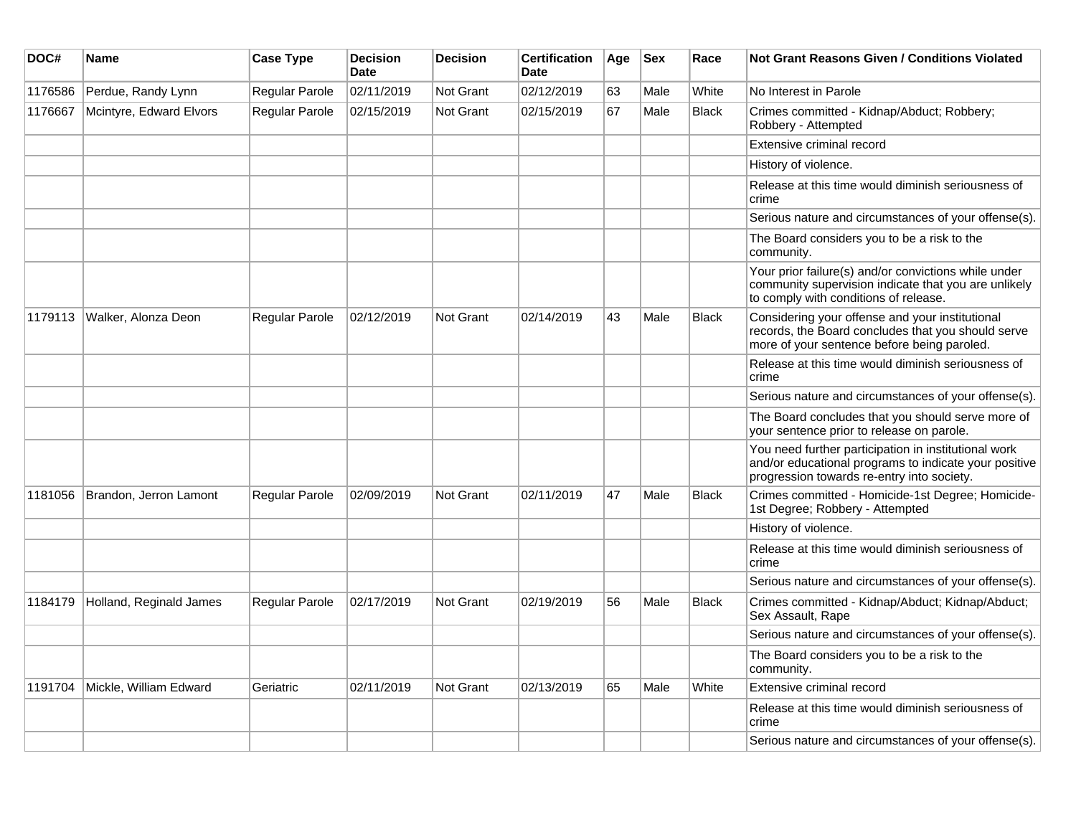| DOC#    | <b>Name</b>             | <b>Case Type</b>      | <b>Decision</b><br><b>Date</b> | <b>Decision</b>  | <b>Certification</b><br>Date | Age | <b>Sex</b> | Race         | <b>Not Grant Reasons Given / Conditions Violated</b>                                                                                                        |
|---------|-------------------------|-----------------------|--------------------------------|------------------|------------------------------|-----|------------|--------------|-------------------------------------------------------------------------------------------------------------------------------------------------------------|
| 1176586 | Perdue, Randy Lynn      | Regular Parole        | 02/11/2019                     | Not Grant        | 02/12/2019                   | 63  | Male       | White        | No Interest in Parole                                                                                                                                       |
| 1176667 | Mcintyre, Edward Elvors | Regular Parole        | 02/15/2019                     | Not Grant        | 02/15/2019                   | 67  | Male       | <b>Black</b> | Crimes committed - Kidnap/Abduct; Robbery;<br>Robbery - Attempted                                                                                           |
|         |                         |                       |                                |                  |                              |     |            |              | Extensive criminal record                                                                                                                                   |
|         |                         |                       |                                |                  |                              |     |            |              | History of violence.                                                                                                                                        |
|         |                         |                       |                                |                  |                              |     |            |              | Release at this time would diminish seriousness of<br>crime                                                                                                 |
|         |                         |                       |                                |                  |                              |     |            |              | Serious nature and circumstances of your offense(s).                                                                                                        |
|         |                         |                       |                                |                  |                              |     |            |              | The Board considers you to be a risk to the<br>community.                                                                                                   |
|         |                         |                       |                                |                  |                              |     |            |              | Your prior failure(s) and/or convictions while under<br>community supervision indicate that you are unlikely<br>to comply with conditions of release.       |
| 1179113 | Walker, Alonza Deon     | Regular Parole        | 02/12/2019                     | <b>Not Grant</b> | 02/14/2019                   | 43  | Male       | <b>Black</b> | Considering your offense and your institutional<br>records, the Board concludes that you should serve<br>more of your sentence before being paroled.        |
|         |                         |                       |                                |                  |                              |     |            |              | Release at this time would diminish seriousness of<br>crime                                                                                                 |
|         |                         |                       |                                |                  |                              |     |            |              | Serious nature and circumstances of your offense(s).                                                                                                        |
|         |                         |                       |                                |                  |                              |     |            |              | The Board concludes that you should serve more of<br>your sentence prior to release on parole.                                                              |
|         |                         |                       |                                |                  |                              |     |            |              | You need further participation in institutional work<br>and/or educational programs to indicate your positive<br>progression towards re-entry into society. |
| 1181056 | Brandon, Jerron Lamont  | Regular Parole        | 02/09/2019                     | <b>Not Grant</b> | 02/11/2019                   | 47  | Male       | <b>Black</b> | Crimes committed - Homicide-1st Degree; Homicide-<br>1st Degree; Robbery - Attempted                                                                        |
|         |                         |                       |                                |                  |                              |     |            |              | History of violence.                                                                                                                                        |
|         |                         |                       |                                |                  |                              |     |            |              | Release at this time would diminish seriousness of<br>crime                                                                                                 |
|         |                         |                       |                                |                  |                              |     |            |              | Serious nature and circumstances of your offense(s).                                                                                                        |
| 1184179 | Holland, Reginald James | <b>Regular Parole</b> | 02/17/2019                     | <b>Not Grant</b> | 02/19/2019                   | 56  | Male       | <b>Black</b> | Crimes committed - Kidnap/Abduct; Kidnap/Abduct;<br>Sex Assault, Rape                                                                                       |
|         |                         |                       |                                |                  |                              |     |            |              | Serious nature and circumstances of your offense(s).                                                                                                        |
|         |                         |                       |                                |                  |                              |     |            |              | The Board considers you to be a risk to the<br>community.                                                                                                   |
| 1191704 | Mickle, William Edward  | Geriatric             | 02/11/2019                     | Not Grant        | 02/13/2019                   | 65  | Male       | White        | Extensive criminal record                                                                                                                                   |
|         |                         |                       |                                |                  |                              |     |            |              | Release at this time would diminish seriousness of<br>crime                                                                                                 |
|         |                         |                       |                                |                  |                              |     |            |              | Serious nature and circumstances of your offense(s).                                                                                                        |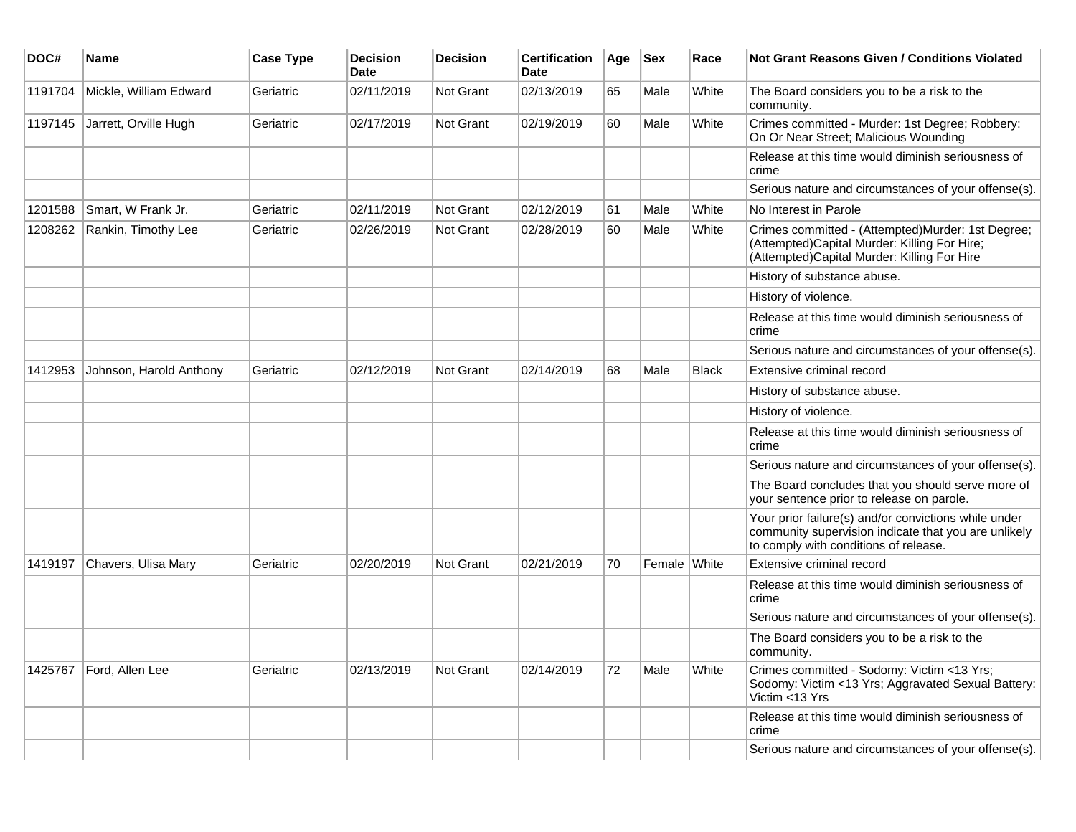| DOC#    | Name                    | <b>Case Type</b> | <b>Decision</b><br><b>Date</b> | <b>Decision</b>  | <b>Certification</b><br><b>Date</b> | Age | <b>Sex</b>   | Race  | <b>Not Grant Reasons Given / Conditions Violated</b>                                                                                                  |
|---------|-------------------------|------------------|--------------------------------|------------------|-------------------------------------|-----|--------------|-------|-------------------------------------------------------------------------------------------------------------------------------------------------------|
| 1191704 | Mickle, William Edward  | Geriatric        | 02/11/2019                     | <b>Not Grant</b> | 02/13/2019                          | 65  | Male         | White | The Board considers you to be a risk to the<br>community.                                                                                             |
| 1197145 | Jarrett, Orville Hugh   | Geriatric        | 02/17/2019                     | <b>Not Grant</b> | 02/19/2019                          | 60  | Male         | White | Crimes committed - Murder: 1st Degree; Robbery:<br>On Or Near Street; Malicious Wounding                                                              |
|         |                         |                  |                                |                  |                                     |     |              |       | Release at this time would diminish seriousness of<br>crime                                                                                           |
|         |                         |                  |                                |                  |                                     |     |              |       | Serious nature and circumstances of your offense(s).                                                                                                  |
| 1201588 | Smart, W Frank Jr.      | Geriatric        | 02/11/2019                     | <b>Not Grant</b> | 02/12/2019                          | 61  | Male         | White | No Interest in Parole                                                                                                                                 |
| 1208262 | Rankin, Timothy Lee     | Geriatric        | 02/26/2019                     | Not Grant        | 02/28/2019                          | 60  | Male         | White | Crimes committed - (Attempted)Murder: 1st Degree;<br>(Attempted)Capital Murder: Killing For Hire;<br>(Attempted)Capital Murder: Killing For Hire      |
|         |                         |                  |                                |                  |                                     |     |              |       | History of substance abuse.                                                                                                                           |
|         |                         |                  |                                |                  |                                     |     |              |       | History of violence.                                                                                                                                  |
|         |                         |                  |                                |                  |                                     |     |              |       | Release at this time would diminish seriousness of<br>crime                                                                                           |
|         |                         |                  |                                |                  |                                     |     |              |       | Serious nature and circumstances of your offense(s).                                                                                                  |
| 1412953 | Johnson, Harold Anthony | Geriatric        | 02/12/2019                     | <b>Not Grant</b> | 02/14/2019                          | 68  | Male         | Black | Extensive criminal record                                                                                                                             |
|         |                         |                  |                                |                  |                                     |     |              |       | History of substance abuse.                                                                                                                           |
|         |                         |                  |                                |                  |                                     |     |              |       | History of violence.                                                                                                                                  |
|         |                         |                  |                                |                  |                                     |     |              |       | Release at this time would diminish seriousness of<br>crime                                                                                           |
|         |                         |                  |                                |                  |                                     |     |              |       | Serious nature and circumstances of your offense(s).                                                                                                  |
|         |                         |                  |                                |                  |                                     |     |              |       | The Board concludes that you should serve more of<br>your sentence prior to release on parole.                                                        |
|         |                         |                  |                                |                  |                                     |     |              |       | Your prior failure(s) and/or convictions while under<br>community supervision indicate that you are unlikely<br>to comply with conditions of release. |
| 1419197 | Chavers, Ulisa Mary     | Geriatric        | 02/20/2019                     | <b>Not Grant</b> | 02/21/2019                          | 70  | Female White |       | Extensive criminal record                                                                                                                             |
|         |                         |                  |                                |                  |                                     |     |              |       | Release at this time would diminish seriousness of<br>crime                                                                                           |
|         |                         |                  |                                |                  |                                     |     |              |       | Serious nature and circumstances of your offense(s).                                                                                                  |
|         |                         |                  |                                |                  |                                     |     |              |       | The Board considers you to be a risk to the<br>community.                                                                                             |
| 1425767 | Ford, Allen Lee         | Geriatric        | 02/13/2019                     | <b>Not Grant</b> | 02/14/2019                          | 72  | Male         | White | Crimes committed - Sodomy: Victim <13 Yrs;<br>Sodomy: Victim <13 Yrs; Aggravated Sexual Battery:<br>Victim <13 Yrs                                    |
|         |                         |                  |                                |                  |                                     |     |              |       | Release at this time would diminish seriousness of<br>crime                                                                                           |
|         |                         |                  |                                |                  |                                     |     |              |       | Serious nature and circumstances of your offense(s).                                                                                                  |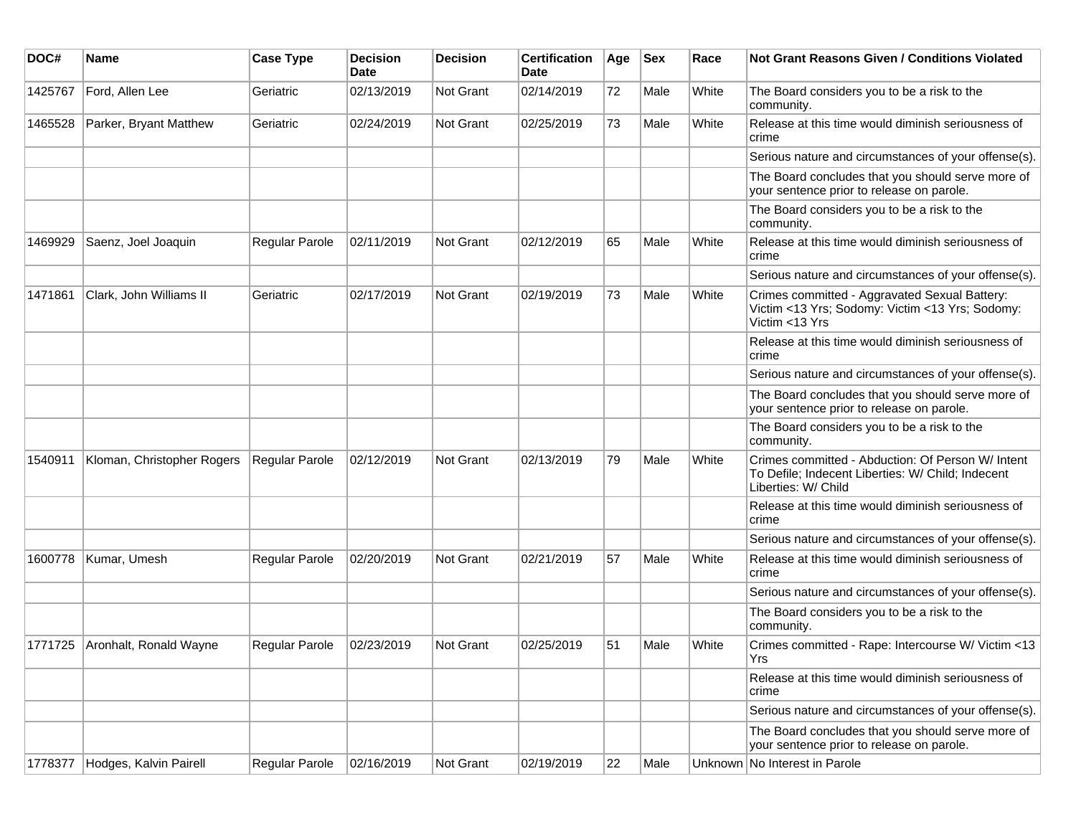| DOC#    | <b>Name</b>                | <b>Case Type</b> | Decision<br><b>Date</b> | <b>Decision</b>  | <b>Certification</b><br>Date | Age | <b>Sex</b> | Race  | <b>Not Grant Reasons Given / Conditions Violated</b>                                                                          |
|---------|----------------------------|------------------|-------------------------|------------------|------------------------------|-----|------------|-------|-------------------------------------------------------------------------------------------------------------------------------|
| 1425767 | Ford, Allen Lee            | Geriatric        | 02/13/2019              | <b>Not Grant</b> | 02/14/2019                   | 72  | Male       | White | The Board considers you to be a risk to the<br>community.                                                                     |
| 1465528 | Parker, Bryant Matthew     | Geriatric        | 02/24/2019              | <b>Not Grant</b> | 02/25/2019                   | 73  | Male       | White | Release at this time would diminish seriousness of<br>crime                                                                   |
|         |                            |                  |                         |                  |                              |     |            |       | Serious nature and circumstances of your offense(s).                                                                          |
|         |                            |                  |                         |                  |                              |     |            |       | The Board concludes that you should serve more of<br>your sentence prior to release on parole.                                |
|         |                            |                  |                         |                  |                              |     |            |       | The Board considers you to be a risk to the<br>community.                                                                     |
| 1469929 | Saenz, Joel Joaquin        | Regular Parole   | 02/11/2019              | <b>Not Grant</b> | 02/12/2019                   | 65  | Male       | White | Release at this time would diminish seriousness of<br>crime                                                                   |
|         |                            |                  |                         |                  |                              |     |            |       | Serious nature and circumstances of your offense(s).                                                                          |
| 1471861 | Clark, John Williams II    | Geriatric        | 02/17/2019              | <b>Not Grant</b> | 02/19/2019                   | 73  | Male       | White | Crimes committed - Aggravated Sexual Battery:<br>Victim <13 Yrs; Sodomy: Victim <13 Yrs; Sodomy:<br>Victim <13 Yrs            |
|         |                            |                  |                         |                  |                              |     |            |       | Release at this time would diminish seriousness of<br>crime                                                                   |
|         |                            |                  |                         |                  |                              |     |            |       | Serious nature and circumstances of your offense(s).                                                                          |
|         |                            |                  |                         |                  |                              |     |            |       | The Board concludes that you should serve more of<br>your sentence prior to release on parole.                                |
|         |                            |                  |                         |                  |                              |     |            |       | The Board considers you to be a risk to the<br>community.                                                                     |
| 1540911 | Kloman, Christopher Rogers | Regular Parole   | 02/12/2019              | <b>Not Grant</b> | 02/13/2019                   | 79  | Male       | White | Crimes committed - Abduction: Of Person W/ Intent<br>To Defile; Indecent Liberties: W/ Child; Indecent<br>Liberties: W/ Child |
|         |                            |                  |                         |                  |                              |     |            |       | Release at this time would diminish seriousness of<br>crime                                                                   |
|         |                            |                  |                         |                  |                              |     |            |       | Serious nature and circumstances of your offense(s).                                                                          |
| 1600778 | Kumar, Umesh               | Regular Parole   | 02/20/2019              | <b>Not Grant</b> | 02/21/2019                   | 57  | Male       | White | Release at this time would diminish seriousness of<br>crime                                                                   |
|         |                            |                  |                         |                  |                              |     |            |       | Serious nature and circumstances of your offense(s).                                                                          |
|         |                            |                  |                         |                  |                              |     |            |       | The Board considers you to be a risk to the<br>community.                                                                     |
| 1771725 | Aronhalt, Ronald Wayne     | Regular Parole   | 02/23/2019              | <b>Not Grant</b> | 02/25/2019                   | 51  | Male       | White | Crimes committed - Rape: Intercourse W/ Victim <13<br>Yrs                                                                     |
|         |                            |                  |                         |                  |                              |     |            |       | Release at this time would diminish seriousness of<br>crime                                                                   |
|         |                            |                  |                         |                  |                              |     |            |       | Serious nature and circumstances of your offense(s).                                                                          |
|         |                            |                  |                         |                  |                              |     |            |       | The Board concludes that you should serve more of<br>your sentence prior to release on parole.                                |
| 1778377 | Hodges, Kalvin Pairell     | Regular Parole   | 02/16/2019              | Not Grant        | 02/19/2019                   | 22  | Male       |       | Unknown No Interest in Parole                                                                                                 |